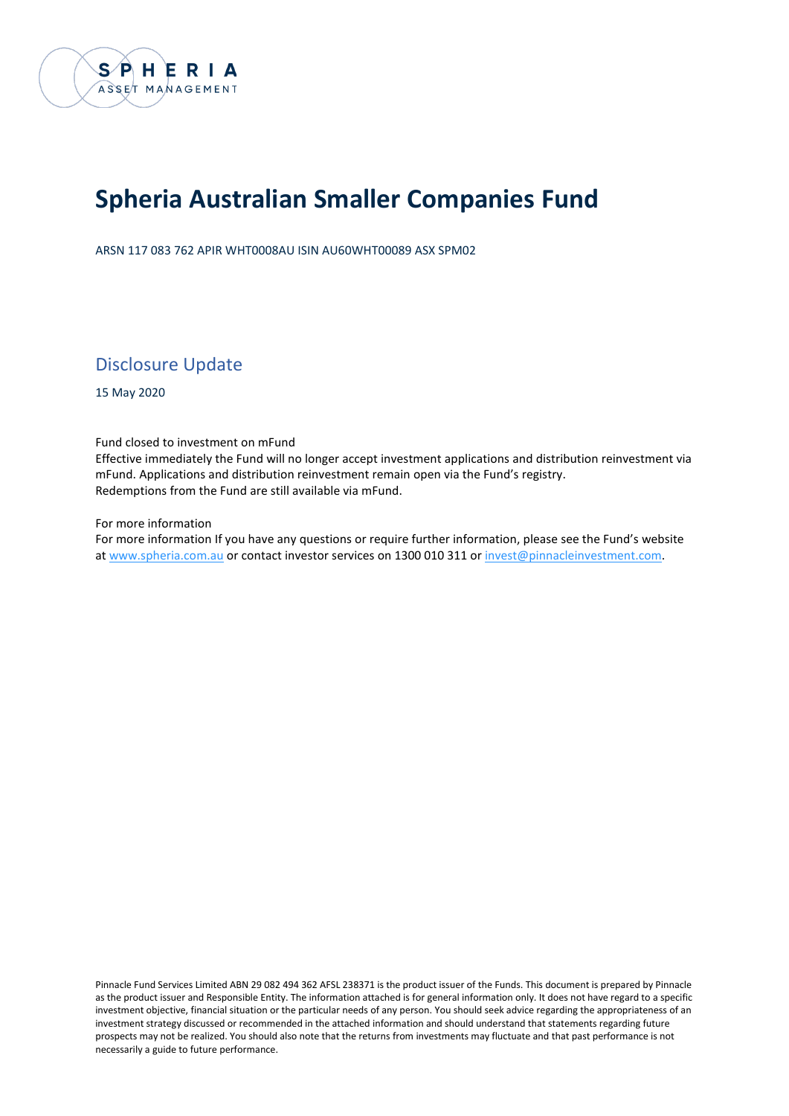

# **Spheria Australian Smaller Companies Fund**

ARSN 117 083 762 APIR WHT0008AU ISIN AU60WHT00089 ASX SPM02

Disclosure Update

15 May 2020

Fund closed to investment on mFund

Effective immediately the Fund will no longer accept investment applications and distribution reinvestment via mFund. Applications and distribution reinvestment remain open via the Fund's registry. Redemptions from the Fund are still available via mFund.

For more information

For more information If you have any questions or require further information, please see the Fund's website at www.spheria.com.au or contact investor services on 1300 010 311 or [invest@pinnacleinvestment.com.](mailto:invest@pinnacleinvestment.com)

Pinnacle Fund Services Limited ABN 29 082 494 362 AFSL 238371 is the product issuer of the Funds. This document is prepared by Pinnacle as the product issuer and Responsible Entity. The information attached is for general information only. It does not have regard to a specific investment objective, financial situation or the particular needs of any person. You should seek advice regarding the appropriateness of an investment strategy discussed or recommended in the attached information and should understand that statements regarding future prospects may not be realized. You should also note that the returns from investments may fluctuate and that past performance is not necessarily a guide to future performance.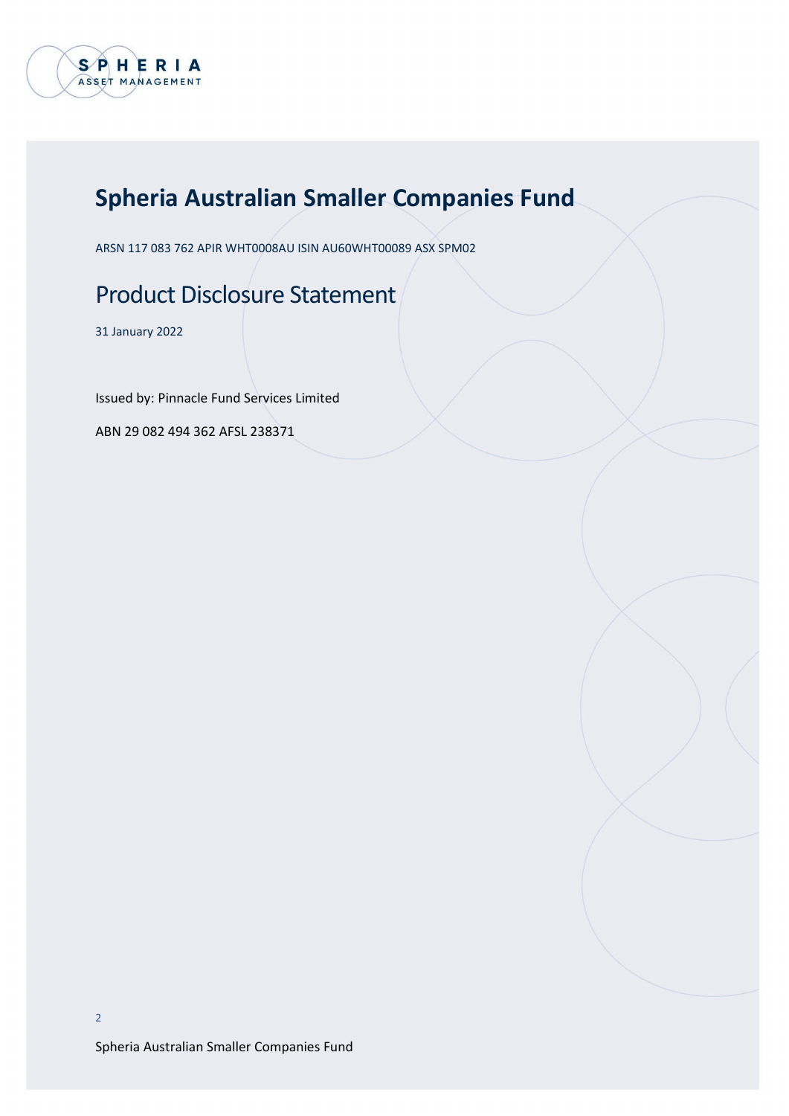

# **Spheria Australian Smaller Companies Fund**

ARSN 117 083 762 APIR WHT0008AU ISIN AU60WHT00089 ASX SPM02

# Product Disclosure Statement

31 January 2022

Issued by: Pinnacle Fund Services Limited

ABN 29 082 494 362 AFSL 238371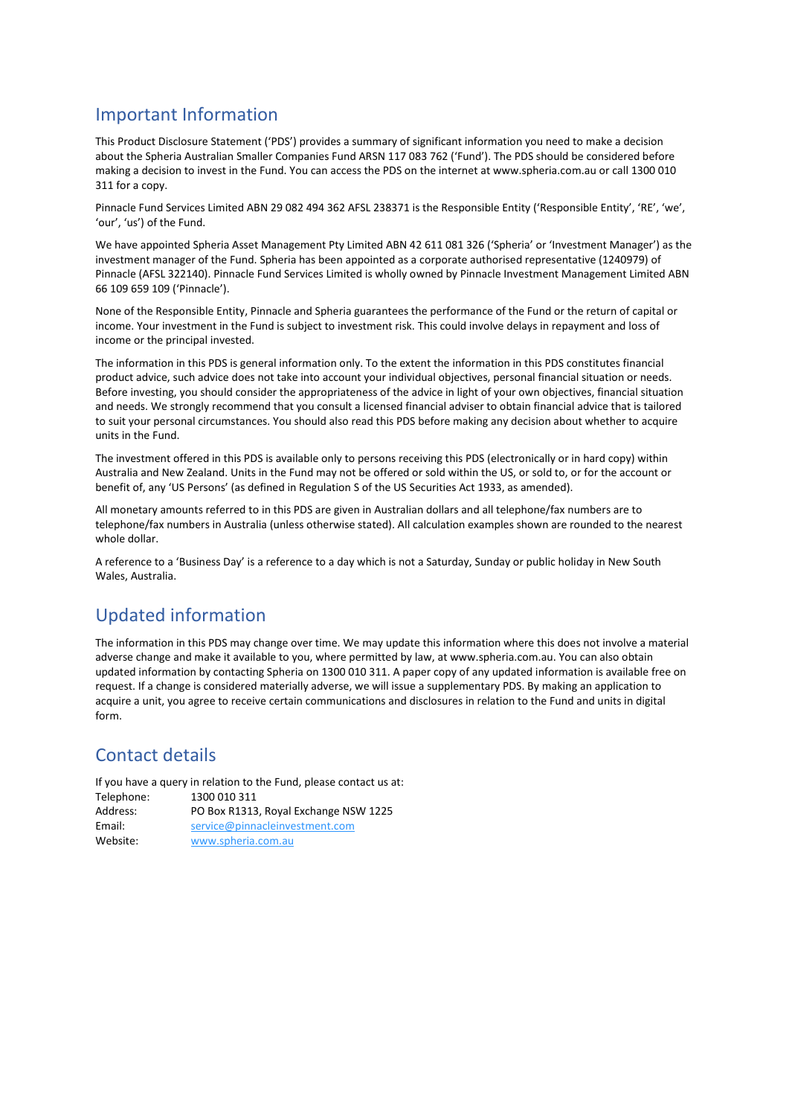## Important Information

This Product Disclosure Statement ('PDS') provides a summary of significant information you need to make a decision about the Spheria Australian Smaller Companies Fund ARSN 117 083 762 ('Fund'). The PDS should be considered before making a decision to invest in the Fund. You can access the PDS on the internet at www.spheria.com.au or call 1300 010 311 for a copy.

Pinnacle Fund Services Limited ABN 29 082 494 362 AFSL 238371 is the Responsible Entity ('Responsible Entity', 'RE', 'we', 'our', 'us') of the Fund.

We have appointed Spheria Asset Management Pty Limited ABN 42 611 081 326 ('Spheria' or 'Investment Manager') as the investment manager of the Fund. Spheria has been appointed as a corporate authorised representative (1240979) of Pinnacle (AFSL 322140). Pinnacle Fund Services Limited is wholly owned by Pinnacle Investment Management Limited ABN 66 109 659 109 ('Pinnacle').

None of the Responsible Entity, Pinnacle and Spheria guarantees the performance of the Fund or the return of capital or income. Your investment in the Fund is subject to investment risk. This could involve delays in repayment and loss of income or the principal invested.

The information in this PDS is general information only. To the extent the information in this PDS constitutes financial product advice, such advice does not take into account your individual objectives, personal financial situation or needs. Before investing, you should consider the appropriateness of the advice in light of your own objectives, financial situation and needs. We strongly recommend that you consult a licensed financial adviser to obtain financial advice that is tailored to suit your personal circumstances. You should also read this PDS before making any decision about whether to acquire units in the Fund.

The investment offered in this PDS is available only to persons receiving this PDS (electronically or in hard copy) within Australia and New Zealand. Units in the Fund may not be offered or sold within the US, or sold to, or for the account or benefit of, any 'US Persons' (as defined in Regulation S of the US Securities Act 1933, as amended).

All monetary amounts referred to in this PDS are given in Australian dollars and all telephone/fax numbers are to telephone/fax numbers in Australia (unless otherwise stated). All calculation examples shown are rounded to the nearest whole dollar.

A reference to a 'Business Day' is a reference to a day which is not a Saturday, Sunday or public holiday in New South Wales, Australia.

## Updated information

The information in this PDS may change over time. We may update this information where this does not involve a material adverse change and make it available to you, where permitted by law, at www.spheria.com.au. You can also obtain updated information by contacting Spheria on 1300 010 311. A paper copy of any updated information is available free on request. If a change is considered materially adverse, we will issue a supplementary PDS. By making an application to acquire a unit, you agree to receive certain communications and disclosures in relation to the Fund and units in digital form.

## Contact details

If you have a query in relation to the Fund, please contact us at:

| Telephone: | 1300 010 311                          |
|------------|---------------------------------------|
| Address:   | PO Box R1313, Royal Exchange NSW 1225 |
| Email:     | service@pinnacleinvestment.com        |
| Website:   | www.spheria.com.au                    |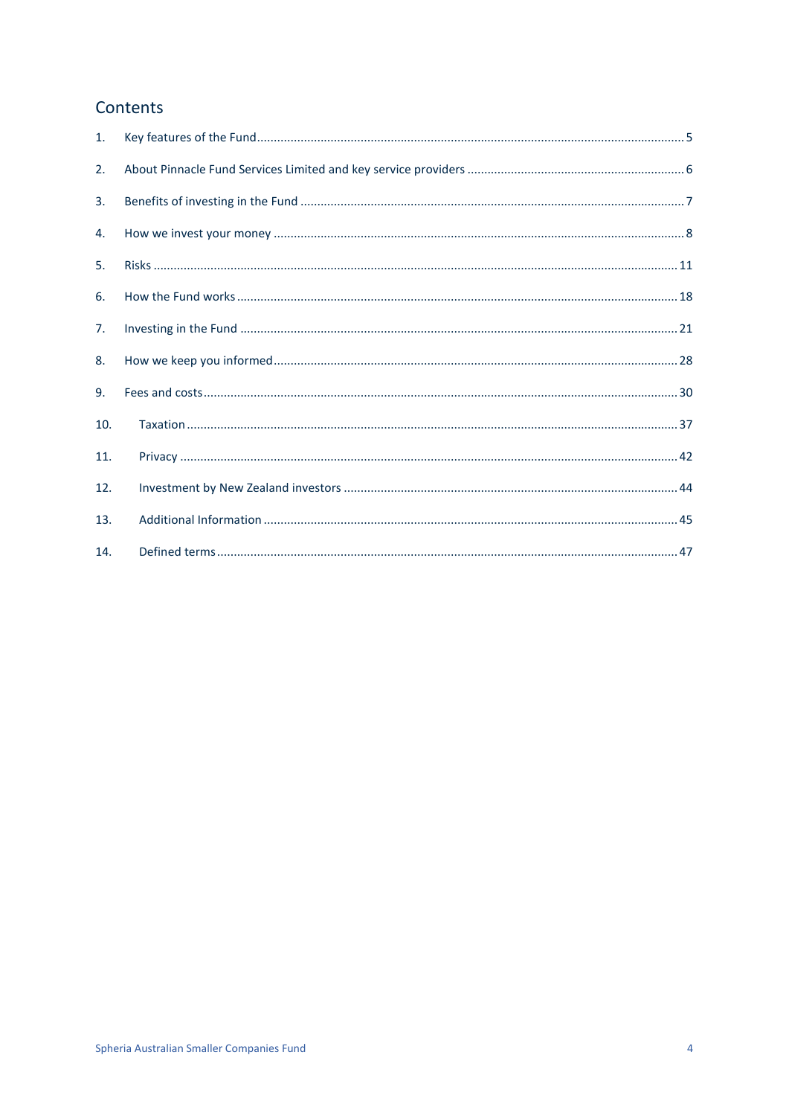## Contents

| 1.  |  |
|-----|--|
| 2.  |  |
| 3.  |  |
| 4.  |  |
| 5.  |  |
| 6.  |  |
| 7.  |  |
| 8.  |  |
| 9.  |  |
| 10. |  |
| 11. |  |
| 12. |  |
| 13. |  |
| 14. |  |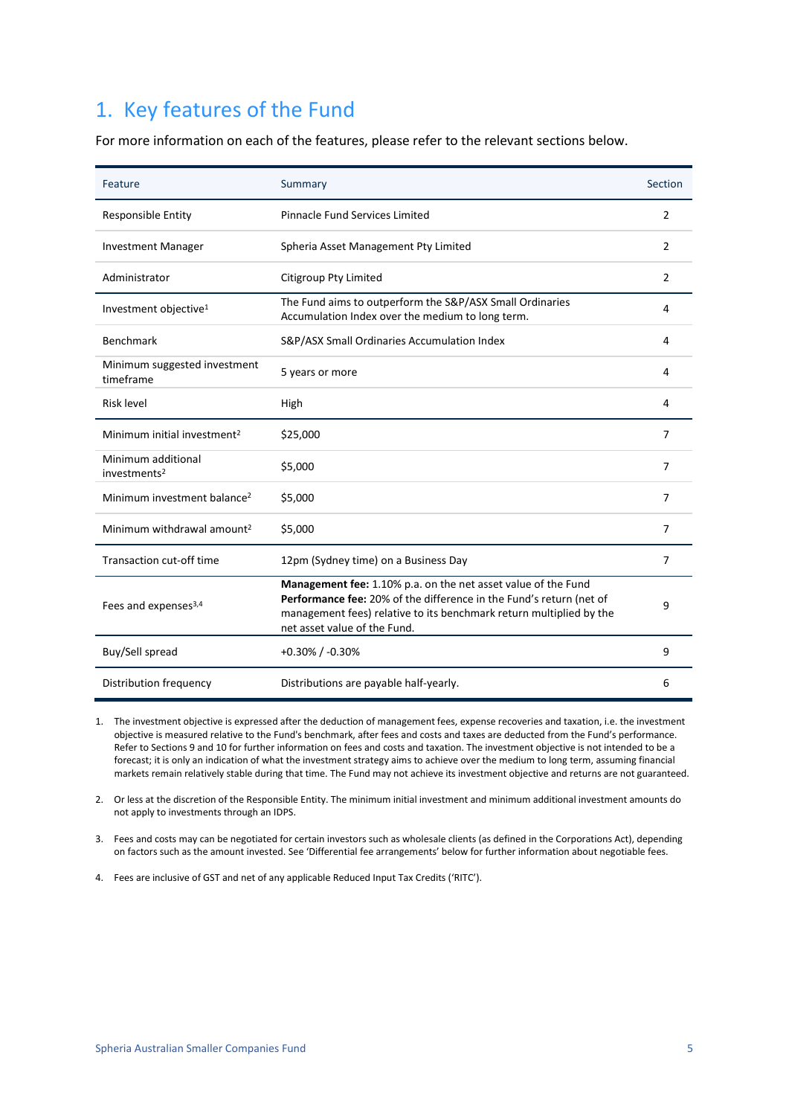## <span id="page-4-0"></span>1. Key features of the Fund

For more information on each of the features, please refer to the relevant sections below.

| Feature                                        | Summary                                                                                                                                                                                                                                     | Section        |
|------------------------------------------------|---------------------------------------------------------------------------------------------------------------------------------------------------------------------------------------------------------------------------------------------|----------------|
| <b>Responsible Entity</b>                      | <b>Pinnacle Fund Services Limited</b>                                                                                                                                                                                                       | 2              |
| <b>Investment Manager</b>                      | Spheria Asset Management Pty Limited                                                                                                                                                                                                        | 2              |
| Administrator                                  | Citigroup Pty Limited                                                                                                                                                                                                                       | 2              |
| Investment objective <sup>1</sup>              | The Fund aims to outperform the S&P/ASX Small Ordinaries<br>Accumulation Index over the medium to long term.                                                                                                                                | 4              |
| <b>Benchmark</b>                               | S&P/ASX Small Ordinaries Accumulation Index                                                                                                                                                                                                 | 4              |
| Minimum suggested investment<br>timeframe      | 5 years or more                                                                                                                                                                                                                             | 4              |
| <b>Risk level</b>                              | High                                                                                                                                                                                                                                        | 4              |
| Minimum initial investment <sup>2</sup>        | \$25,000                                                                                                                                                                                                                                    | $\overline{7}$ |
| Minimum additional<br>investments <sup>2</sup> | \$5,000                                                                                                                                                                                                                                     | 7              |
| Minimum investment balance <sup>2</sup>        | \$5,000                                                                                                                                                                                                                                     | $\overline{7}$ |
| Minimum withdrawal amount <sup>2</sup>         | \$5,000                                                                                                                                                                                                                                     | 7              |
| Transaction cut-off time                       | 12pm (Sydney time) on a Business Day                                                                                                                                                                                                        | 7              |
| Fees and expenses <sup>3,4</sup>               | Management fee: 1.10% p.a. on the net asset value of the Fund<br>Performance fee: 20% of the difference in the Fund's return (net of<br>management fees) relative to its benchmark return multiplied by the<br>net asset value of the Fund. | 9              |
| Buy/Sell spread                                | $+0.30\%$ / $-0.30\%$                                                                                                                                                                                                                       | 9              |
| Distribution frequency                         | Distributions are payable half-yearly.                                                                                                                                                                                                      | 6              |

1. The investment objective is expressed after the deduction of management fees, expense recoveries and taxation, i.e. the investment objective is measured relative to the Fund's benchmark, after fees and costs and taxes are deducted from the Fund's performance. Refer to Sections 9 and 10 for further information on fees and costs and taxation. The investment objective is not intended to be a forecast; it is only an indication of what the investment strategy aims to achieve over the medium to long term, assuming financial markets remain relatively stable during that time. The Fund may not achieve its investment objective and returns are not guaranteed.

2. Or less at the discretion of the Responsible Entity. The minimum initial investment and minimum additional investment amounts do not apply to investments through an IDPS.

3. Fees and costs may can be negotiated for certain investors such as wholesale clients (as defined in the Corporations Act), depending on factors such as the amount invested. See 'Differential fee arrangements' below for further information about negotiable fees.

4. Fees are inclusive of GST and net of any applicable Reduced Input Tax Credits ('RITC').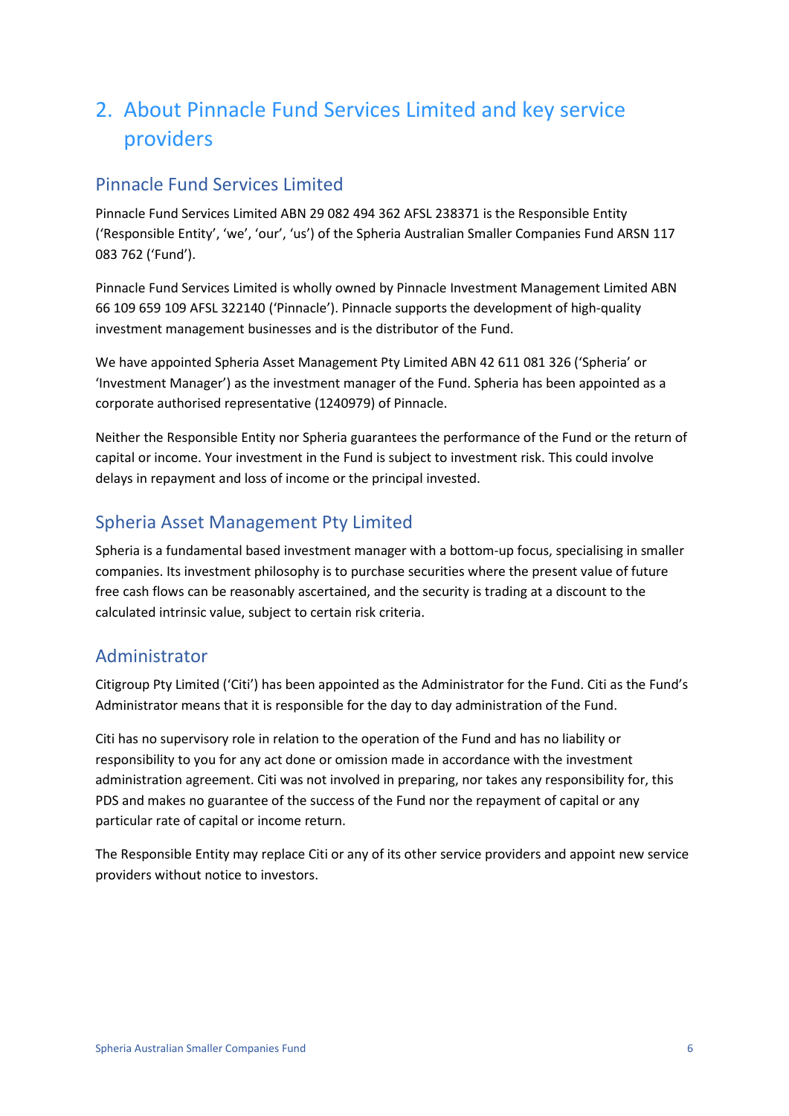## <span id="page-5-0"></span>2. About Pinnacle Fund Services Limited and key service providers

## Pinnacle Fund Services Limited

Pinnacle Fund Services Limited ABN 29 082 494 362 AFSL 238371 is the Responsible Entity ('Responsible Entity', 'we', 'our', 'us') of the Spheria Australian Smaller Companies Fund ARSN 117 083 762 ('Fund').

Pinnacle Fund Services Limited is wholly owned by Pinnacle Investment Management Limited ABN 66 109 659 109 AFSL 322140 ('Pinnacle'). Pinnacle supports the development of high-quality investment management businesses and is the distributor of the Fund.

We have appointed Spheria Asset Management Pty Limited ABN 42 611 081 326 ('Spheria' or 'Investment Manager') as the investment manager of the Fund. Spheria has been appointed as a corporate authorised representative (1240979) of Pinnacle.

Neither the Responsible Entity nor Spheria guarantees the performance of the Fund or the return of capital or income. Your investment in the Fund is subject to investment risk. This could involve delays in repayment and loss of income or the principal invested.

## Spheria Asset Management Pty Limited

Spheria is a fundamental based investment manager with a bottom-up focus, specialising in smaller companies. Its investment philosophy is to purchase securities where the present value of future free cash flows can be reasonably ascertained, and the security is trading at a discount to the calculated intrinsic value, subject to certain risk criteria.

## Administrator

Citigroup Pty Limited ('Citi') has been appointed as the Administrator for the Fund. Citi as the Fund's Administrator means that it is responsible for the day to day administration of the Fund.

Citi has no supervisory role in relation to the operation of the Fund and has no liability or responsibility to you for any act done or omission made in accordance with the investment administration agreement. Citi was not involved in preparing, nor takes any responsibility for, this PDS and makes no guarantee of the success of the Fund nor the repayment of capital or any particular rate of capital or income return.

The Responsible Entity may replace Citi or any of its other service providers and appoint new service providers without notice to investors.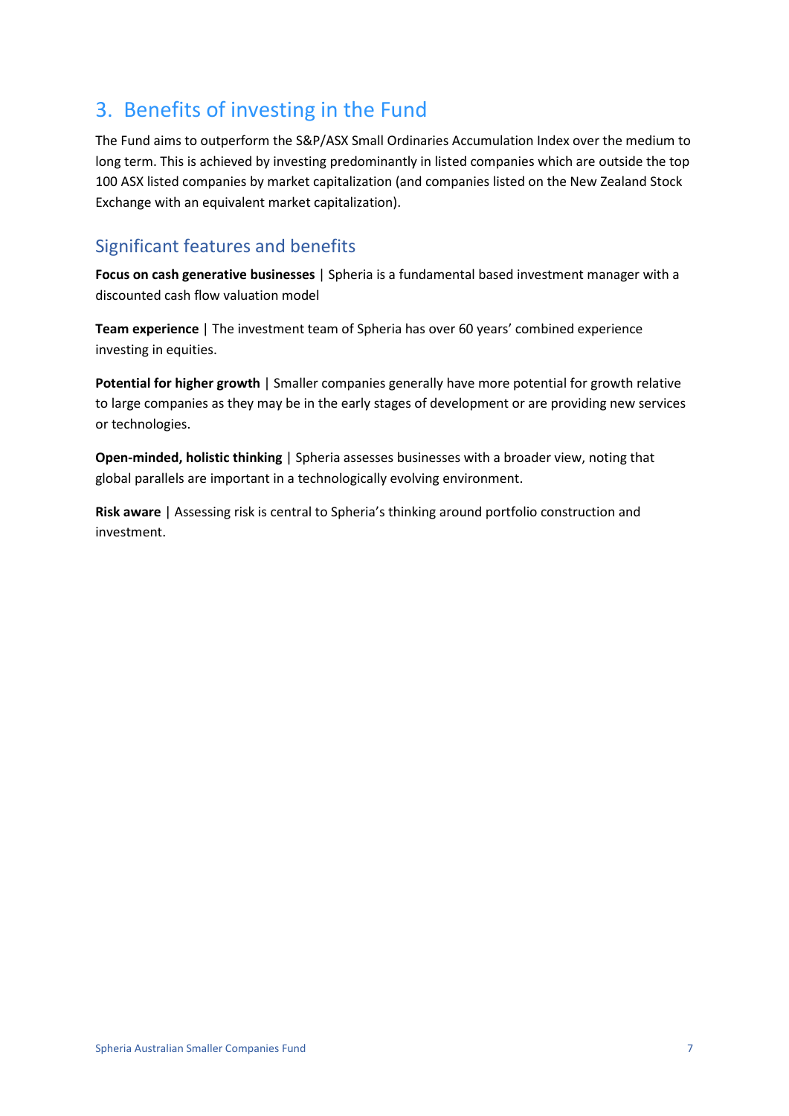## <span id="page-6-0"></span>3. Benefits of investing in the Fund

The Fund aims to outperform the S&P/ASX Small Ordinaries Accumulation Index over the medium to long term. This is achieved by investing predominantly in listed companies which are outside the top 100 ASX listed companies by market capitalization (and companies listed on the New Zealand Stock Exchange with an equivalent market capitalization).

## Significant features and benefits

**Focus on cash generative businesses** | Spheria is a fundamental based investment manager with a discounted cash flow valuation model

**Team experience** | The investment team of Spheria has over 60 years' combined experience investing in equities.

**Potential for higher growth** | Smaller companies generally have more potential for growth relative to large companies as they may be in the early stages of development or are providing new services or technologies.

**Open-minded, holistic thinking** | Spheria assesses businesses with a broader view, noting that global parallels are important in a technologically evolving environment.

**Risk aware** | Assessing risk is central to Spheria's thinking around portfolio construction and investment.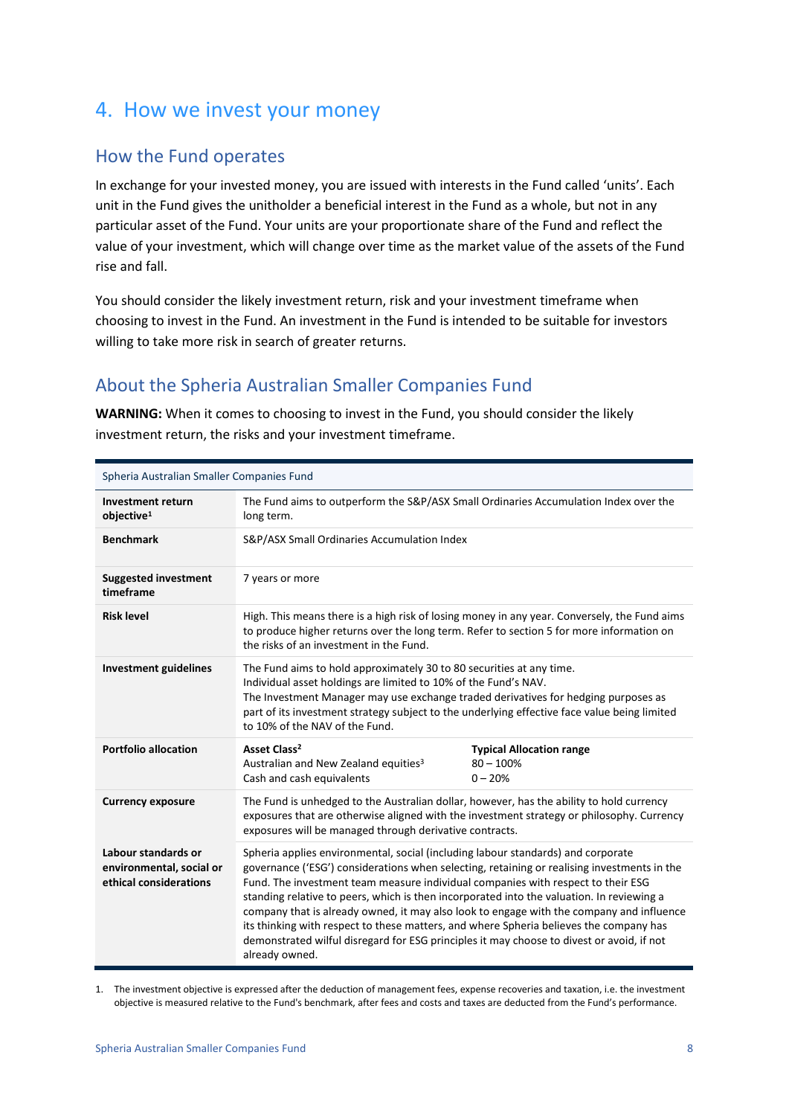## <span id="page-7-0"></span>4. How we invest your money

## How the Fund operates

In exchange for your invested money, you are issued with interests in the Fund called 'units'. Each unit in the Fund gives the unitholder a beneficial interest in the Fund as a whole, but not in any particular asset of the Fund. Your units are your proportionate share of the Fund and reflect the value of your investment, which will change over time as the market value of the assets of the Fund rise and fall.

You should consider the likely investment return, risk and your investment timeframe when choosing to invest in the Fund. An investment in the Fund is intended to be suitable for investors willing to take more risk in search of greater returns.

## About the Spheria Australian Smaller Companies Fund

**WARNING:** When it comes to choosing to invest in the Fund, you should consider the likely investment return, the risks and your investment timeframe.

| Spheria Australian Smaller Companies Fund                                 |                                                                                                                                                                                                                                                                                                                                                                                                                                                                                                                                                                                                                                                                       |                                                             |
|---------------------------------------------------------------------------|-----------------------------------------------------------------------------------------------------------------------------------------------------------------------------------------------------------------------------------------------------------------------------------------------------------------------------------------------------------------------------------------------------------------------------------------------------------------------------------------------------------------------------------------------------------------------------------------------------------------------------------------------------------------------|-------------------------------------------------------------|
| <b>Investment return</b><br>objective <sup>1</sup>                        | The Fund aims to outperform the S&P/ASX Small Ordinaries Accumulation Index over the<br>long term.                                                                                                                                                                                                                                                                                                                                                                                                                                                                                                                                                                    |                                                             |
| <b>Benchmark</b>                                                          | S&P/ASX Small Ordinaries Accumulation Index                                                                                                                                                                                                                                                                                                                                                                                                                                                                                                                                                                                                                           |                                                             |
| <b>Suggested investment</b><br>timeframe                                  | 7 years or more                                                                                                                                                                                                                                                                                                                                                                                                                                                                                                                                                                                                                                                       |                                                             |
| <b>Risk level</b>                                                         | High. This means there is a high risk of losing money in any year. Conversely, the Fund aims<br>to produce higher returns over the long term. Refer to section 5 for more information on<br>the risks of an investment in the Fund.                                                                                                                                                                                                                                                                                                                                                                                                                                   |                                                             |
| <b>Investment guidelines</b>                                              | The Fund aims to hold approximately 30 to 80 securities at any time.<br>Individual asset holdings are limited to 10% of the Fund's NAV.<br>The Investment Manager may use exchange traded derivatives for hedging purposes as<br>part of its investment strategy subject to the underlying effective face value being limited<br>to 10% of the NAV of the Fund.                                                                                                                                                                                                                                                                                                       |                                                             |
| <b>Portfolio allocation</b>                                               | Asset Class <sup>2</sup><br>Australian and New Zealand equities <sup>3</sup><br>Cash and cash equivalents                                                                                                                                                                                                                                                                                                                                                                                                                                                                                                                                                             | <b>Typical Allocation range</b><br>$80 - 100%$<br>$0 - 20%$ |
| <b>Currency exposure</b>                                                  | The Fund is unhedged to the Australian dollar, however, has the ability to hold currency<br>exposures that are otherwise aligned with the investment strategy or philosophy. Currency<br>exposures will be managed through derivative contracts.                                                                                                                                                                                                                                                                                                                                                                                                                      |                                                             |
| Labour standards or<br>environmental, social or<br>ethical considerations | Spheria applies environmental, social (including labour standards) and corporate<br>governance ('ESG') considerations when selecting, retaining or realising investments in the<br>Fund. The investment team measure individual companies with respect to their ESG<br>standing relative to peers, which is then incorporated into the valuation. In reviewing a<br>company that is already owned, it may also look to engage with the company and influence<br>its thinking with respect to these matters, and where Spheria believes the company has<br>demonstrated wilful disregard for ESG principles it may choose to divest or avoid, if not<br>already owned. |                                                             |

1. The investment objective is expressed after the deduction of management fees, expense recoveries and taxation, i.e. the investment objective is measured relative to the Fund's benchmark, after fees and costs and taxes are deducted from the Fund's performance.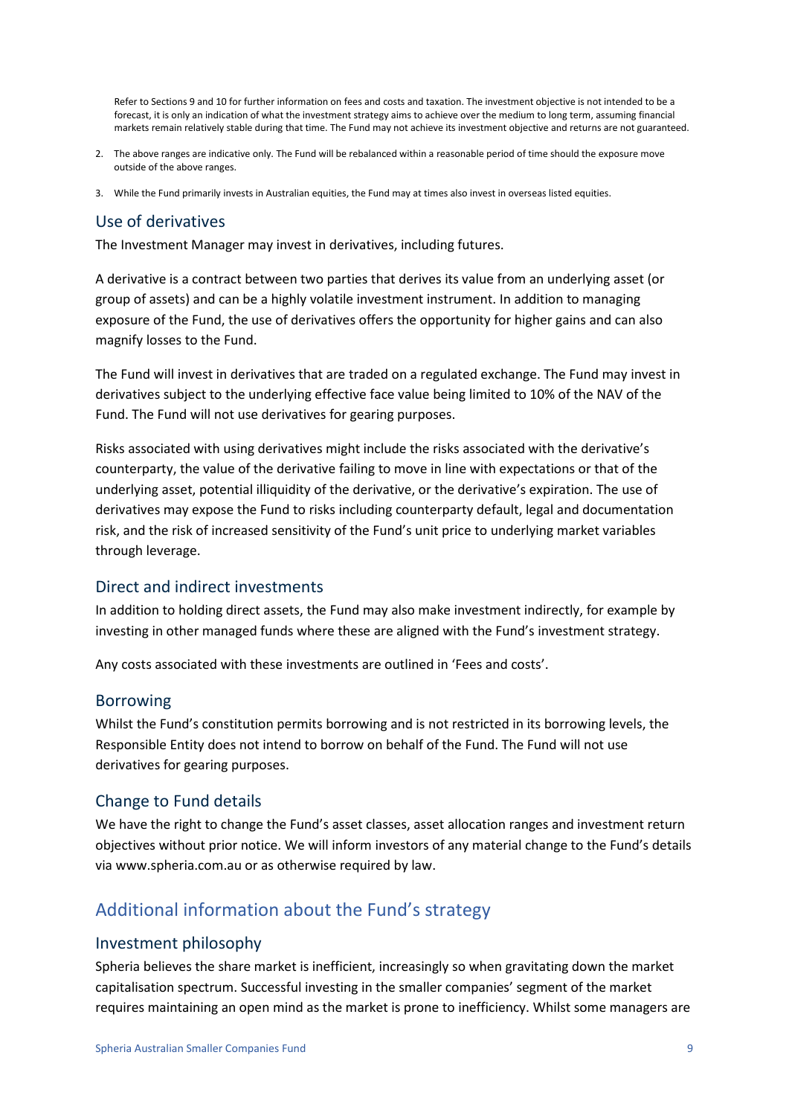Refer to Sections 9 and 10 for further information on fees and costs and taxation. The investment objective is not intended to be a forecast, it is only an indication of what the investment strategy aims to achieve over the medium to long term, assuming financial markets remain relatively stable during that time. The Fund may not achieve its investment objective and returns are not guaranteed.

- 2. The above ranges are indicative only. The Fund will be rebalanced within a reasonable period of time should the exposure move outside of the above ranges.
- 3. While the Fund primarily invests in Australian equities, the Fund may at times also invest in overseas listed equities.

#### Use of derivatives

The Investment Manager may invest in derivatives, including futures.

A derivative is a contract between two parties that derives its value from an underlying asset (or group of assets) and can be a highly volatile investment instrument. In addition to managing exposure of the Fund, the use of derivatives offers the opportunity for higher gains and can also magnify losses to the Fund.

The Fund will invest in derivatives that are traded on a regulated exchange. The Fund may invest in derivatives subject to the underlying effective face value being limited to 10% of the NAV of the Fund. The Fund will not use derivatives for gearing purposes.

Risks associated with using derivatives might include the risks associated with the derivative's counterparty, the value of the derivative failing to move in line with expectations or that of the underlying asset, potential illiquidity of the derivative, or the derivative's expiration. The use of derivatives may expose the Fund to risks including counterparty default, legal and documentation risk, and the risk of increased sensitivity of the Fund's unit price to underlying market variables through leverage.

#### Direct and indirect investments

In addition to holding direct assets, the Fund may also make investment indirectly, for example by investing in other managed funds where these are aligned with the Fund's investment strategy.

Any costs associated with these investments are outlined in 'Fees and costs'.

#### Borrowing

Whilst the Fund's constitution permits borrowing and is not restricted in its borrowing levels, the Responsible Entity does not intend to borrow on behalf of the Fund. The Fund will not use derivatives for gearing purposes.

#### Change to Fund details

We have the right to change the Fund's asset classes, asset allocation ranges and investment return objectives without prior notice. We will inform investors of any material change to the Fund's details via www.spheria.com.au or as otherwise required by law.

## Additional information about the Fund's strategy

#### Investment philosophy

Spheria believes the share market is inefficient, increasingly so when gravitating down the market capitalisation spectrum. Successful investing in the smaller companies' segment of the market requires maintaining an open mind as the market is prone to inefficiency. Whilst some managers are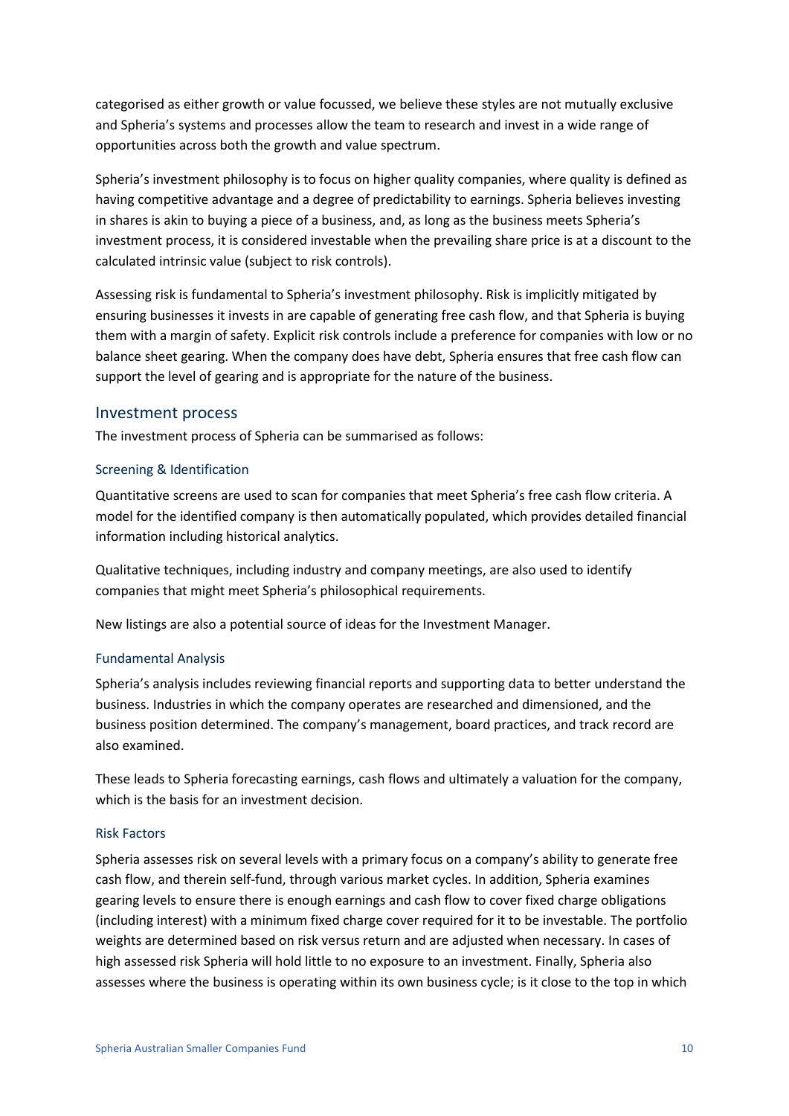categorised as either growth or value focussed, we believe these styles are not mutually exclusive and Spheria's systems and processes allow the team to research and invest in a wide range of opportunities across both the growth and value spectrum.

Spheria's investment philosophy is to focus on higher quality companies, where quality is defined as having competitive advantage and a degree of predictability to earnings. Spheria believes investing in shares is akin to buying a piece of a business, and, as long as the business meets Spheria's investment process, it is considered investable when the prevailing share price is at a discount to the calculated intrinsic value (subject to risk controls).

Assessing risk is fundamental to Spheria's investment philosophy. Risk is implicitly mitigated by ensuring businesses it invests in are capable of generating free cash flow, and that Spheria is buying them with a margin of safety. Explicit risk controls include a preference for companies with low or no balance sheet gearing. When the company does have debt, Spheria ensures that free cash flow can support the level of gearing and is appropriate for the nature of the business.

#### Investment process

The investment process of Spheria can be summarised as follows:

#### Screening & Identification

Quantitative screens are used to scan for companies that meet Spheria's free cash flow criteria. A model for the identified company is then automatically populated, which provides detailed financial information including historical analytics.

Qualitative techniques, including industry and company meetings, are also used to identify companies that might meet Spheria's philosophical requirements.

New listings are also a potential source of ideas for the Investment Manager.

#### Fundamental Analysis

Spheria's analysis includes reviewing financial reports and supporting data to better understand the business. Industries in which the company operates are researched and dimensioned, and the business position determined. The company's management, board practices, and track record are also examined.

These leads to Spheria forecasting earnings, cash flows and ultimately a valuation for the company, which is the basis for an investment decision.

#### Risk Factors

Spheria assesses risk on several levels with a primary focus on a company's ability to generate free cash flow, and therein self-fund, through various market cycles. In addition, Spheria examines gearing levels to ensure there is enough earnings and cash flow to cover fixed charge obligations (including interest) with a minimum fixed charge cover required for it to be investable. The portfolio weights are determined based on risk versus return and are adjusted when necessary. In cases of high assessed risk Spheria will hold little to no exposure to an investment. Finally, Spheria also assesses where the business is operating within its own business cycle; is it close to the top in which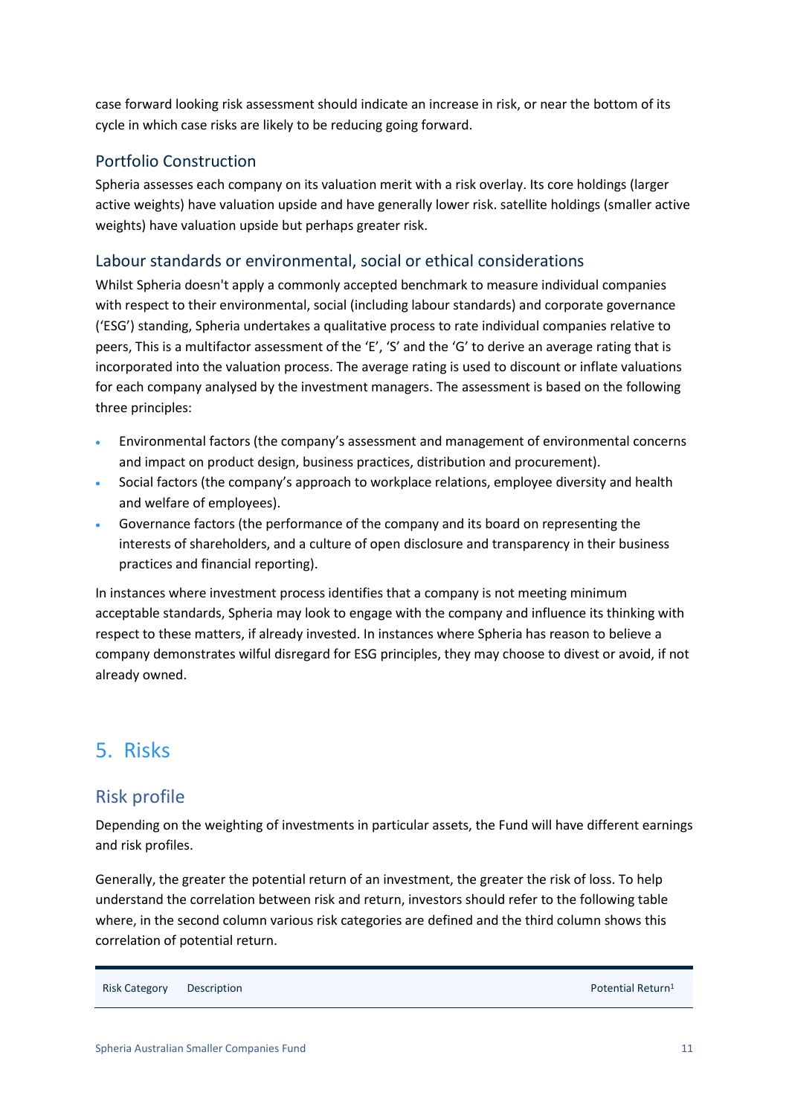case forward looking risk assessment should indicate an increase in risk, or near the bottom of its cycle in which case risks are likely to be reducing going forward.

#### Portfolio Construction

Spheria assesses each company on its valuation merit with a risk overlay. Its core holdings (larger active weights) have valuation upside and have generally lower risk. satellite holdings (smaller active weights) have valuation upside but perhaps greater risk.

#### Labour standards or environmental, social or ethical considerations

Whilst Spheria doesn't apply a commonly accepted benchmark to measure individual companies with respect to their environmental, social (including labour standards) and corporate governance ('ESG') standing, Spheria undertakes a qualitative process to rate individual companies relative to peers, This is a multifactor assessment of the 'E', 'S' and the 'G' to derive an average rating that is incorporated into the valuation process. The average rating is used to discount or inflate valuations for each company analysed by the investment managers. The assessment is based on the following three principles:

- Environmental factors (the company's assessment and management of environmental concerns and impact on product design, business practices, distribution and procurement).
- Social factors (the company's approach to workplace relations, employee diversity and health and welfare of employees).
- Governance factors (the performance of the company and its board on representing the interests of shareholders, and a culture of open disclosure and transparency in their business practices and financial reporting).

In instances where investment process identifies that a company is not meeting minimum acceptable standards, Spheria may look to engage with the company and influence its thinking with respect to these matters, if already invested. In instances where Spheria has reason to believe a company demonstrates wilful disregard for ESG principles, they may choose to divest or avoid, if not already owned.

## <span id="page-10-0"></span>5. Risks

## Risk profile

Depending on the weighting of investments in particular assets, the Fund will have different earnings and risk profiles.

Generally, the greater the potential return of an investment, the greater the risk of loss. To help understand the correlation between risk and return, investors should refer to the following table where, in the second column various risk categories are defined and the third column shows this correlation of potential return.

Risk Category Description **Description Potential Return1**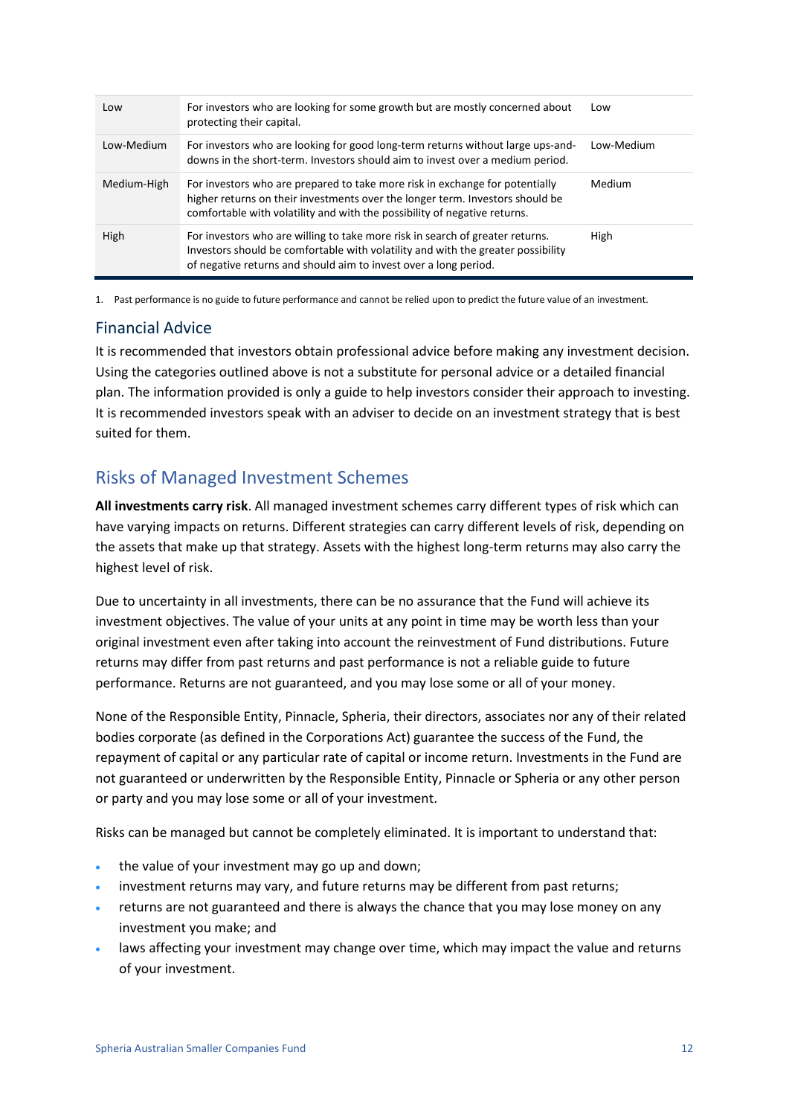| Low         | For investors who are looking for some growth but are mostly concerned about<br>protecting their capital.                                                                                                                                  | Low        |
|-------------|--------------------------------------------------------------------------------------------------------------------------------------------------------------------------------------------------------------------------------------------|------------|
| Low-Medium  | For investors who are looking for good long-term returns without large ups-and-<br>downs in the short-term. Investors should aim to invest over a medium period.                                                                           | Low-Medium |
| Medium-High | For investors who are prepared to take more risk in exchange for potentially<br>higher returns on their investments over the longer term. Investors should be<br>comfortable with volatility and with the possibility of negative returns. | Medium     |
| High        | For investors who are willing to take more risk in search of greater returns.<br>Investors should be comfortable with volatility and with the greater possibility<br>of negative returns and should aim to invest over a long period.      | High       |

1. Past performance is no guide to future performance and cannot be relied upon to predict the future value of an investment.

#### Financial Advice

It is recommended that investors obtain professional advice before making any investment decision. Using the categories outlined above is not a substitute for personal advice or a detailed financial plan. The information provided is only a guide to help investors consider their approach to investing. It is recommended investors speak with an adviser to decide on an investment strategy that is best suited for them.

## Risks of Managed Investment Schemes

**All investments carry risk**. All managed investment schemes carry different types of risk which can have varying impacts on returns. Different strategies can carry different levels of risk, depending on the assets that make up that strategy. Assets with the highest long-term returns may also carry the highest level of risk.

Due to uncertainty in all investments, there can be no assurance that the Fund will achieve its investment objectives. The value of your units at any point in time may be worth less than your original investment even after taking into account the reinvestment of Fund distributions. Future returns may differ from past returns and past performance is not a reliable guide to future performance. Returns are not guaranteed, and you may lose some or all of your money.

None of the Responsible Entity, Pinnacle, Spheria, their directors, associates nor any of their related bodies corporate (as defined in the Corporations Act) guarantee the success of the Fund, the repayment of capital or any particular rate of capital or income return. Investments in the Fund are not guaranteed or underwritten by the Responsible Entity, Pinnacle or Spheria or any other person or party and you may lose some or all of your investment.

Risks can be managed but cannot be completely eliminated. It is important to understand that:

- the value of your investment may go up and down:
- investment returns may vary, and future returns may be different from past returns;
- returns are not guaranteed and there is always the chance that you may lose money on any investment you make; and
- laws affecting your investment may change over time, which may impact the value and returns of your investment.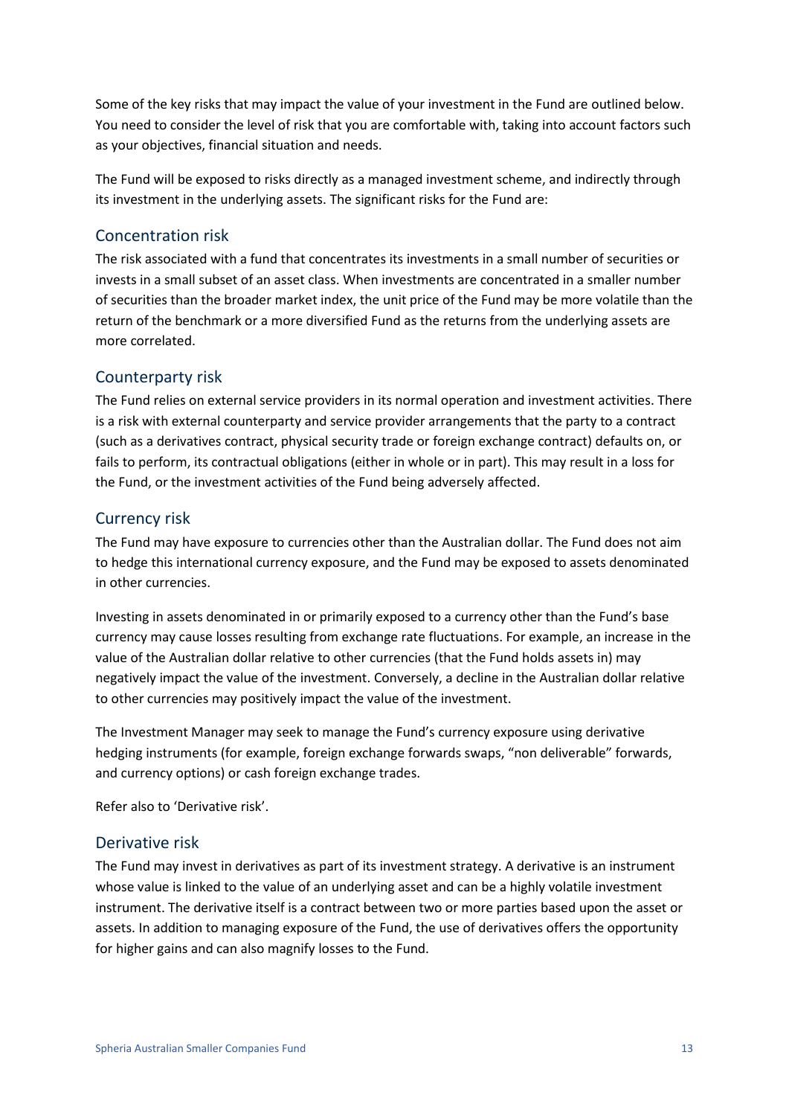Some of the key risks that may impact the value of your investment in the Fund are outlined below. You need to consider the level of risk that you are comfortable with, taking into account factors such as your objectives, financial situation and needs.

The Fund will be exposed to risks directly as a managed investment scheme, and indirectly through its investment in the underlying assets. The significant risks for the Fund are:

#### Concentration risk

The risk associated with a fund that concentrates its investments in a small number of securities or invests in a small subset of an asset class. When investments are concentrated in a smaller number of securities than the broader market index, the unit price of the Fund may be more volatile than the return of the benchmark or a more diversified Fund as the returns from the underlying assets are more correlated.

#### Counterparty risk

The Fund relies on external service providers in its normal operation and investment activities. There is a risk with external counterparty and service provider arrangements that the party to a contract (such as a derivatives contract, physical security trade or foreign exchange contract) defaults on, or fails to perform, its contractual obligations (either in whole or in part). This may result in a loss for the Fund, or the investment activities of the Fund being adversely affected.

#### Currency risk

The Fund may have exposure to currencies other than the Australian dollar. The Fund does not aim to hedge this international currency exposure, and the Fund may be exposed to assets denominated in other currencies.

Investing in assets denominated in or primarily exposed to a currency other than the Fund's base currency may cause losses resulting from exchange rate fluctuations. For example, an increase in the value of the Australian dollar relative to other currencies (that the Fund holds assets in) may negatively impact the value of the investment. Conversely, a decline in the Australian dollar relative to other currencies may positively impact the value of the investment.

The Investment Manager may seek to manage the Fund's currency exposure using derivative hedging instruments (for example, foreign exchange forwards swaps, "non deliverable" forwards, and currency options) or cash foreign exchange trades.

Refer also to 'Derivative risk'.

#### Derivative risk

The Fund may invest in derivatives as part of its investment strategy. A derivative is an instrument whose value is linked to the value of an underlying asset and can be a highly volatile investment instrument. The derivative itself is a contract between two or more parties based upon the asset or assets. In addition to managing exposure of the Fund, the use of derivatives offers the opportunity for higher gains and can also magnify losses to the Fund.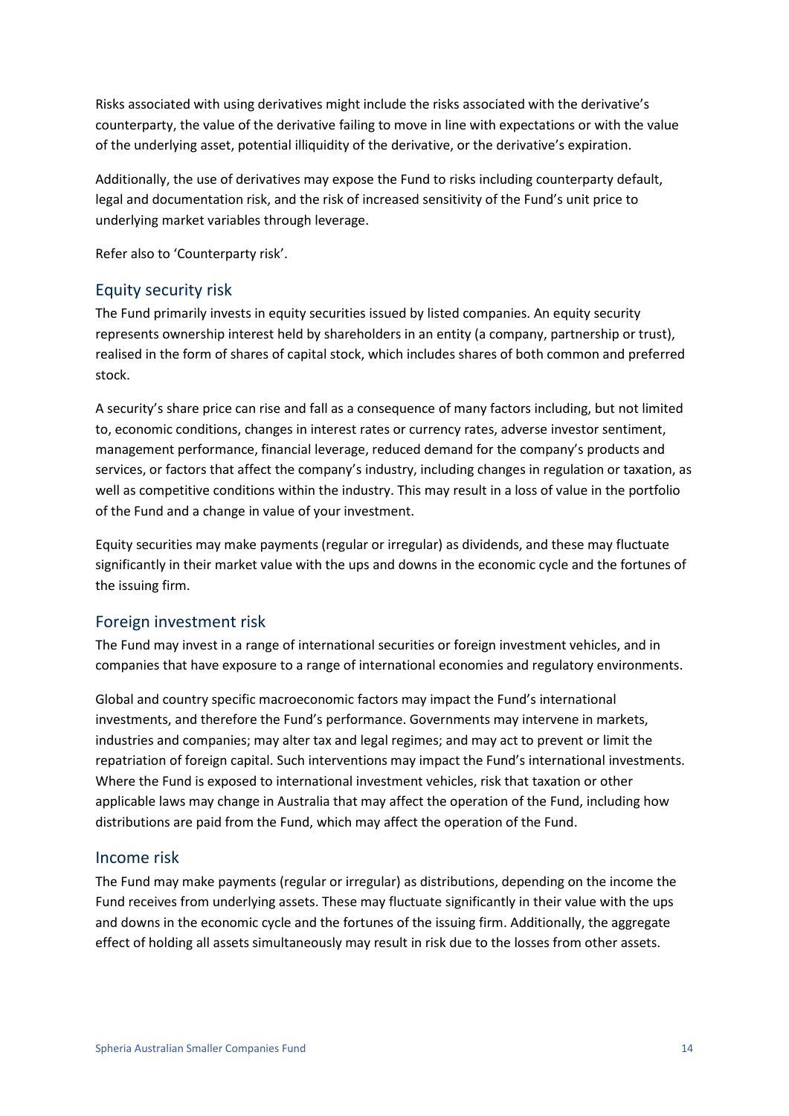Risks associated with using derivatives might include the risks associated with the derivative's counterparty, the value of the derivative failing to move in line with expectations or with the value of the underlying asset, potential illiquidity of the derivative, or the derivative's expiration.

Additionally, the use of derivatives may expose the Fund to risks including counterparty default, legal and documentation risk, and the risk of increased sensitivity of the Fund's unit price to underlying market variables through leverage.

Refer also to 'Counterparty risk'.

#### Equity security risk

The Fund primarily invests in equity securities issued by listed companies. An equity security represents ownership interest held by shareholders in an entity (a company, partnership or trust), realised in the form of shares of capital stock, which includes shares of both common and preferred stock.

A security's share price can rise and fall as a consequence of many factors including, but not limited to, economic conditions, changes in interest rates or currency rates, adverse investor sentiment, management performance, financial leverage, reduced demand for the company's products and services, or factors that affect the company's industry, including changes in regulation or taxation, as well as competitive conditions within the industry. This may result in a loss of value in the portfolio of the Fund and a change in value of your investment.

Equity securities may make payments (regular or irregular) as dividends, and these may fluctuate significantly in their market value with the ups and downs in the economic cycle and the fortunes of the issuing firm.

#### Foreign investment risk

The Fund may invest in a range of international securities or foreign investment vehicles, and in companies that have exposure to a range of international economies and regulatory environments.

Global and country specific macroeconomic factors may impact the Fund's international investments, and therefore the Fund's performance. Governments may intervene in markets, industries and companies; may alter tax and legal regimes; and may act to prevent or limit the repatriation of foreign capital. Such interventions may impact the Fund's international investments. Where the Fund is exposed to international investment vehicles, risk that taxation or other applicable laws may change in Australia that may affect the operation of the Fund, including how distributions are paid from the Fund, which may affect the operation of the Fund.

#### Income risk

The Fund may make payments (regular or irregular) as distributions, depending on the income the Fund receives from underlying assets. These may fluctuate significantly in their value with the ups and downs in the economic cycle and the fortunes of the issuing firm. Additionally, the aggregate effect of holding all assets simultaneously may result in risk due to the losses from other assets.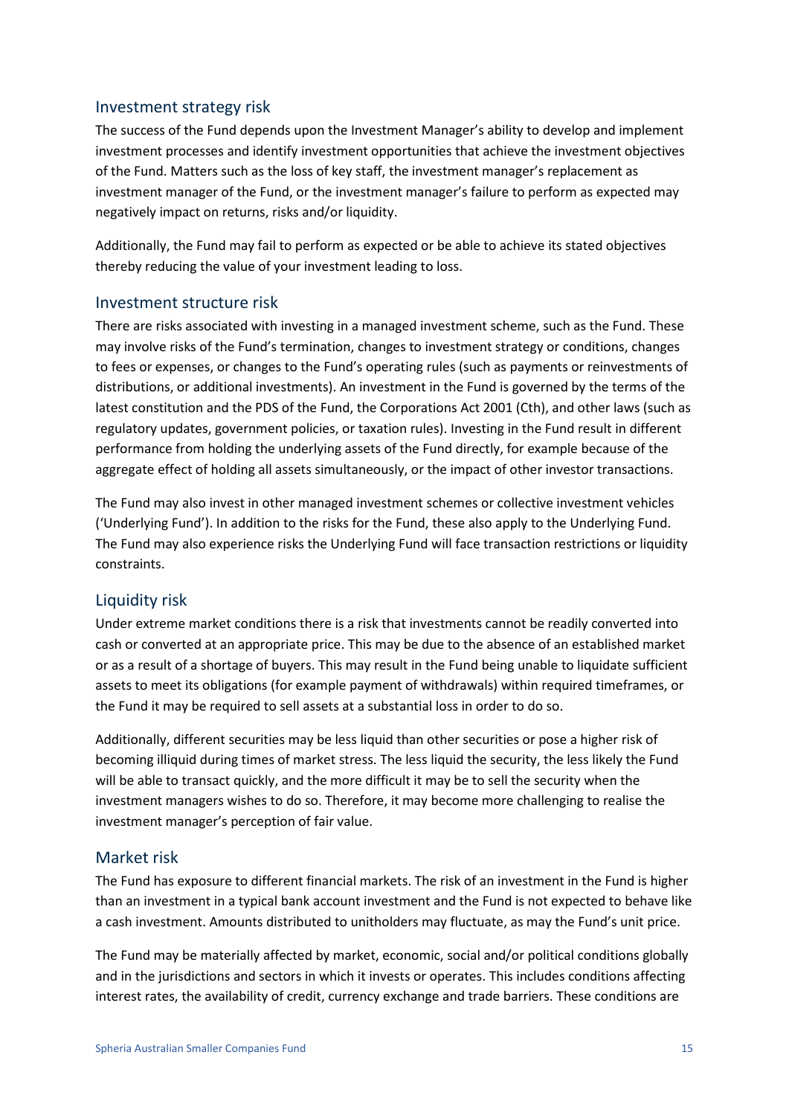#### Investment strategy risk

The success of the Fund depends upon the Investment Manager's ability to develop and implement investment processes and identify investment opportunities that achieve the investment objectives of the Fund. Matters such as the loss of key staff, the investment manager's replacement as investment manager of the Fund, or the investment manager's failure to perform as expected may negatively impact on returns, risks and/or liquidity.

Additionally, the Fund may fail to perform as expected or be able to achieve its stated objectives thereby reducing the value of your investment leading to loss.

#### Investment structure risk

There are risks associated with investing in a managed investment scheme, such as the Fund. These may involve risks of the Fund's termination, changes to investment strategy or conditions, changes to fees or expenses, or changes to the Fund's operating rules (such as payments or reinvestments of distributions, or additional investments). An investment in the Fund is governed by the terms of the latest constitution and the PDS of the Fund, the Corporations Act 2001 (Cth), and other laws (such as regulatory updates, government policies, or taxation rules). Investing in the Fund result in different performance from holding the underlying assets of the Fund directly, for example because of the aggregate effect of holding all assets simultaneously, or the impact of other investor transactions.

The Fund may also invest in other managed investment schemes or collective investment vehicles ('Underlying Fund'). In addition to the risks for the Fund, these also apply to the Underlying Fund. The Fund may also experience risks the Underlying Fund will face transaction restrictions or liquidity constraints.

#### Liquidity risk

Under extreme market conditions there is a risk that investments cannot be readily converted into cash or converted at an appropriate price. This may be due to the absence of an established market or as a result of a shortage of buyers. This may result in the Fund being unable to liquidate sufficient assets to meet its obligations (for example payment of withdrawals) within required timeframes, or the Fund it may be required to sell assets at a substantial loss in order to do so.

Additionally, different securities may be less liquid than other securities or pose a higher risk of becoming illiquid during times of market stress. The less liquid the security, the less likely the Fund will be able to transact quickly, and the more difficult it may be to sell the security when the investment managers wishes to do so. Therefore, it may become more challenging to realise the investment manager's perception of fair value.

#### Market risk

The Fund has exposure to different financial markets. The risk of an investment in the Fund is higher than an investment in a typical bank account investment and the Fund is not expected to behave like a cash investment. Amounts distributed to unitholders may fluctuate, as may the Fund's unit price.

The Fund may be materially affected by market, economic, social and/or political conditions globally and in the jurisdictions and sectors in which it invests or operates. This includes conditions affecting interest rates, the availability of credit, currency exchange and trade barriers. These conditions are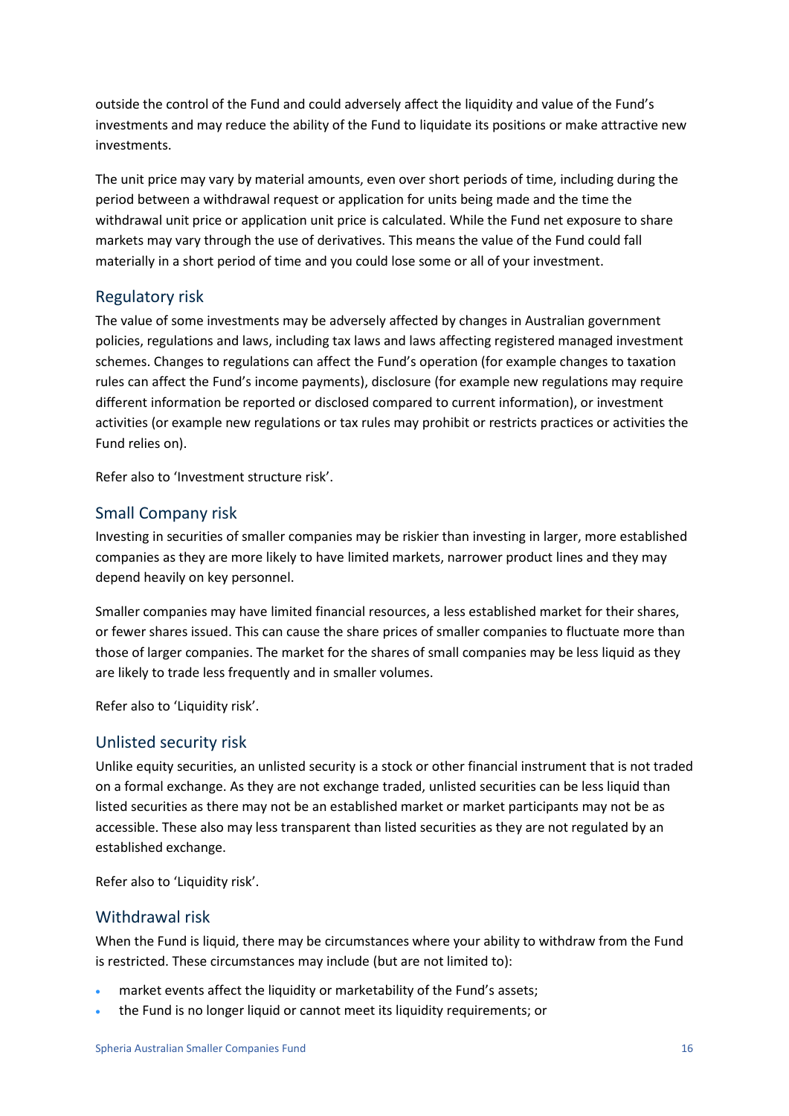outside the control of the Fund and could adversely affect the liquidity and value of the Fund's investments and may reduce the ability of the Fund to liquidate its positions or make attractive new investments.

The unit price may vary by material amounts, even over short periods of time, including during the period between a withdrawal request or application for units being made and the time the withdrawal unit price or application unit price is calculated. While the Fund net exposure to share markets may vary through the use of derivatives. This means the value of the Fund could fall materially in a short period of time and you could lose some or all of your investment.

#### Regulatory risk

The value of some investments may be adversely affected by changes in Australian government policies, regulations and laws, including tax laws and laws affecting registered managed investment schemes. Changes to regulations can affect the Fund's operation (for example changes to taxation rules can affect the Fund's income payments), disclosure (for example new regulations may require different information be reported or disclosed compared to current information), or investment activities (or example new regulations or tax rules may prohibit or restricts practices or activities the Fund relies on).

Refer also to 'Investment structure risk'.

#### Small Company risk

Investing in securities of smaller companies may be riskier than investing in larger, more established companies as they are more likely to have limited markets, narrower product lines and they may depend heavily on key personnel.

Smaller companies may have limited financial resources, a less established market for their shares, or fewer shares issued. This can cause the share prices of smaller companies to fluctuate more than those of larger companies. The market for the shares of small companies may be less liquid as they are likely to trade less frequently and in smaller volumes.

Refer also to 'Liquidity risk'.

#### Unlisted security risk

Unlike equity securities, an unlisted security is a stock or other financial instrument that is not traded on a formal exchange. As they are not exchange traded, unlisted securities can be less liquid than listed securities as there may not be an established market or market participants may not be as accessible. These also may less transparent than listed securities as they are not regulated by an established exchange.

Refer also to 'Liquidity risk'.

#### Withdrawal risk

When the Fund is liquid, there may be circumstances where your ability to withdraw from the Fund is restricted. These circumstances may include (but are not limited to):

- market events affect the liquidity or marketability of the Fund's assets;
- the Fund is no longer liquid or cannot meet its liquidity requirements; or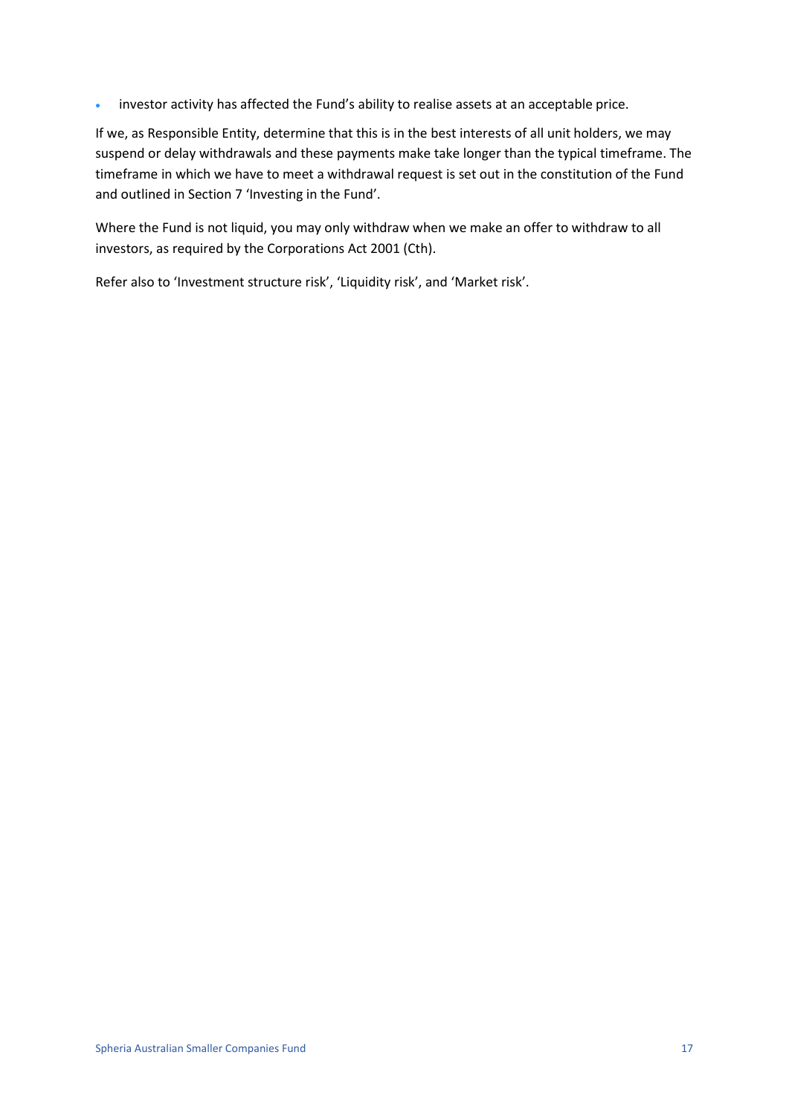• investor activity has affected the Fund's ability to realise assets at an acceptable price.

If we, as Responsible Entity, determine that this is in the best interests of all unit holders, we may suspend or delay withdrawals and these payments make take longer than the typical timeframe. The timeframe in which we have to meet a withdrawal request is set out in the constitution of the Fund and outlined in Section 7 'Investing in the Fund'.

Where the Fund is not liquid, you may only withdraw when we make an offer to withdraw to all investors, as required by the Corporations Act 2001 (Cth).

Refer also to 'Investment structure risk', 'Liquidity risk', and 'Market risk'.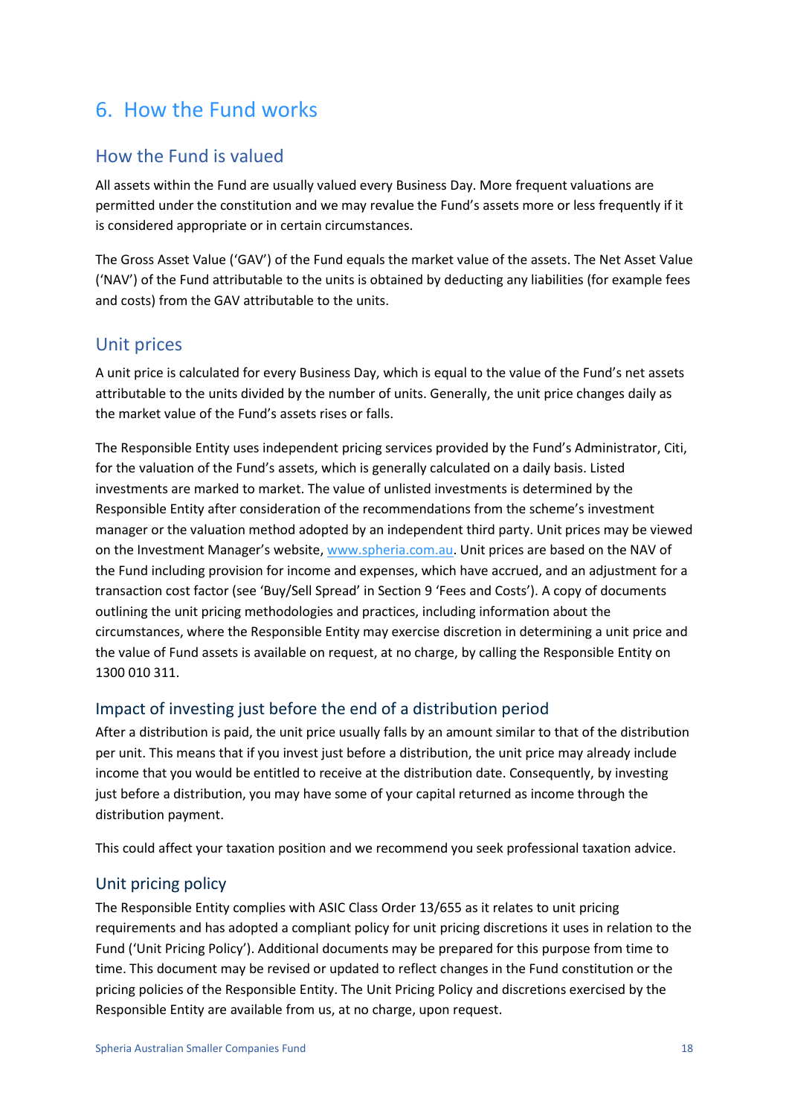## <span id="page-17-0"></span>6. How the Fund works

## How the Fund is valued

All assets within the Fund are usually valued every Business Day. More frequent valuations are permitted under the constitution and we may revalue the Fund's assets more or less frequently if it is considered appropriate or in certain circumstances.

The Gross Asset Value ('GAV') of the Fund equals the market value of the assets. The Net Asset Value ('NAV') of the Fund attributable to the units is obtained by deducting any liabilities (for example fees and costs) from the GAV attributable to the units.

### Unit prices

A unit price is calculated for every Business Day, which is equal to the value of the Fund's net assets attributable to the units divided by the number of units. Generally, the unit price changes daily as the market value of the Fund's assets rises or falls.

The Responsible Entity uses independent pricing services provided by the Fund's Administrator, Citi, for the valuation of the Fund's assets, which is generally calculated on a daily basis. Listed investments are marked to market. The value of unlisted investments is determined by the Responsible Entity after consideration of the recommendations from the scheme's investment manager or the valuation method adopted by an independent third party. Unit prices may be viewed on the Investment Manager's website, [www.spheria.com.au.](http://www.plato.com.au/) Unit prices are based on the NAV of the Fund including provision for income and expenses, which have accrued, and an adjustment for a transaction cost factor (see 'Buy/Sell Spread' in Section 9 'Fees and Costs'). A copy of documents outlining the unit pricing methodologies and practices, including information about the circumstances, where the Responsible Entity may exercise discretion in determining a unit price and the value of Fund assets is available on request, at no charge, by calling the Responsible Entity on 1300 010 311.

### Impact of investing just before the end of a distribution period

After a distribution is paid, the unit price usually falls by an amount similar to that of the distribution per unit. This means that if you invest just before a distribution, the unit price may already include income that you would be entitled to receive at the distribution date. Consequently, by investing just before a distribution, you may have some of your capital returned as income through the distribution payment.

This could affect your taxation position and we recommend you seek professional taxation advice.

#### Unit pricing policy

The Responsible Entity complies with ASIC Class Order 13/655 as it relates to unit pricing requirements and has adopted a compliant policy for unit pricing discretions it uses in relation to the Fund ('Unit Pricing Policy'). Additional documents may be prepared for this purpose from time to time. This document may be revised or updated to reflect changes in the Fund constitution or the pricing policies of the Responsible Entity. The Unit Pricing Policy and discretions exercised by the Responsible Entity are available from us, at no charge, upon request.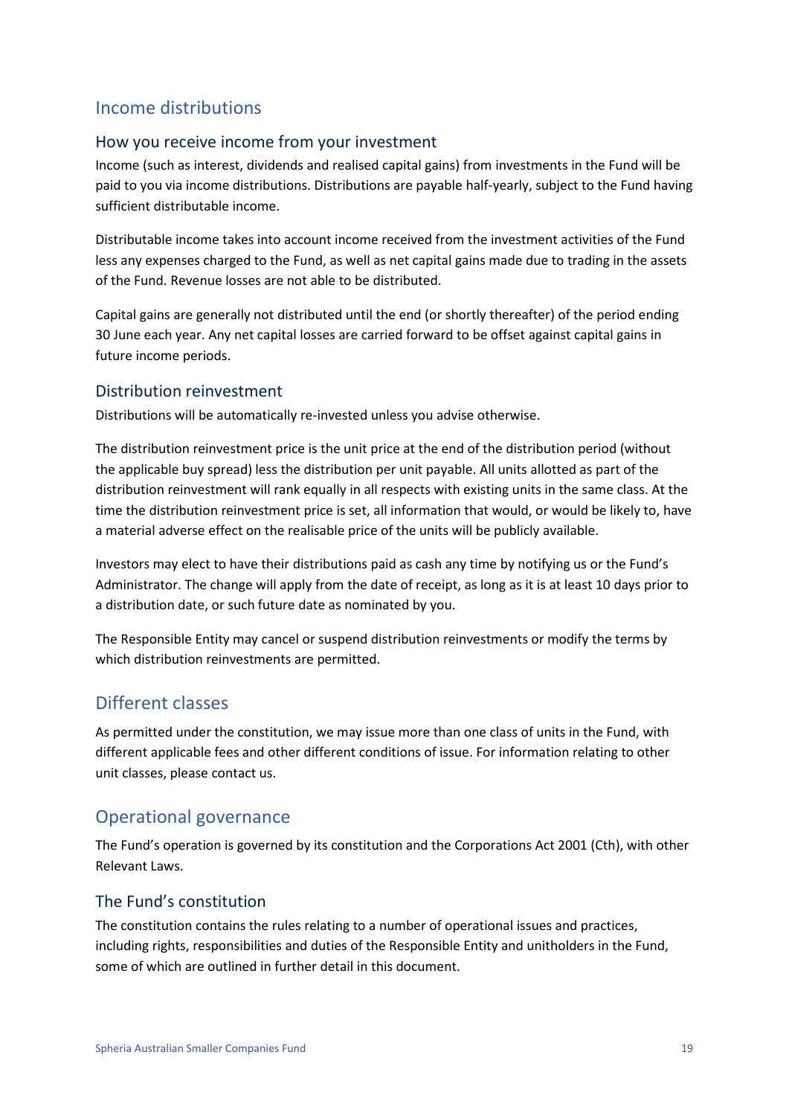## Income distributions

#### How you receive income from your investment

Income (such as interest, dividends and realised capital gains) from investments in the Fund will be paid to you via income distributions. Distributions are payable half-yearly, subject to the Fund having sufficient distributable income.

Distributable income takes into account income received from the investment activities of the Fund less any expenses charged to the Fund, as well as net capital gains made due to trading in the assets of the Fund. Revenue losses are not able to be distributed.

Capital gains are generally not distributed until the end (or shortly thereafter) of the period ending 30 June each year. Any net capital losses are carried forward to be offset against capital gains in future income periods.

#### Distribution reinvestment

Distributions will be automatically re-invested unless you advise otherwise.

The distribution reinvestment price is the unit price at the end of the distribution period (without the applicable buy spread) less the distribution per unit payable. All units allotted as part of the distribution reinvestment will rank equally in all respects with existing units in the same class. At the time the distribution reinvestment price is set, all information that would, or would be likely to, have a material adverse effect on the realisable price of the units will be publicly available.

Investors may elect to have their distributions paid as cash any time by notifying us or the Fund's Administrator. The change will apply from the date of receipt, as long as it is at least 10 days prior to a distribution date, or such future date as nominated by you.

The Responsible Entity may cancel or suspend distribution reinvestments or modify the terms by which distribution reinvestments are permitted.

## Different classes

As permitted under the constitution, we may issue more than one class of units in the Fund, with different applicable fees and other different conditions of issue. For information relating to other unit classes, please contact us.

### Operational governance

The Fund's operation is governed by its constitution and the Corporations Act 2001 (Cth), with other Relevant Laws.

#### The Fund's constitution

The constitution contains the rules relating to a number of operational issues and practices, including rights, responsibilities and duties of the Responsible Entity and unitholders in the Fund, some of which are outlined in further detail in this document.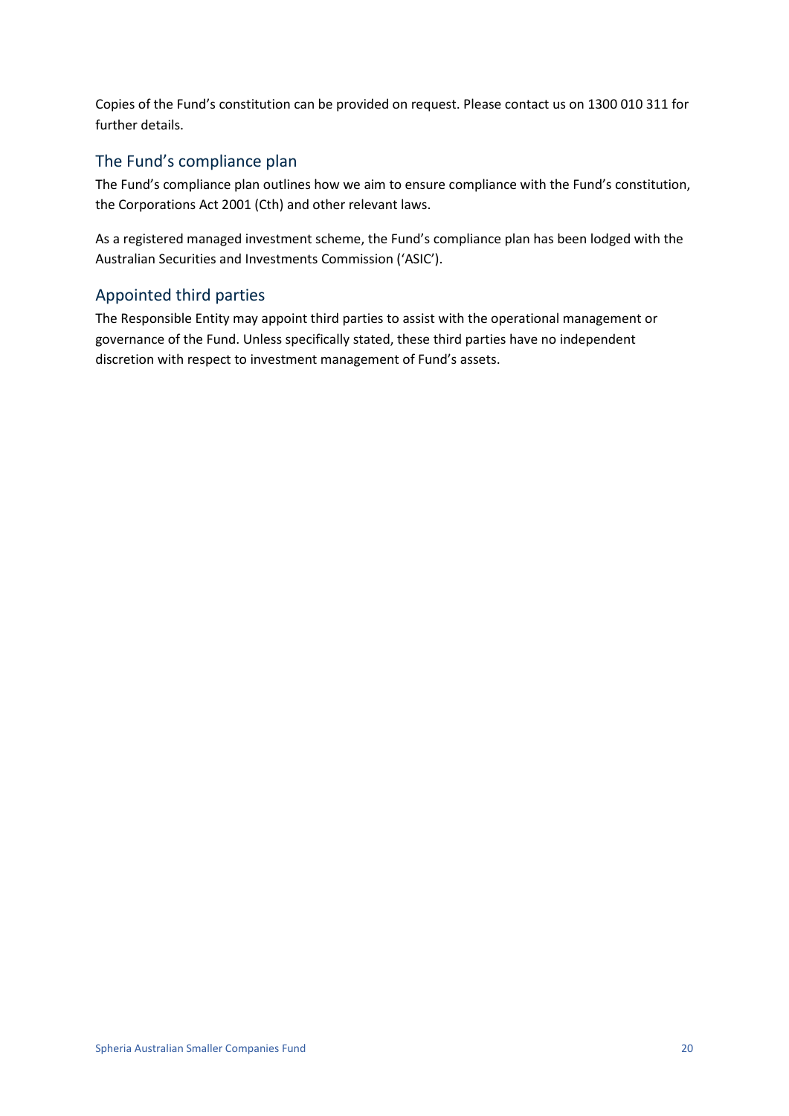Copies of the Fund's constitution can be provided on request. Please contact us on 1300 010 311 for further details.

#### The Fund's compliance plan

The Fund's compliance plan outlines how we aim to ensure compliance with the Fund's constitution, the Corporations Act 2001 (Cth) and other relevant laws.

As a registered managed investment scheme, the Fund's compliance plan has been lodged with the Australian Securities and Investments Commission ('ASIC').

### Appointed third parties

The Responsible Entity may appoint third parties to assist with the operational management or governance of the Fund. Unless specifically stated, these third parties have no independent discretion with respect to investment management of Fund's assets.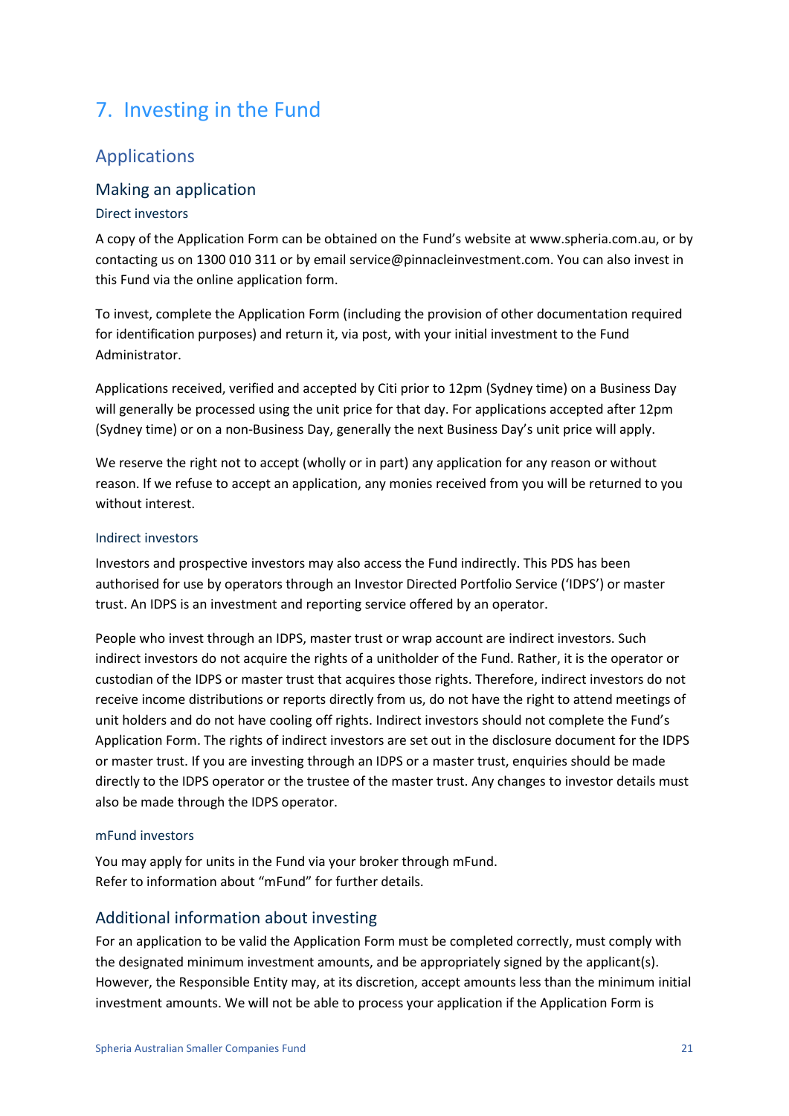## <span id="page-20-0"></span>7. Investing in the Fund

### Applications

#### Making an application

#### Direct investors

A copy of the Application Form can be obtained on the Fund's website at www.spheria.com.au, or by contacting us on 1300 010 311 or by email service@pinnacleinvestment.com. You can also invest in this Fund via the online application form.

To invest, complete the Application Form (including the provision of other documentation required for identification purposes) and return it, via post, with your initial investment to the Fund Administrator.

Applications received, verified and accepted by Citi prior to 12pm (Sydney time) on a Business Day will generally be processed using the unit price for that day. For applications accepted after 12pm (Sydney time) or on a non-Business Day, generally the next Business Day's unit price will apply.

We reserve the right not to accept (wholly or in part) any application for any reason or without reason. If we refuse to accept an application, any monies received from you will be returned to you without interest.

#### Indirect investors

Investors and prospective investors may also access the Fund indirectly. This PDS has been authorised for use by operators through an Investor Directed Portfolio Service ('IDPS') or master trust. An IDPS is an investment and reporting service offered by an operator.

People who invest through an IDPS, master trust or wrap account are indirect investors. Such indirect investors do not acquire the rights of a unitholder of the Fund. Rather, it is the operator or custodian of the IDPS or master trust that acquires those rights. Therefore, indirect investors do not receive income distributions or reports directly from us, do not have the right to attend meetings of unit holders and do not have cooling off rights. Indirect investors should not complete the Fund's Application Form. The rights of indirect investors are set out in the disclosure document for the IDPS or master trust. If you are investing through an IDPS or a master trust, enquiries should be made directly to the IDPS operator or the trustee of the master trust. Any changes to investor details must also be made through the IDPS operator.

#### mFund investors

You may apply for units in the Fund via your broker through mFund. Refer to information about "mFund" for further details.

#### Additional information about investing

For an application to be valid the Application Form must be completed correctly, must comply with the designated minimum investment amounts, and be appropriately signed by the applicant(s). However, the Responsible Entity may, at its discretion, accept amounts less than the minimum initial investment amounts. We will not be able to process your application if the Application Form is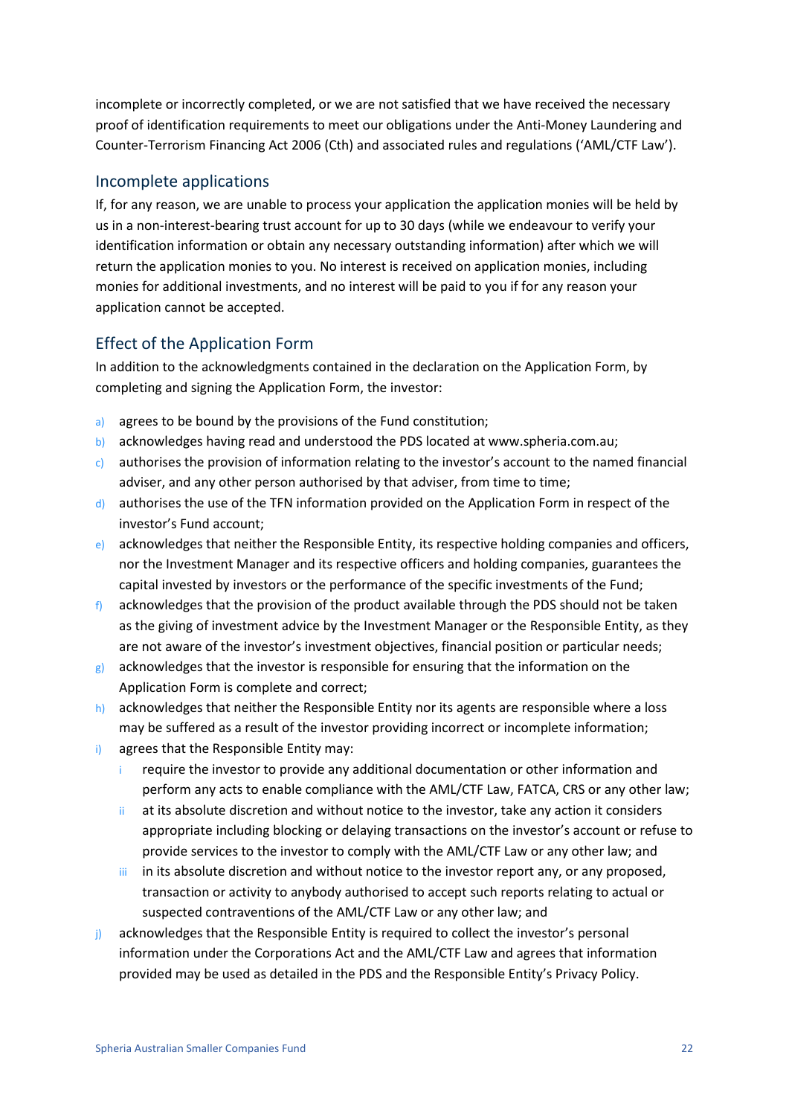incomplete or incorrectly completed, or we are not satisfied that we have received the necessary proof of identification requirements to meet our obligations under the Anti-Money Laundering and Counter-Terrorism Financing Act 2006 (Cth) and associated rules and regulations ('AML/CTF Law').

#### Incomplete applications

If, for any reason, we are unable to process your application the application monies will be held by us in a non-interest-bearing trust account for up to 30 days (while we endeavour to verify your identification information or obtain any necessary outstanding information) after which we will return the application monies to you. No interest is received on application monies, including monies for additional investments, and no interest will be paid to you if for any reason your application cannot be accepted.

### Effect of the Application Form

In addition to the acknowledgments contained in the declaration on the Application Form, by completing and signing the Application Form, the investor:

- a) agrees to be bound by the provisions of the Fund constitution;
- b) acknowledges having read and understood the PDS located at www.spheria.com.au;
- c) authorises the provision of information relating to the investor's account to the named financial adviser, and any other person authorised by that adviser, from time to time;
- d) authorises the use of the TFN information provided on the Application Form in respect of the investor's Fund account;
- e) acknowledges that neither the Responsible Entity, its respective holding companies and officers, nor the Investment Manager and its respective officers and holding companies, guarantees the capital invested by investors or the performance of the specific investments of the Fund;
- $f$  acknowledges that the provision of the product available through the PDS should not be taken as the giving of investment advice by the Investment Manager or the Responsible Entity, as they are not aware of the investor's investment objectives, financial position or particular needs;
- $g$ ) acknowledges that the investor is responsible for ensuring that the information on the Application Form is complete and correct;
- h) acknowledges that neither the Responsible Entity nor its agents are responsible where a loss may be suffered as a result of the investor providing incorrect or incomplete information;
- i) agrees that the Responsible Entity may:
	- i require the investor to provide any additional documentation or other information and perform any acts to enable compliance with the AML/CTF Law, FATCA, CRS or any other law;
	- at its absolute discretion and without notice to the investor, take any action it considers appropriate including blocking or delaying transactions on the investor's account or refuse to provide services to the investor to comply with the AML/CTF Law or any other law; and
	- iii in its absolute discretion and without notice to the investor report any, or any proposed, transaction or activity to anybody authorised to accept such reports relating to actual or suspected contraventions of the AML/CTF Law or any other law; and
- j) acknowledges that the Responsible Entity is required to collect the investor's personal information under the Corporations Act and the AML/CTF Law and agrees that information provided may be used as detailed in the PDS and the Responsible Entity's Privacy Policy.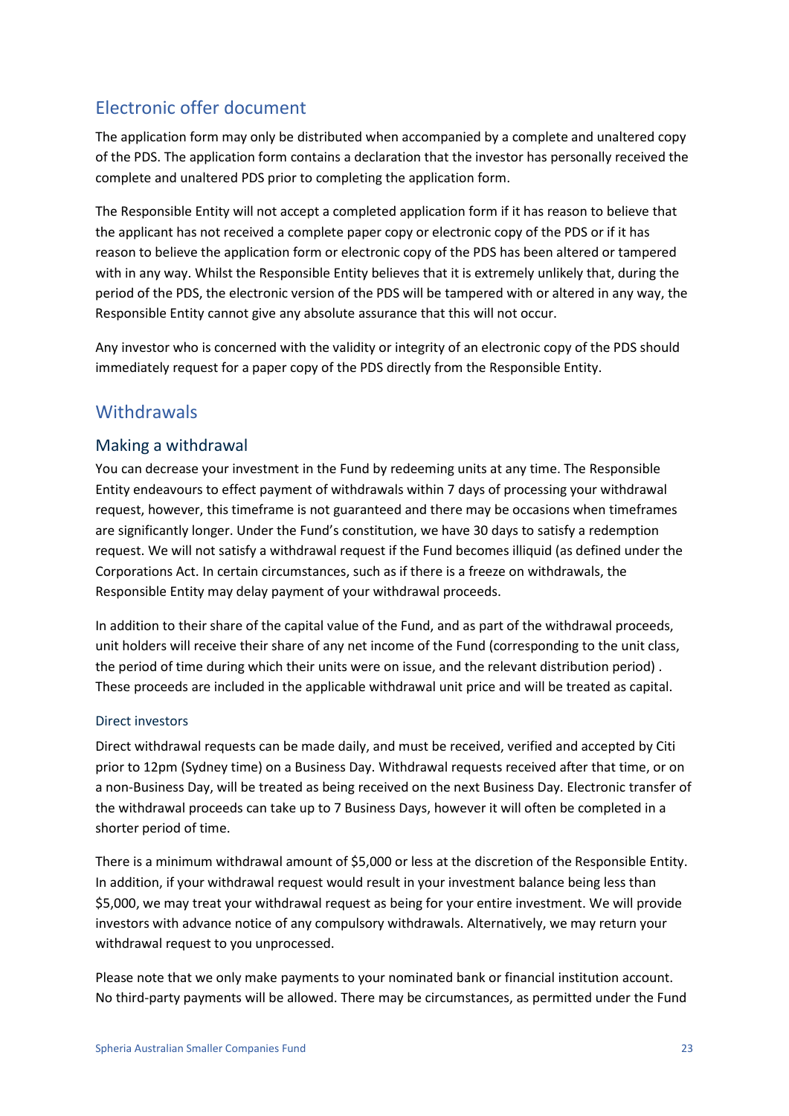## Electronic offer document

The application form may only be distributed when accompanied by a complete and unaltered copy of the PDS. The application form contains a declaration that the investor has personally received the complete and unaltered PDS prior to completing the application form.

The Responsible Entity will not accept a completed application form if it has reason to believe that the applicant has not received a complete paper copy or electronic copy of the PDS or if it has reason to believe the application form or electronic copy of the PDS has been altered or tampered with in any way. Whilst the Responsible Entity believes that it is extremely unlikely that, during the period of the PDS, the electronic version of the PDS will be tampered with or altered in any way, the Responsible Entity cannot give any absolute assurance that this will not occur.

Any investor who is concerned with the validity or integrity of an electronic copy of the PDS should immediately request for a paper copy of the PDS directly from the Responsible Entity.

### **Withdrawals**

#### Making a withdrawal

You can decrease your investment in the Fund by redeeming units at any time. The Responsible Entity endeavours to effect payment of withdrawals within 7 days of processing your withdrawal request, however, this timeframe is not guaranteed and there may be occasions when timeframes are significantly longer. Under the Fund's constitution, we have 30 days to satisfy a redemption request. We will not satisfy a withdrawal request if the Fund becomes illiquid (as defined under the Corporations Act. In certain circumstances, such as if there is a freeze on withdrawals, the Responsible Entity may delay payment of your withdrawal proceeds.

In addition to their share of the capital value of the Fund, and as part of the withdrawal proceeds, unit holders will receive their share of any net income of the Fund (corresponding to the unit class, the period of time during which their units were on issue, and the relevant distribution period) . These proceeds are included in the applicable withdrawal unit price and will be treated as capital.

#### Direct investors

Direct withdrawal requests can be made daily, and must be received, verified and accepted by Citi prior to 12pm (Sydney time) on a Business Day. Withdrawal requests received after that time, or on a non-Business Day, will be treated as being received on the next Business Day. Electronic transfer of the withdrawal proceeds can take up to 7 Business Days, however it will often be completed in a shorter period of time.

There is a minimum withdrawal amount of \$5,000 or less at the discretion of the Responsible Entity. In addition, if your withdrawal request would result in your investment balance being less than \$5,000, we may treat your withdrawal request as being for your entire investment. We will provide investors with advance notice of any compulsory withdrawals. Alternatively, we may return your withdrawal request to you unprocessed.

Please note that we only make payments to your nominated bank or financial institution account. No third-party payments will be allowed. There may be circumstances, as permitted under the Fund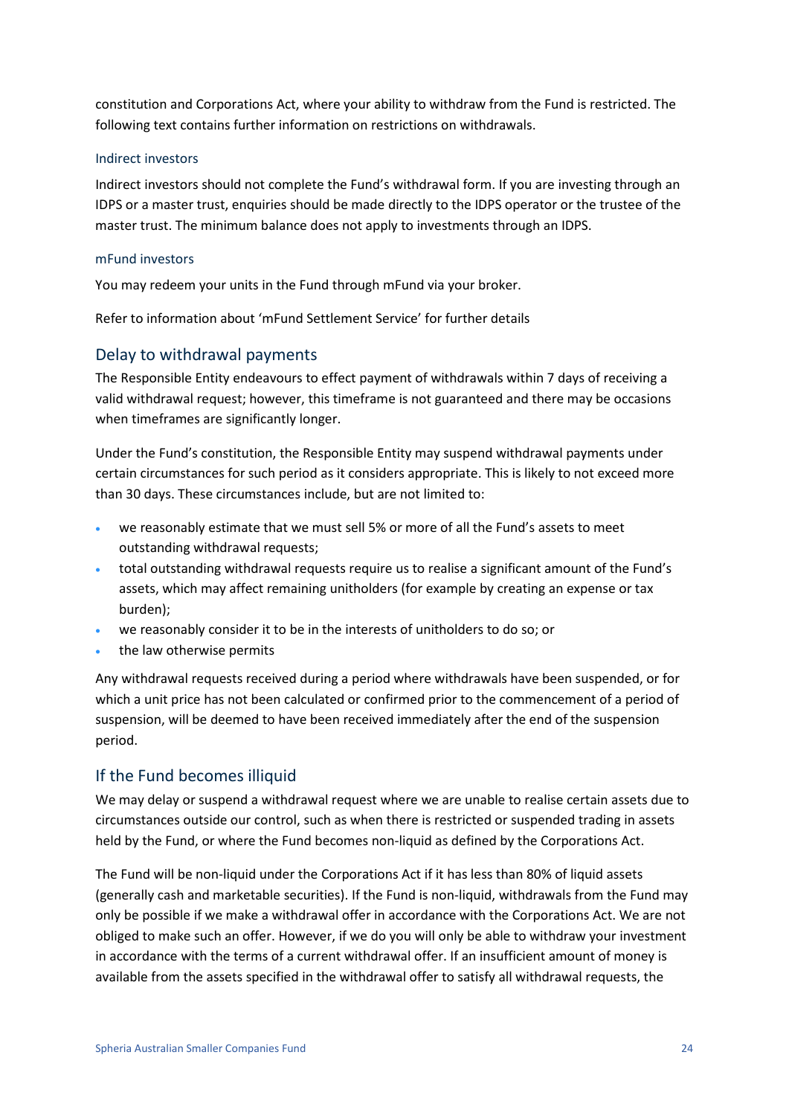constitution and Corporations Act, where your ability to withdraw from the Fund is restricted. The following text contains further information on restrictions on withdrawals.

#### Indirect investors

Indirect investors should not complete the Fund's withdrawal form. If you are investing through an IDPS or a master trust, enquiries should be made directly to the IDPS operator or the trustee of the master trust. The minimum balance does not apply to investments through an IDPS.

#### mFund investors

You may redeem your units in the Fund through mFund via your broker.

Refer to information about 'mFund Settlement Service' for further details

#### Delay to withdrawal payments

The Responsible Entity endeavours to effect payment of withdrawals within 7 days of receiving a valid withdrawal request; however, this timeframe is not guaranteed and there may be occasions when timeframes are significantly longer.

Under the Fund's constitution, the Responsible Entity may suspend withdrawal payments under certain circumstances for such period as it considers appropriate. This is likely to not exceed more than 30 days. These circumstances include, but are not limited to:

- we reasonably estimate that we must sell 5% or more of all the Fund's assets to meet outstanding withdrawal requests;
- total outstanding withdrawal requests require us to realise a significant amount of the Fund's assets, which may affect remaining unitholders (for example by creating an expense or tax burden);
- we reasonably consider it to be in the interests of unitholders to do so; or
- the law otherwise permits

Any withdrawal requests received during a period where withdrawals have been suspended, or for which a unit price has not been calculated or confirmed prior to the commencement of a period of suspension, will be deemed to have been received immediately after the end of the suspension period.

#### If the Fund becomes illiquid

We may delay or suspend a withdrawal request where we are unable to realise certain assets due to circumstances outside our control, such as when there is restricted or suspended trading in assets held by the Fund, or where the Fund becomes non-liquid as defined by the Corporations Act.

The Fund will be non-liquid under the Corporations Act if it has less than 80% of liquid assets (generally cash and marketable securities). If the Fund is non-liquid, withdrawals from the Fund may only be possible if we make a withdrawal offer in accordance with the Corporations Act. We are not obliged to make such an offer. However, if we do you will only be able to withdraw your investment in accordance with the terms of a current withdrawal offer. If an insufficient amount of money is available from the assets specified in the withdrawal offer to satisfy all withdrawal requests, the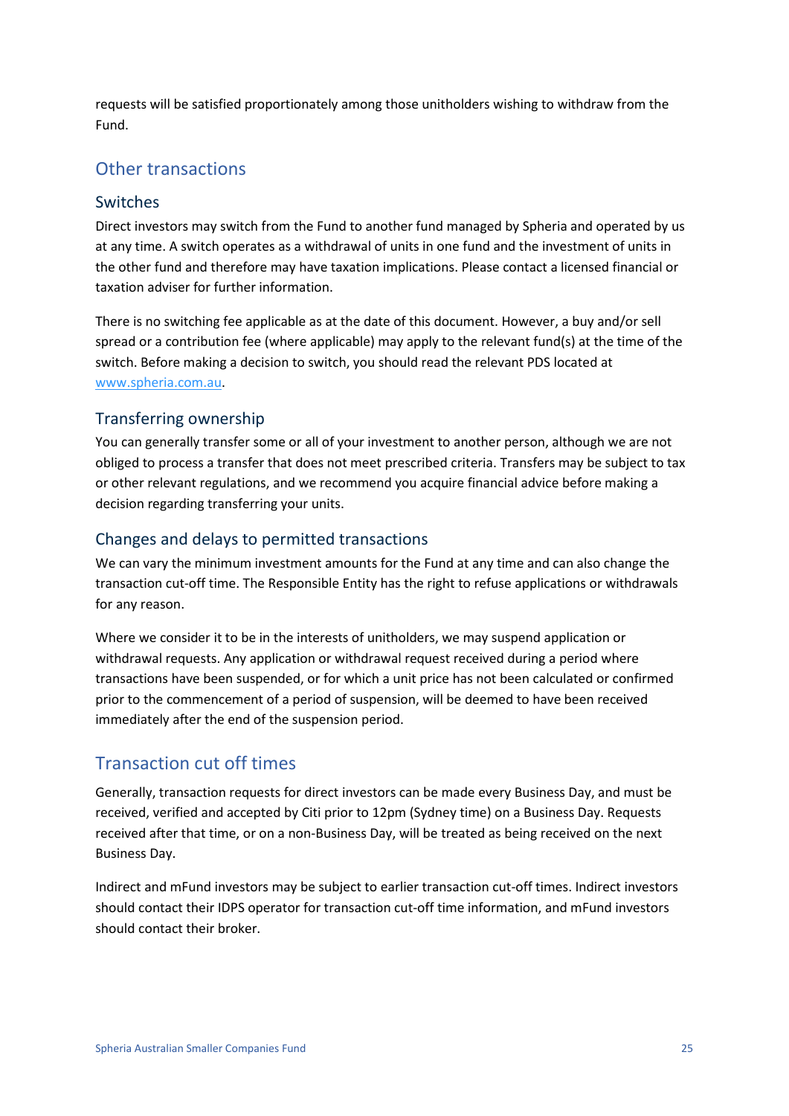requests will be satisfied proportionately among those unitholders wishing to withdraw from the Fund.

## Other transactions

#### Switches

Direct investors may switch from the Fund to another fund managed by Spheria and operated by us at any time. A switch operates as a withdrawal of units in one fund and the investment of units in the other fund and therefore may have taxation implications. Please contact a licensed financial or taxation adviser for further information.

There is no switching fee applicable as at the date of this document. However, a buy and/or sell spread or a contribution fee (where applicable) may apply to the relevant fund(s) at the time of the switch. Before making a decision to switch, you should read the relevant PDS located at www.spheria.com.au.

#### Transferring ownership

You can generally transfer some or all of your investment to another person, although we are not obliged to process a transfer that does not meet prescribed criteria. Transfers may be subject to tax or other relevant regulations, and we recommend you acquire financial advice before making a decision regarding transferring your units.

#### Changes and delays to permitted transactions

We can vary the minimum investment amounts for the Fund at any time and can also change the transaction cut-off time. The Responsible Entity has the right to refuse applications or withdrawals for any reason.

Where we consider it to be in the interests of unitholders, we may suspend application or withdrawal requests. Any application or withdrawal request received during a period where transactions have been suspended, or for which a unit price has not been calculated or confirmed prior to the commencement of a period of suspension, will be deemed to have been received immediately after the end of the suspension period.

### Transaction cut off times

Generally, transaction requests for direct investors can be made every Business Day, and must be received, verified and accepted by Citi prior to 12pm (Sydney time) on a Business Day. Requests received after that time, or on a non-Business Day, will be treated as being received on the next Business Day.

Indirect and mFund investors may be subject to earlier transaction cut-off times. Indirect investors should contact their IDPS operator for transaction cut-off time information, and mFund investors should contact their broker.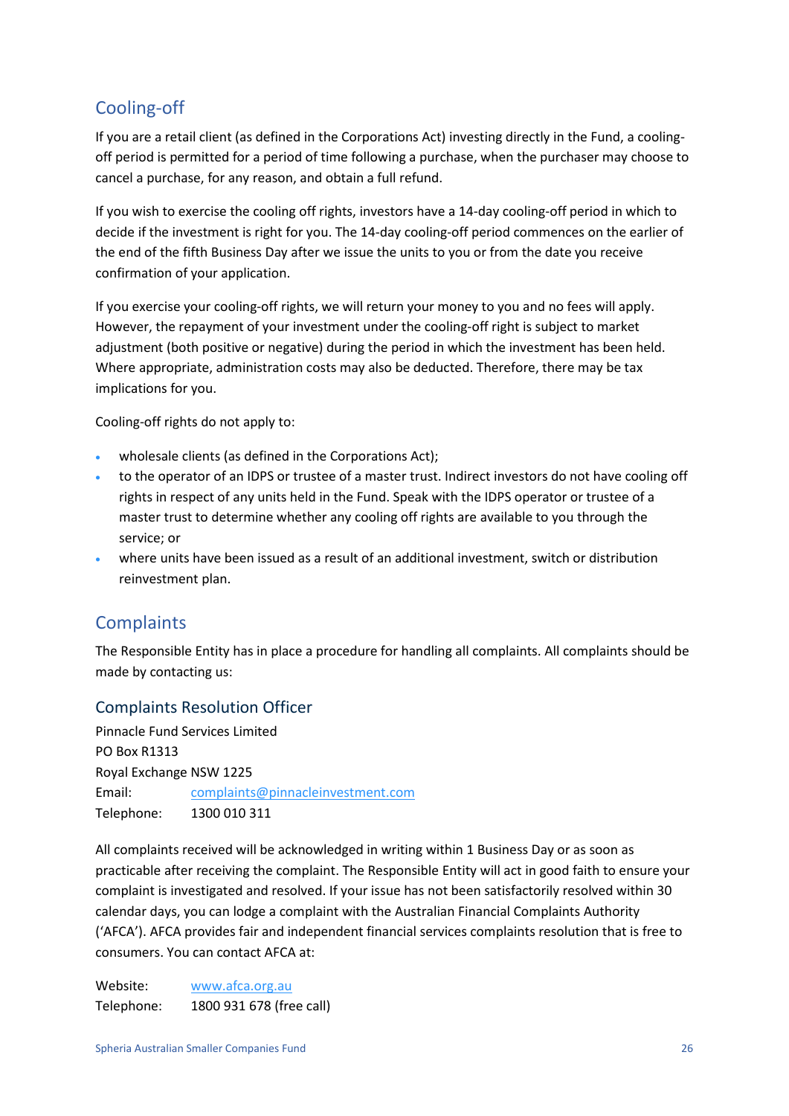## Cooling-off

If you are a retail client (as defined in the Corporations Act) investing directly in the Fund, a coolingoff period is permitted for a period of time following a purchase, when the purchaser may choose to cancel a purchase, for any reason, and obtain a full refund.

If you wish to exercise the cooling off rights, investors have a 14-day cooling-off period in which to decide if the investment is right for you. The 14-day cooling-off period commences on the earlier of the end of the fifth Business Day after we issue the units to you or from the date you receive confirmation of your application.

If you exercise your cooling-off rights, we will return your money to you and no fees will apply. However, the repayment of your investment under the cooling-off right is subject to market adjustment (both positive or negative) during the period in which the investment has been held. Where appropriate, administration costs may also be deducted. Therefore, there may be tax implications for you.

Cooling-off rights do not apply to:

- wholesale clients (as defined in the Corporations Act);
- to the operator of an IDPS or trustee of a master trust. Indirect investors do not have cooling off rights in respect of any units held in the Fund. Speak with the IDPS operator or trustee of a master trust to determine whether any cooling off rights are available to you through the service; or
- where units have been issued as a result of an additional investment, switch or distribution reinvestment plan.

## **Complaints**

The Responsible Entity has in place a procedure for handling all complaints. All complaints should be made by contacting us:

#### Complaints Resolution Officer

Pinnacle Fund Services Limited PO Box R1313 Royal Exchange NSW 1225 Email: complaints@pinnacleinvestment.com Telephone: 1300 010 311

All complaints received will be acknowledged in writing within 1 Business Day or as soon as practicable after receiving the complaint. The Responsible Entity will act in good faith to ensure your complaint is investigated and resolved. If your issue has not been satisfactorily resolved within 30 calendar days, you can lodge a complaint with the Australian Financial Complaints Authority ('AFCA'). AFCA provides fair and independent financial services complaints resolution that is free to consumers. You can contact AFCA at:

Website: [www.afca.org.au](http://www.afca.org.au/) Telephone: 1800 931 678 (free call)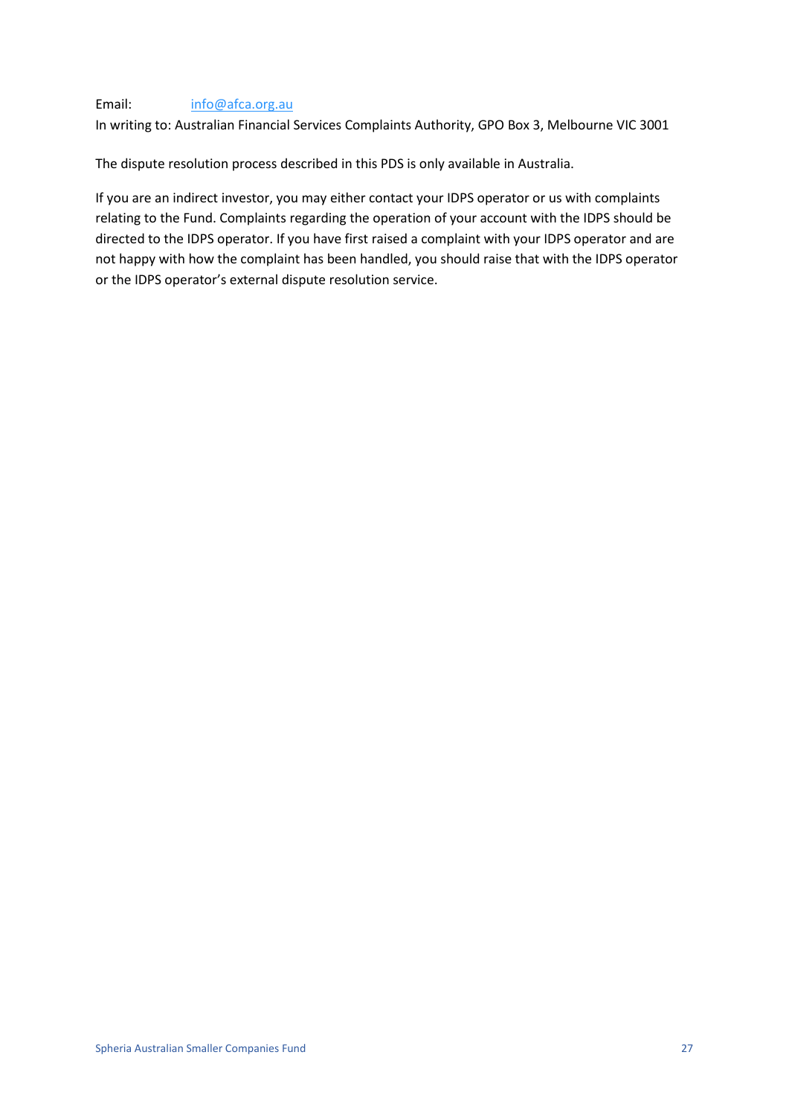#### Email: [info@afca.org.au](mailto:info@afca.org.au)

In writing to: Australian Financial Services Complaints Authority, GPO Box 3, Melbourne VIC 3001

The dispute resolution process described in this PDS is only available in Australia.

If you are an indirect investor, you may either contact your IDPS operator or us with complaints relating to the Fund. Complaints regarding the operation of your account with the IDPS should be directed to the IDPS operator. If you have first raised a complaint with your IDPS operator and are not happy with how the complaint has been handled, you should raise that with the IDPS operator or the IDPS operator's external dispute resolution service.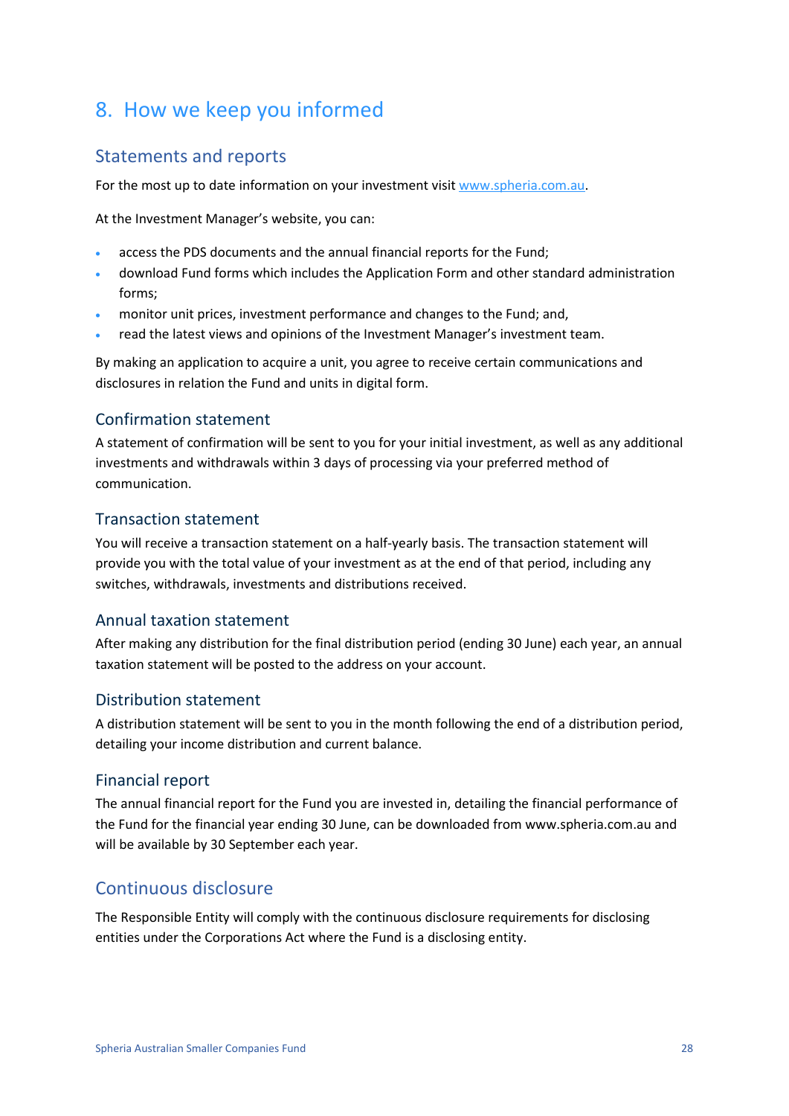## <span id="page-27-0"></span>8. How we keep you informed

## Statements and reports

For the most up to date information on your investment visit www.spheria.com.au.

At the Investment Manager's website, you can:

- access the PDS documents and the annual financial reports for the Fund;
- download Fund forms which includes the Application Form and other standard administration forms;
- monitor unit prices, investment performance and changes to the Fund; and,
- read the latest views and opinions of the Investment Manager's investment team.

By making an application to acquire a unit, you agree to receive certain communications and disclosures in relation the Fund and units in digital form.

#### Confirmation statement

A statement of confirmation will be sent to you for your initial investment, as well as any additional investments and withdrawals within 3 days of processing via your preferred method of communication.

#### Transaction statement

You will receive a transaction statement on a half-yearly basis. The transaction statement will provide you with the total value of your investment as at the end of that period, including any switches, withdrawals, investments and distributions received.

#### Annual taxation statement

After making any distribution for the final distribution period (ending 30 June) each year, an annual taxation statement will be posted to the address on your account.

#### Distribution statement

A distribution statement will be sent to you in the month following the end of a distribution period, detailing your income distribution and current balance.

#### Financial report

The annual financial report for the Fund you are invested in, detailing the financial performance of the Fund for the financial year ending 30 June, can be downloaded from www.spheria.com.au and will be available by 30 September each year.

### Continuous disclosure

The Responsible Entity will comply with the continuous disclosure requirements for disclosing entities under the Corporations Act where the Fund is a disclosing entity.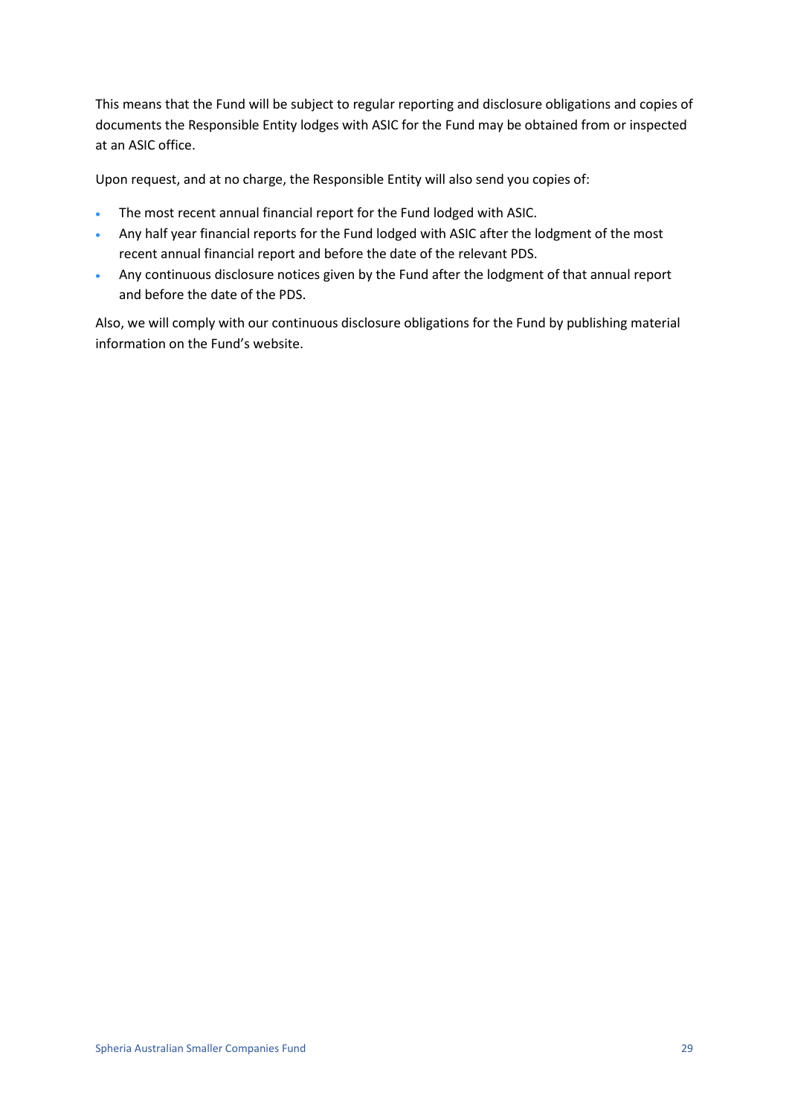This means that the Fund will be subject to regular reporting and disclosure obligations and copies of documents the Responsible Entity lodges with ASIC for the Fund may be obtained from or inspected at an ASIC office.

Upon request, and at no charge, the Responsible Entity will also send you copies of:

- The most recent annual financial report for the Fund lodged with ASIC.
- Any half year financial reports for the Fund lodged with ASIC after the lodgment of the most recent annual financial report and before the date of the relevant PDS.
- Any continuous disclosure notices given by the Fund after the lodgment of that annual report and before the date of the PDS.

Also, we will comply with our continuous disclosure obligations for the Fund by publishing material information on the Fund's website.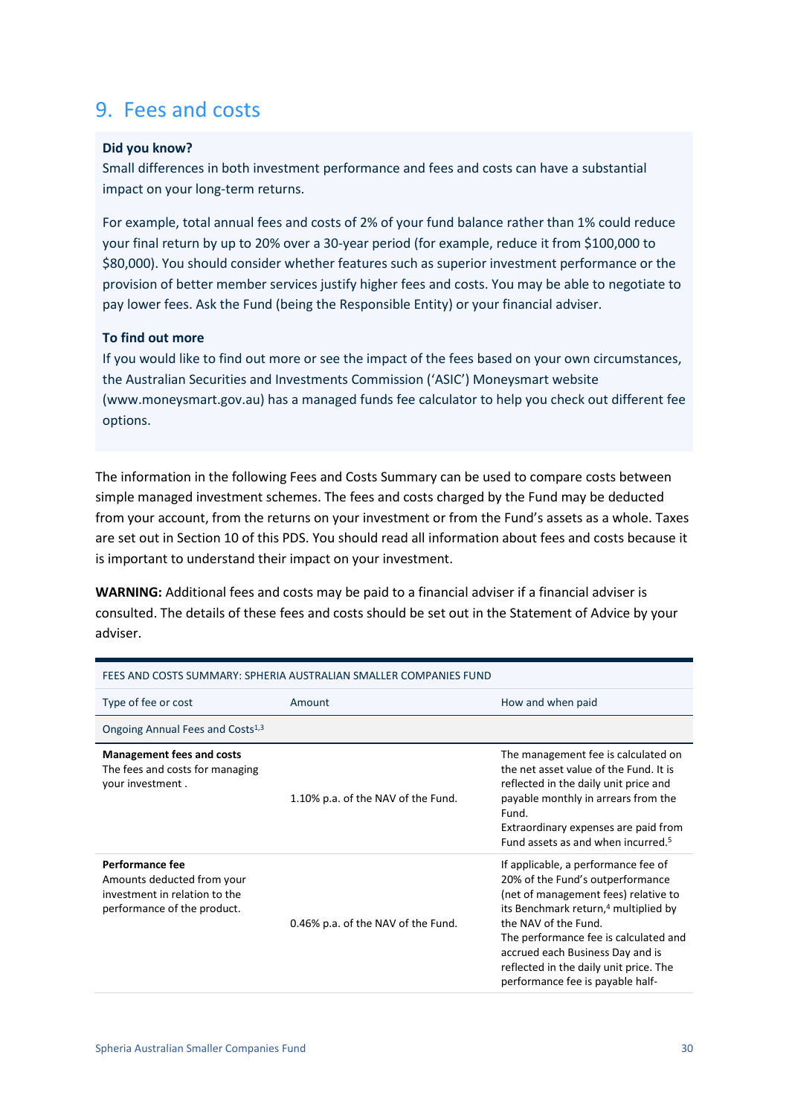## <span id="page-29-0"></span>9. Fees and costs

#### **Did you know?**

Small differences in both investment performance and fees and costs can have a substantial impact on your long-term returns.

For example, total annual fees and costs of 2% of your fund balance rather than 1% could reduce your final return by up to 20% over a 30-year period (for example, reduce it from \$100,000 to \$80,000). You should consider whether features such as superior investment performance or the provision of better member services justify higher fees and costs. You may be able to negotiate to pay lower fees. Ask the Fund (being the Responsible Entity) or your financial adviser.

#### **To find out more**

If you would like to find out more or see the impact of the fees based on your own circumstances, the Australian Securities and Investments Commission ('ASIC') Moneysmart website (www.moneysmart.gov.au) has a managed funds fee calculator to help you check out different fee options.

The information in the following Fees and Costs Summary can be used to compare costs between simple managed investment schemes. The fees and costs charged by the Fund may be deducted from your account, from the returns on your investment or from the Fund's assets as a whole. Taxes are set out in Section [10](#page-36-0) of this PDS. You should read all information about fees and costs because it is important to understand their impact on your investment.

**WARNING:** Additional fees and costs may be paid to a financial adviser if a financial adviser is consulted. The details of these fees and costs should be set out in the Statement of Advice by your adviser.

| FEES AND COSTS SUMMARY: SPHERIA AUSTRALIAN SMALLER COMPANIES FUND                                             |                                    |                                                                                                                                                                                                                                                                                                                                                        |
|---------------------------------------------------------------------------------------------------------------|------------------------------------|--------------------------------------------------------------------------------------------------------------------------------------------------------------------------------------------------------------------------------------------------------------------------------------------------------------------------------------------------------|
| Type of fee or cost                                                                                           | Amount                             | How and when paid                                                                                                                                                                                                                                                                                                                                      |
| Ongoing Annual Fees and Costs <sup>1,3</sup>                                                                  |                                    |                                                                                                                                                                                                                                                                                                                                                        |
| <b>Management fees and costs</b><br>The fees and costs for managing<br>your investment.                       | 1.10% p.a. of the NAV of the Fund. | The management fee is calculated on<br>the net asset value of the Fund. It is<br>reflected in the daily unit price and<br>payable monthly in arrears from the<br>Fund.<br>Extraordinary expenses are paid from<br>Fund assets as and when incurred. <sup>5</sup>                                                                                       |
| Performance fee<br>Amounts deducted from your<br>investment in relation to the<br>performance of the product. | 0.46% p.a. of the NAV of the Fund. | If applicable, a performance fee of<br>20% of the Fund's outperformance<br>(net of management fees) relative to<br>its Benchmark return, <sup>4</sup> multiplied by<br>the NAV of the Fund.<br>The performance fee is calculated and<br>accrued each Business Day and is<br>reflected in the daily unit price. The<br>performance fee is payable half- |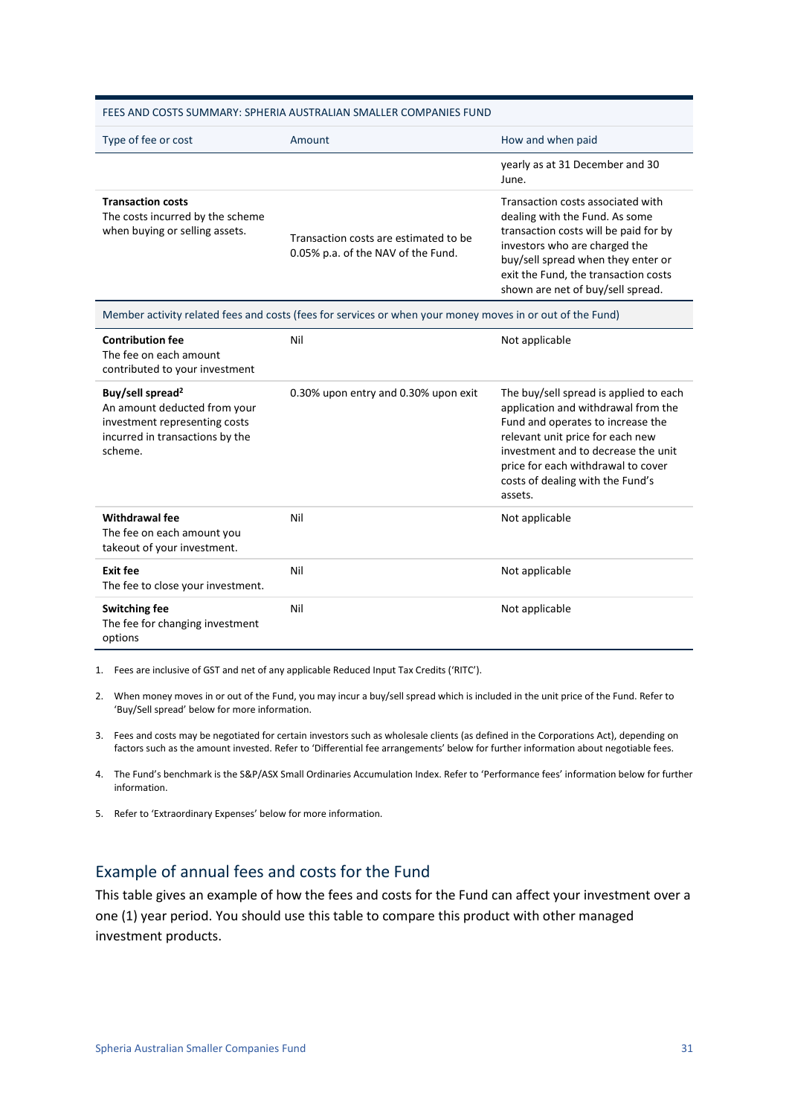|                                                                                                                                             | FEES AND COSTS SUMMARY: SPHERIA AUSTRALIAN SMALLER COMPANIES FUND                                         |                                                                                                                                                                                                                                                                                    |
|---------------------------------------------------------------------------------------------------------------------------------------------|-----------------------------------------------------------------------------------------------------------|------------------------------------------------------------------------------------------------------------------------------------------------------------------------------------------------------------------------------------------------------------------------------------|
| Type of fee or cost                                                                                                                         | Amount                                                                                                    | How and when paid                                                                                                                                                                                                                                                                  |
|                                                                                                                                             |                                                                                                           | yearly as at 31 December and 30<br>June.                                                                                                                                                                                                                                           |
| <b>Transaction costs</b><br>The costs incurred by the scheme<br>when buying or selling assets.                                              | Transaction costs are estimated to be<br>0.05% p.a. of the NAV of the Fund.                               | Transaction costs associated with<br>dealing with the Fund. As some<br>transaction costs will be paid for by<br>investors who are charged the<br>buy/sell spread when they enter or<br>exit the Fund, the transaction costs<br>shown are net of buy/sell spread.                   |
|                                                                                                                                             | Member activity related fees and costs (fees for services or when your money moves in or out of the Fund) |                                                                                                                                                                                                                                                                                    |
| <b>Contribution fee</b><br>The fee on each amount<br>contributed to your investment                                                         | Nil                                                                                                       | Not applicable                                                                                                                                                                                                                                                                     |
| Buy/sell spread <sup>2</sup><br>An amount deducted from your<br>investment representing costs<br>incurred in transactions by the<br>scheme. | 0.30% upon entry and 0.30% upon exit                                                                      | The buy/sell spread is applied to each<br>application and withdrawal from the<br>Fund and operates to increase the<br>relevant unit price for each new<br>investment and to decrease the unit<br>price for each withdrawal to cover<br>costs of dealing with the Fund's<br>assets. |
| Withdrawal fee<br>The fee on each amount you<br>takeout of your investment.                                                                 | Nil                                                                                                       | Not applicable                                                                                                                                                                                                                                                                     |
| <b>Exit fee</b><br>The fee to close your investment.                                                                                        | Nil                                                                                                       | Not applicable                                                                                                                                                                                                                                                                     |
| <b>Switching fee</b><br>The fee for changing investment<br>options                                                                          | Nil                                                                                                       | Not applicable                                                                                                                                                                                                                                                                     |

1. Fees are inclusive of GST and net of any applicable Reduced Input Tax Credits ('RITC').

2. When money moves in or out of the Fund, you may incur a buy/sell spread which is included in the unit price of the Fund. Refer to 'Buy/Sell spread' below for more information.

- 3. Fees and costs may be negotiated for certain investors such as wholesale clients (as defined in the Corporations Act), depending on factors such as the amount invested. Refer to 'Differential fee arrangements' below for further information about negotiable fees.
- 4. The Fund's benchmark is the S&P/ASX Small Ordinaries Accumulation Index. Refer to 'Performance fees' information below for further information.
- 5. Refer to 'Extraordinary Expenses' below for more information.

#### Example of annual fees and costs for the Fund

This table gives an example of how the fees and costs for the Fund can affect your investment over a one (1) year period. You should use this table to compare this product with other managed investment products.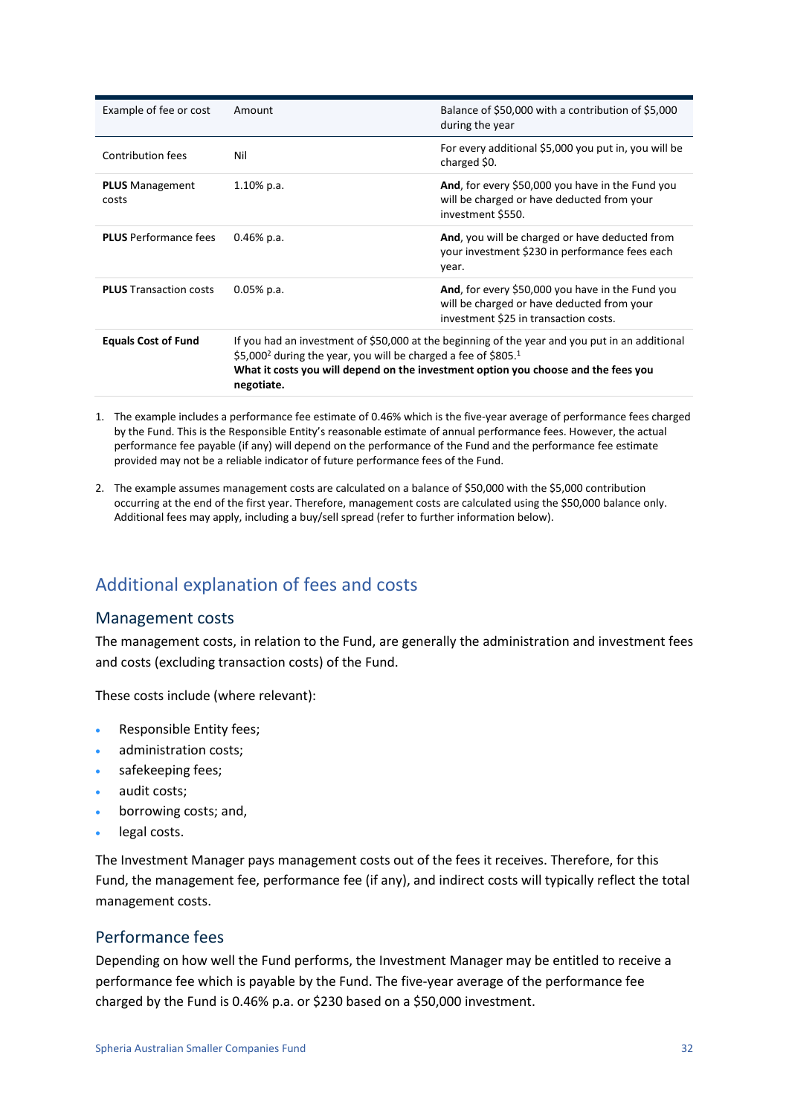| Example of fee or cost          | Amount                                                                                                                                                                                                                                                                                       | Balance of \$50,000 with a contribution of \$5,000<br>during the year                                               |
|---------------------------------|----------------------------------------------------------------------------------------------------------------------------------------------------------------------------------------------------------------------------------------------------------------------------------------------|---------------------------------------------------------------------------------------------------------------------|
| Contribution fees               | Nil                                                                                                                                                                                                                                                                                          | For every additional \$5,000 you put in, you will be<br>charged \$0.                                                |
| <b>PLUS</b> Management<br>costs | 1.10% p.a.                                                                                                                                                                                                                                                                                   | And, for every \$50,000 you have in the Fund you<br>will be charged or have deducted from your<br>investment \$550. |
| <b>PLUS</b> Performance fees    | $0.46\%$ p.a.                                                                                                                                                                                                                                                                                | And, you will be charged or have deducted from<br>your investment \$230 in performance fees each<br>year.           |
| <b>PLUS</b> Transaction costs   | And, for every \$50,000 you have in the Fund you<br>$0.05\%$ p.a.<br>will be charged or have deducted from your<br>investment \$25 in transaction costs.                                                                                                                                     |                                                                                                                     |
| <b>Equals Cost of Fund</b>      | If you had an investment of \$50,000 at the beginning of the year and you put in an additional<br>\$5,000 <sup>2</sup> during the year, you will be charged a fee of \$805. <sup>1</sup><br>What it costs you will depend on the investment option you choose and the fees you<br>negotiate. |                                                                                                                     |

- 1. The example includes a performance fee estimate of 0.46% which is the five-year average of performance fees charged by the Fund. This is the Responsible Entity's reasonable estimate of annual performance fees. However, the actual performance fee payable (if any) will depend on the performance of the Fund and the performance fee estimate provided may not be a reliable indicator of future performance fees of the Fund.
- 2. The example assumes management costs are calculated on a balance of \$50,000 with the \$5,000 contribution occurring at the end of the first year. Therefore, management costs are calculated using the \$50,000 balance only. Additional fees may apply, including a buy/sell spread (refer to further information below).

## Additional explanation of fees and costs

#### Management costs

The management costs, in relation to the Fund, are generally the administration and investment fees and costs (excluding transaction costs) of the Fund.

These costs include (where relevant):

- Responsible Entity fees;
- administration costs:
- safekeeping fees;
- audit costs;
- borrowing costs; and,
- legal costs.

The Investment Manager pays management costs out of the fees it receives. Therefore, for this Fund, the management fee, performance fee (if any), and indirect costs will typically reflect the total management costs.

#### Performance fees

Depending on how well the Fund performs, the Investment Manager may be entitled to receive a performance fee which is payable by the Fund. The five-year average of the performance fee charged by the Fund is 0.46% p.a. or \$230 based on a \$50,000 investment.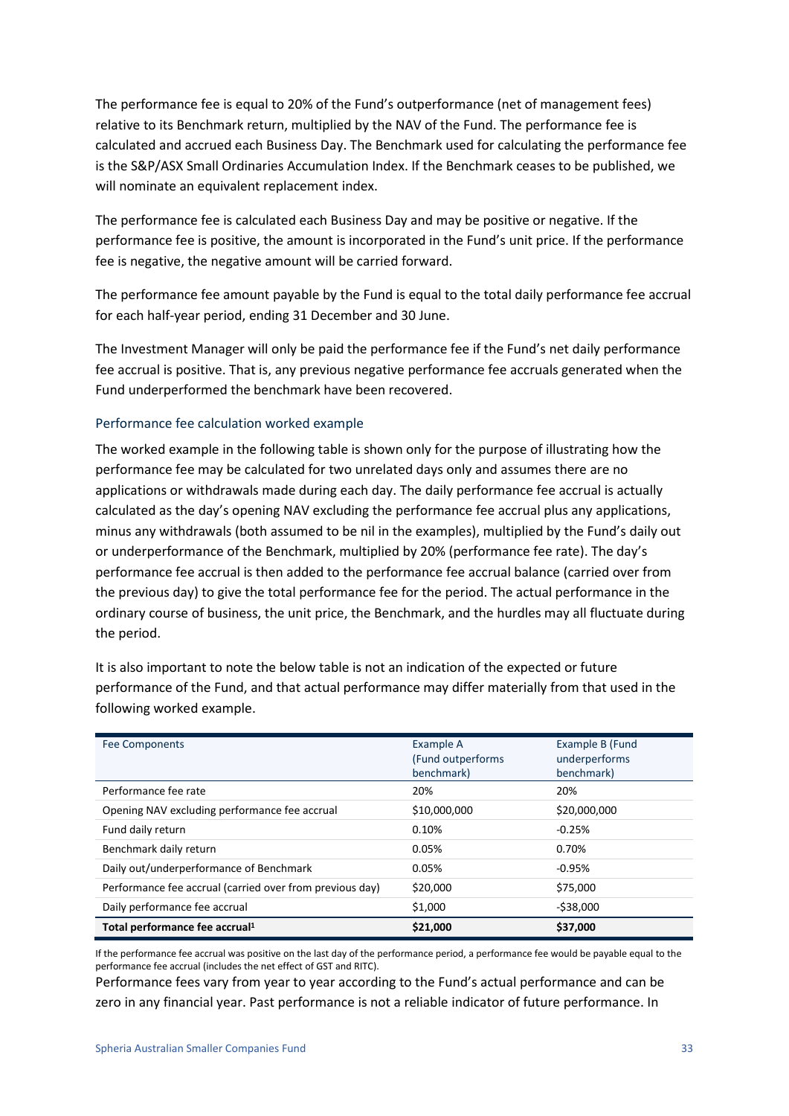The performance fee is equal to 20% of the Fund's outperformance (net of management fees) relative to its Benchmark return, multiplied by the NAV of the Fund. The performance fee is calculated and accrued each Business Day. The Benchmark used for calculating the performance fee is the S&P/ASX Small Ordinaries Accumulation Index. If the Benchmark ceases to be published, we will nominate an equivalent replacement index.

The performance fee is calculated each Business Day and may be positive or negative. If the performance fee is positive, the amount is incorporated in the Fund's unit price. If the performance fee is negative, the negative amount will be carried forward.

The performance fee amount payable by the Fund is equal to the total daily performance fee accrual for each half-year period, ending 31 December and 30 June.

The Investment Manager will only be paid the performance fee if the Fund's net daily performance fee accrual is positive. That is, any previous negative performance fee accruals generated when the Fund underperformed the benchmark have been recovered.

#### Performance fee calculation worked example

The worked example in the following table is shown only for the purpose of illustrating how the performance fee may be calculated for two unrelated days only and assumes there are no applications or withdrawals made during each day. The daily performance fee accrual is actually calculated as the day's opening NAV excluding the performance fee accrual plus any applications, minus any withdrawals (both assumed to be nil in the examples), multiplied by the Fund's daily out or underperformance of the Benchmark, multiplied by 20% (performance fee rate). The day's performance fee accrual is then added to the performance fee accrual balance (carried over from the previous day) to give the total performance fee for the period. The actual performance in the ordinary course of business, the unit price, the Benchmark, and the hurdles may all fluctuate during the period.

It is also important to note the below table is not an indication of the expected or future performance of the Fund, and that actual performance may differ materially from that used in the following worked example.

| <b>Fee Components</b>                                    | Example A<br>(Fund outperforms)<br>benchmark) | Example B (Fund<br>underperforms<br>benchmark) |
|----------------------------------------------------------|-----------------------------------------------|------------------------------------------------|
| Performance fee rate                                     | 20%                                           | 20%                                            |
| Opening NAV excluding performance fee accrual            | \$10,000,000                                  | \$20,000,000                                   |
| Fund daily return                                        | 0.10%                                         | $-0.25%$                                       |
| Benchmark daily return                                   | 0.05%                                         | 0.70%                                          |
| Daily out/underperformance of Benchmark                  | 0.05%                                         | $-0.95%$                                       |
| Performance fee accrual (carried over from previous day) | \$20,000                                      | \$75,000                                       |
| Daily performance fee accrual                            | \$1,000                                       | $-538,000$                                     |
| Total performance fee accrual <sup>1</sup>               | \$21,000                                      | \$37,000                                       |

If the performance fee accrual was positive on the last day of the performance period, a performance fee would be payable equal to the performance fee accrual (includes the net effect of GST and RITC).

Performance fees vary from year to year according to the Fund's actual performance and can be zero in any financial year. Past performance is not a reliable indicator of future performance. In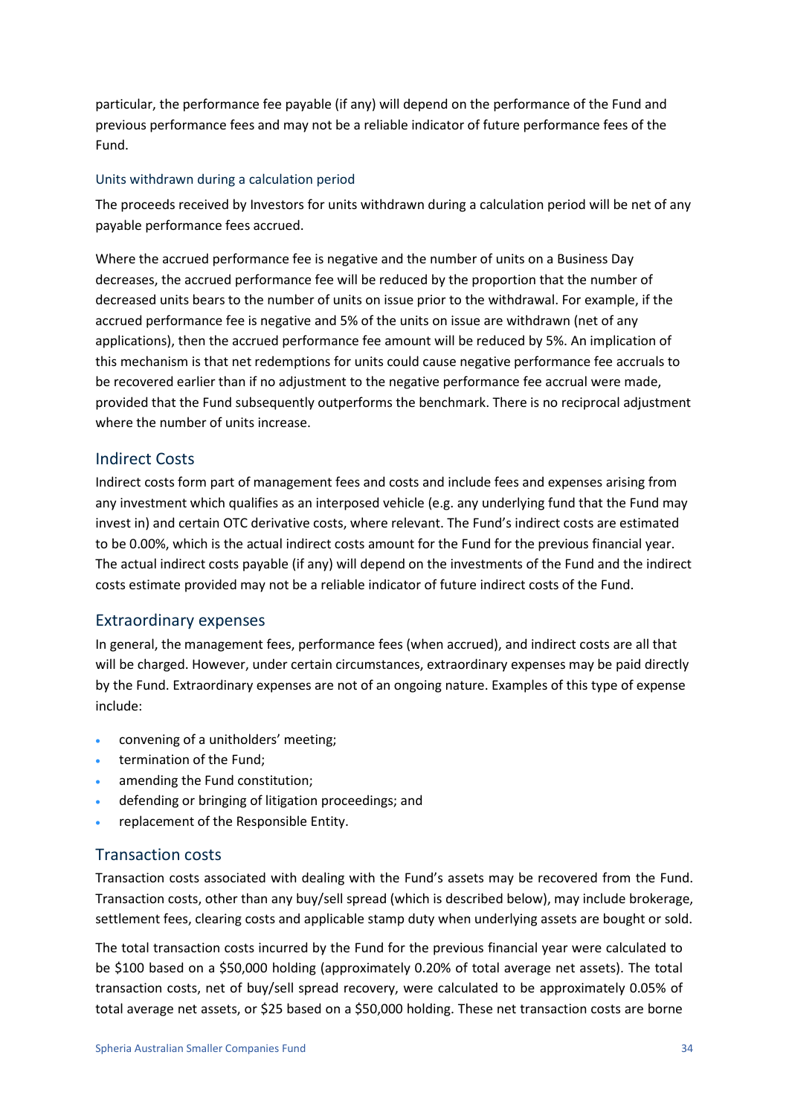particular, the performance fee payable (if any) will depend on the performance of the Fund and previous performance fees and may not be a reliable indicator of future performance fees of the Fund.

#### Units withdrawn during a calculation period

The proceeds received by Investors for units withdrawn during a calculation period will be net of any payable performance fees accrued.

Where the accrued performance fee is negative and the number of units on a Business Day decreases, the accrued performance fee will be reduced by the proportion that the number of decreased units bears to the number of units on issue prior to the withdrawal. For example, if the accrued performance fee is negative and 5% of the units on issue are withdrawn (net of any applications), then the accrued performance fee amount will be reduced by 5%. An implication of this mechanism is that net redemptions for units could cause negative performance fee accruals to be recovered earlier than if no adjustment to the negative performance fee accrual were made, provided that the Fund subsequently outperforms the benchmark. There is no reciprocal adjustment where the number of units increase.

#### Indirect Costs

Indirect costs form part of management fees and costs and include fees and expenses arising from any investment which qualifies as an interposed vehicle (e.g. any underlying fund that the Fund may invest in) and certain OTC derivative costs, where relevant. The Fund's indirect costs are estimated to be 0.00%, which is the actual indirect costs amount for the Fund for the previous financial year. The actual indirect costs payable (if any) will depend on the investments of the Fund and the indirect costs estimate provided may not be a reliable indicator of future indirect costs of the Fund.

#### Extraordinary expenses

In general, the management fees, performance fees (when accrued), and indirect costs are all that will be charged. However, under certain circumstances, extraordinary expenses may be paid directly by the Fund. Extraordinary expenses are not of an ongoing nature. Examples of this type of expense include:

- convening of a unitholders' meeting;
- termination of the Fund;
- amending the Fund constitution;
- defending or bringing of litigation proceedings; and
- replacement of the Responsible Entity.

#### Transaction costs

Transaction costs associated with dealing with the Fund's assets may be recovered from the Fund. Transaction costs, other than any buy/sell spread (which is described below), may include brokerage, settlement fees, clearing costs and applicable stamp duty when underlying assets are bought or sold.

The total transaction costs incurred by the Fund for the previous financial year were calculated to be \$100 based on a \$50,000 holding (approximately 0.20% of total average net assets). The total transaction costs, net of buy/sell spread recovery, were calculated to be approximately 0.05% of total average net assets, or \$25 based on a \$50,000 holding. These net transaction costs are borne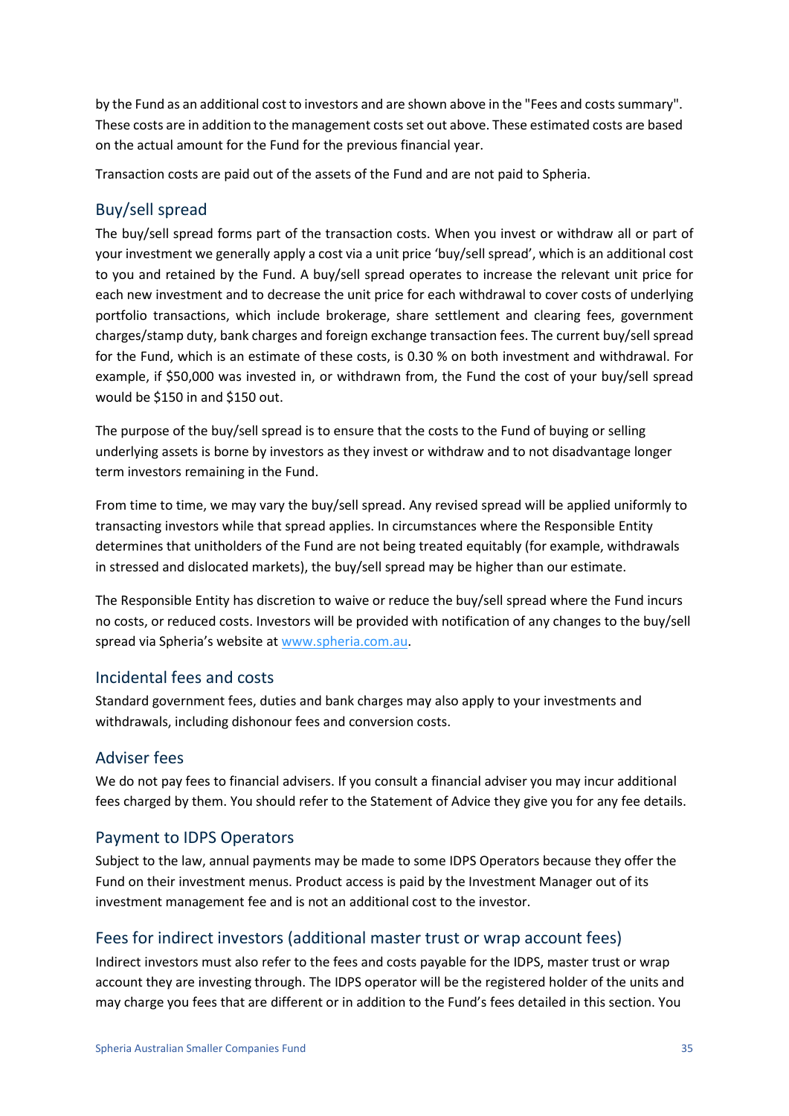by the Fund as an additional cost to investors and are shown above in the "Fees and costs summary". These costs are in addition to the management costs set out above. These estimated costs are based on the actual amount for the Fund for the previous financial year.

Transaction costs are paid out of the assets of the Fund and are not paid to Spheria.

#### Buy/sell spread

The buy/sell spread forms part of the transaction costs. When you invest or withdraw all or part of your investment we generally apply a cost via a unit price 'buy/sell spread', which is an additional cost to you and retained by the Fund. A buy/sell spread operates to increase the relevant unit price for each new investment and to decrease the unit price for each withdrawal to cover costs of underlying portfolio transactions, which include brokerage, share settlement and clearing fees, government charges/stamp duty, bank charges and foreign exchange transaction fees. The current buy/sell spread for the Fund, which is an estimate of these costs, is 0.30 % on both investment and withdrawal. For example, if \$50,000 was invested in, or withdrawn from, the Fund the cost of your buy/sell spread would be \$150 in and \$150 out.

The purpose of the buy/sell spread is to ensure that the costs to the Fund of buying or selling underlying assets is borne by investors as they invest or withdraw and to not disadvantage longer term investors remaining in the Fund.

From time to time, we may vary the buy/sell spread. Any revised spread will be applied uniformly to transacting investors while that spread applies. In circumstances where the Responsible Entity determines that unitholders of the Fund are not being treated equitably (for example, withdrawals in stressed and dislocated markets), the buy/sell spread may be higher than our estimate.

The Responsible Entity has discretion to waive or reduce the buy/sell spread where the Fund incurs no costs, or reduced costs. Investors will be provided with notification of any changes to the buy/sell spread via Spheria's website at www.spheria.com.au.

#### Incidental fees and costs

Standard government fees, duties and bank charges may also apply to your investments and withdrawals, including dishonour fees and conversion costs.

#### Adviser fees

We do not pay fees to financial advisers. If you consult a financial adviser you may incur additional fees charged by them. You should refer to the Statement of Advice they give you for any fee details.

#### Payment to IDPS Operators

Subject to the law, annual payments may be made to some IDPS Operators because they offer the Fund on their investment menus. Product access is paid by the Investment Manager out of its investment management fee and is not an additional cost to the investor.

### Fees for indirect investors (additional master trust or wrap account fees)

Indirect investors must also refer to the fees and costs payable for the IDPS, master trust or wrap account they are investing through. The IDPS operator will be the registered holder of the units and may charge you fees that are different or in addition to the Fund's fees detailed in this section. You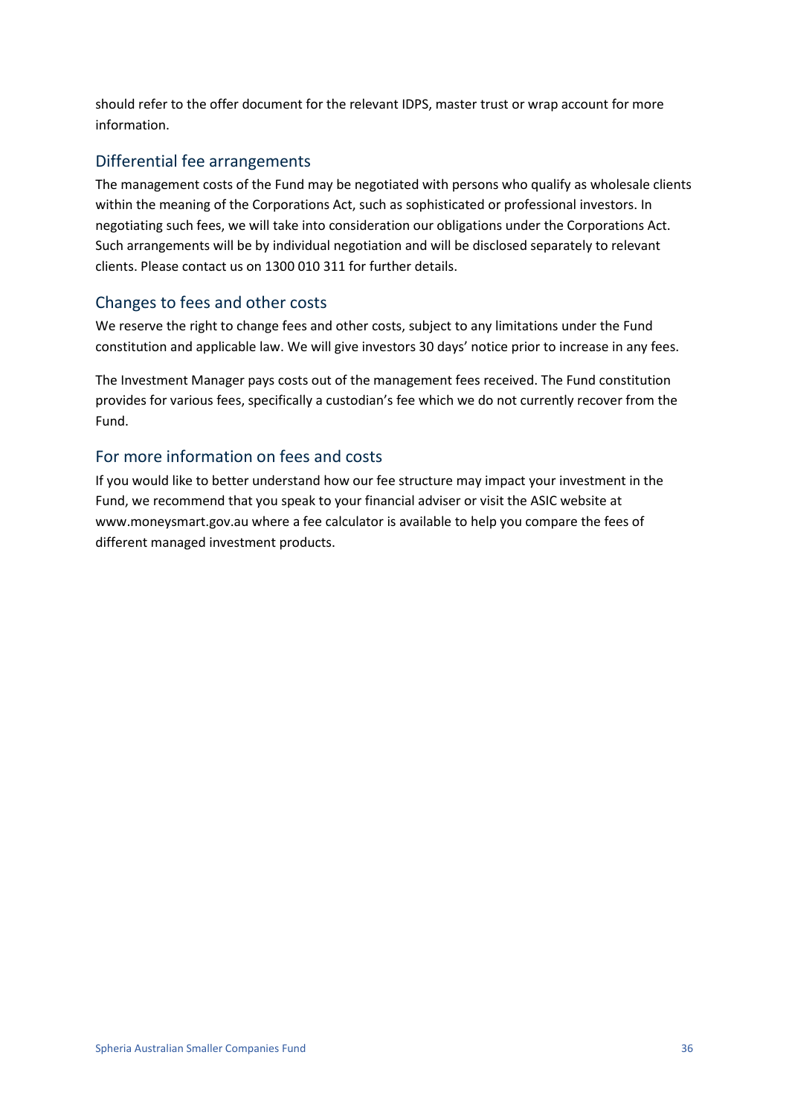should refer to the offer document for the relevant IDPS, master trust or wrap account for more information.

#### Differential fee arrangements

The management costs of the Fund may be negotiated with persons who qualify as wholesale clients within the meaning of the Corporations Act, such as sophisticated or professional investors. In negotiating such fees, we will take into consideration our obligations under the Corporations Act. Such arrangements will be by individual negotiation and will be disclosed separately to relevant clients. Please contact us on 1300 010 311 for further details.

#### Changes to fees and other costs

We reserve the right to change fees and other costs, subject to any limitations under the Fund constitution and applicable law. We will give investors 30 days' notice prior to increase in any fees.

The Investment Manager pays costs out of the management fees received. The Fund constitution provides for various fees, specifically a custodian's fee which we do not currently recover from the Fund.

#### For more information on fees and costs

If you would like to better understand how our fee structure may impact your investment in the Fund, we recommend that you speak to your financial adviser or visit the ASIC website at www.moneysmart.gov.au where a fee calculator is available to help you compare the fees of different managed investment products.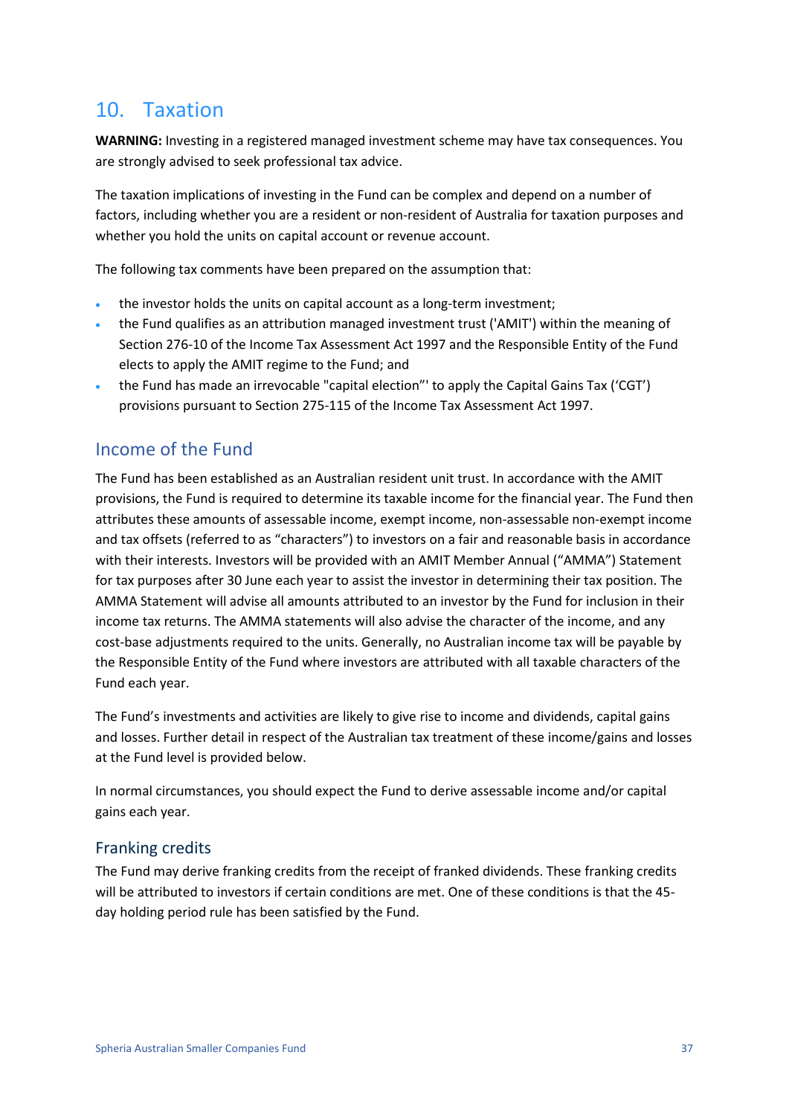## <span id="page-36-0"></span>10. Taxation

**WARNING:** Investing in a registered managed investment scheme may have tax consequences. You are strongly advised to seek professional tax advice.

The taxation implications of investing in the Fund can be complex and depend on a number of factors, including whether you are a resident or non-resident of Australia for taxation purposes and whether you hold the units on capital account or revenue account.

The following tax comments have been prepared on the assumption that:

- the investor holds the units on capital account as a long-term investment;
- the Fund qualifies as an attribution managed investment trust ('AMIT') within the meaning of Section 276-10 of the Income Tax Assessment Act 1997 and the Responsible Entity of the Fund elects to apply the AMIT regime to the Fund; and
- the Fund has made an irrevocable "capital election"' to apply the Capital Gains Tax ('CGT') provisions pursuant to Section 275-115 of the Income Tax Assessment Act 1997.

### Income of the Fund

The Fund has been established as an Australian resident unit trust. In accordance with the AMIT provisions, the Fund is required to determine its taxable income for the financial year. The Fund then attributes these amounts of assessable income, exempt income, non-assessable non-exempt income and tax offsets (referred to as "characters") to investors on a fair and reasonable basis in accordance with their interests. Investors will be provided with an AMIT Member Annual ("AMMA") Statement for tax purposes after 30 June each year to assist the investor in determining their tax position. The AMMA Statement will advise all amounts attributed to an investor by the Fund for inclusion in their income tax returns. The AMMA statements will also advise the character of the income, and any cost-base adjustments required to the units. Generally, no Australian income tax will be payable by the Responsible Entity of the Fund where investors are attributed with all taxable characters of the Fund each year.

The Fund's investments and activities are likely to give rise to income and dividends, capital gains and losses. Further detail in respect of the Australian tax treatment of these income/gains and losses at the Fund level is provided below.

In normal circumstances, you should expect the Fund to derive assessable income and/or capital gains each year.

#### Franking credits

The Fund may derive franking credits from the receipt of franked dividends. These franking credits will be attributed to investors if certain conditions are met. One of these conditions is that the 45 day holding period rule has been satisfied by the Fund.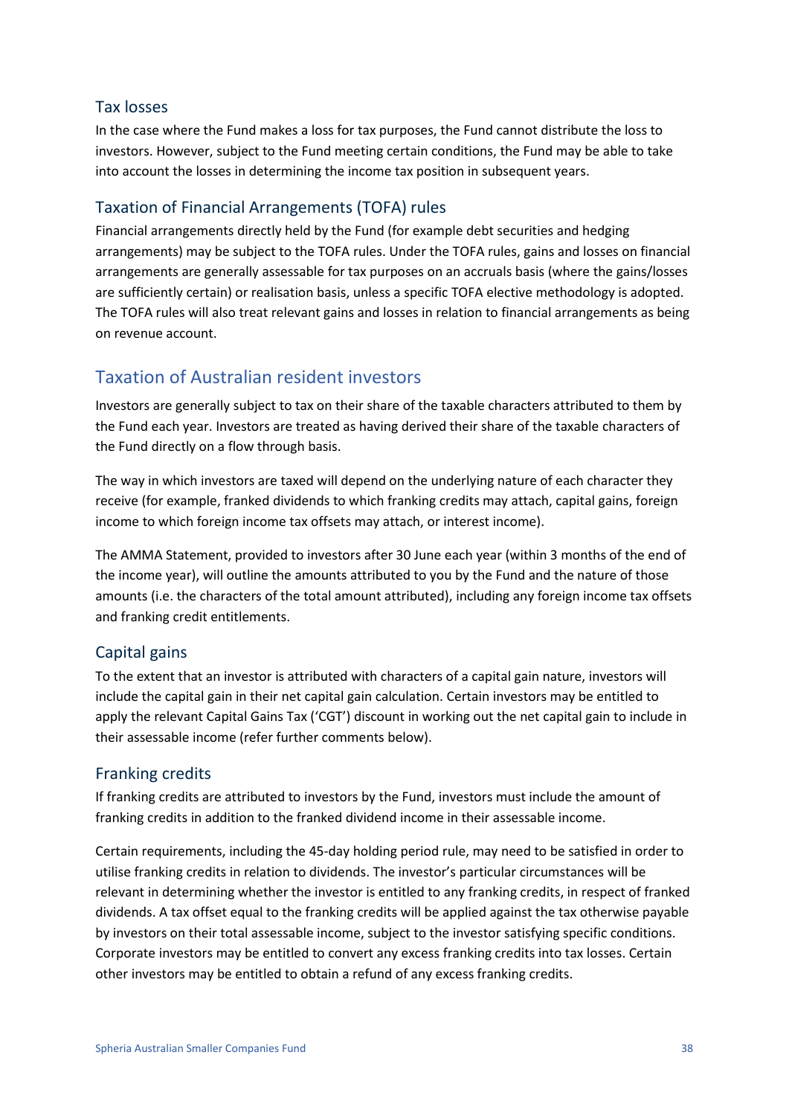#### Tax losses

In the case where the Fund makes a loss for tax purposes, the Fund cannot distribute the loss to investors. However, subject to the Fund meeting certain conditions, the Fund may be able to take into account the losses in determining the income tax position in subsequent years.

#### Taxation of Financial Arrangements (TOFA) rules

Financial arrangements directly held by the Fund (for example debt securities and hedging arrangements) may be subject to the TOFA rules. Under the TOFA rules, gains and losses on financial arrangements are generally assessable for tax purposes on an accruals basis (where the gains/losses are sufficiently certain) or realisation basis, unless a specific TOFA elective methodology is adopted. The TOFA rules will also treat relevant gains and losses in relation to financial arrangements as being on revenue account.

#### Taxation of Australian resident investors

Investors are generally subject to tax on their share of the taxable characters attributed to them by the Fund each year. Investors are treated as having derived their share of the taxable characters of the Fund directly on a flow through basis.

The way in which investors are taxed will depend on the underlying nature of each character they receive (for example, franked dividends to which franking credits may attach, capital gains, foreign income to which foreign income tax offsets may attach, or interest income).

The AMMA Statement, provided to investors after 30 June each year (within 3 months of the end of the income year), will outline the amounts attributed to you by the Fund and the nature of those amounts (i.e. the characters of the total amount attributed), including any foreign income tax offsets and franking credit entitlements.

#### Capital gains

To the extent that an investor is attributed with characters of a capital gain nature, investors will include the capital gain in their net capital gain calculation. Certain investors may be entitled to apply the relevant Capital Gains Tax ('CGT') discount in working out the net capital gain to include in their assessable income (refer further comments below).

#### Franking credits

If franking credits are attributed to investors by the Fund, investors must include the amount of franking credits in addition to the franked dividend income in their assessable income.

Certain requirements, including the 45-day holding period rule, may need to be satisfied in order to utilise franking credits in relation to dividends. The investor's particular circumstances will be relevant in determining whether the investor is entitled to any franking credits, in respect of franked dividends. A tax offset equal to the franking credits will be applied against the tax otherwise payable by investors on their total assessable income, subject to the investor satisfying specific conditions. Corporate investors may be entitled to convert any excess franking credits into tax losses. Certain other investors may be entitled to obtain a refund of any excess franking credits.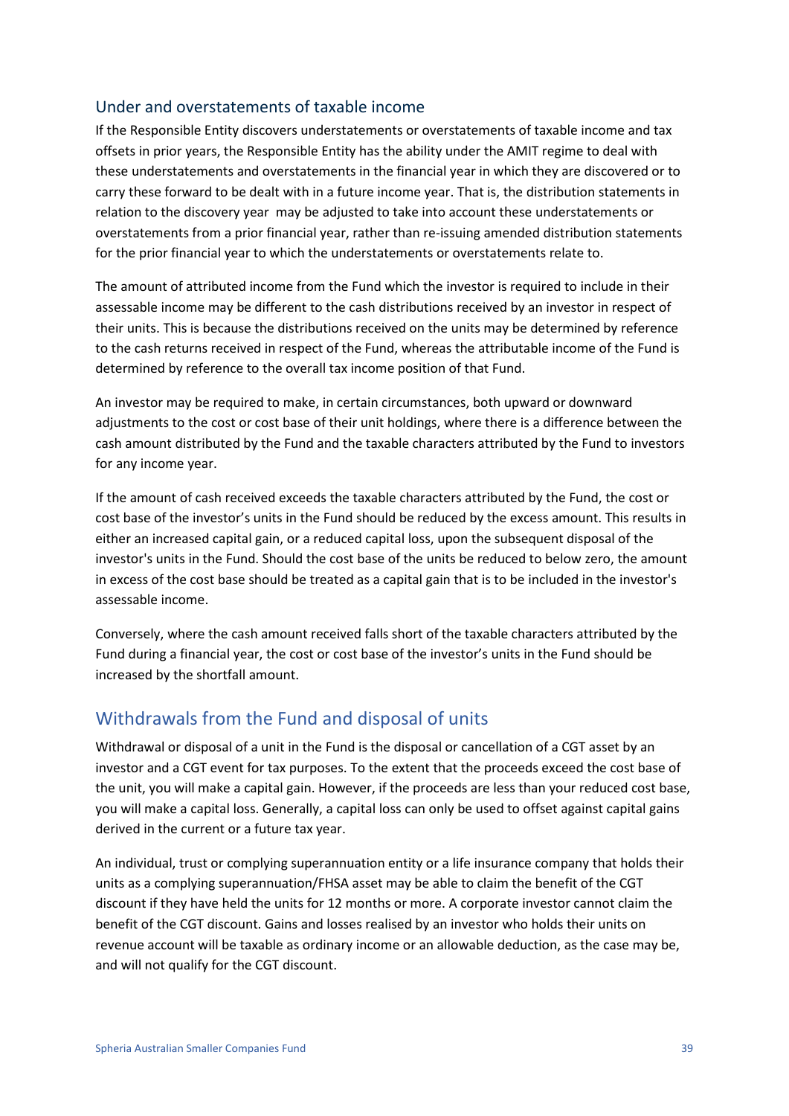#### Under and overstatements of taxable income

If the Responsible Entity discovers understatements or overstatements of taxable income and tax offsets in prior years, the Responsible Entity has the ability under the AMIT regime to deal with these understatements and overstatements in the financial year in which they are discovered or to carry these forward to be dealt with in a future income year. That is, the distribution statements in relation to the discovery year may be adjusted to take into account these understatements or overstatements from a prior financial year, rather than re-issuing amended distribution statements for the prior financial year to which the understatements or overstatements relate to.

The amount of attributed income from the Fund which the investor is required to include in their assessable income may be different to the cash distributions received by an investor in respect of their units. This is because the distributions received on the units may be determined by reference to the cash returns received in respect of the Fund, whereas the attributable income of the Fund is determined by reference to the overall tax income position of that Fund.

An investor may be required to make, in certain circumstances, both upward or downward adjustments to the cost or cost base of their unit holdings, where there is a difference between the cash amount distributed by the Fund and the taxable characters attributed by the Fund to investors for any income year.

If the amount of cash received exceeds the taxable characters attributed by the Fund, the cost or cost base of the investor's units in the Fund should be reduced by the excess amount. This results in either an increased capital gain, or a reduced capital loss, upon the subsequent disposal of the investor's units in the Fund. Should the cost base of the units be reduced to below zero, the amount in excess of the cost base should be treated as a capital gain that is to be included in the investor's assessable income.

Conversely, where the cash amount received falls short of the taxable characters attributed by the Fund during a financial year, the cost or cost base of the investor's units in the Fund should be increased by the shortfall amount.

## Withdrawals from the Fund and disposal of units

Withdrawal or disposal of a unit in the Fund is the disposal or cancellation of a CGT asset by an investor and a CGT event for tax purposes. To the extent that the proceeds exceed the cost base of the unit, you will make a capital gain. However, if the proceeds are less than your reduced cost base, you will make a capital loss. Generally, a capital loss can only be used to offset against capital gains derived in the current or a future tax year.

An individual, trust or complying superannuation entity or a life insurance company that holds their units as a complying superannuation/FHSA asset may be able to claim the benefit of the CGT discount if they have held the units for 12 months or more. A corporate investor cannot claim the benefit of the CGT discount. Gains and losses realised by an investor who holds their units on revenue account will be taxable as ordinary income or an allowable deduction, as the case may be, and will not qualify for the CGT discount.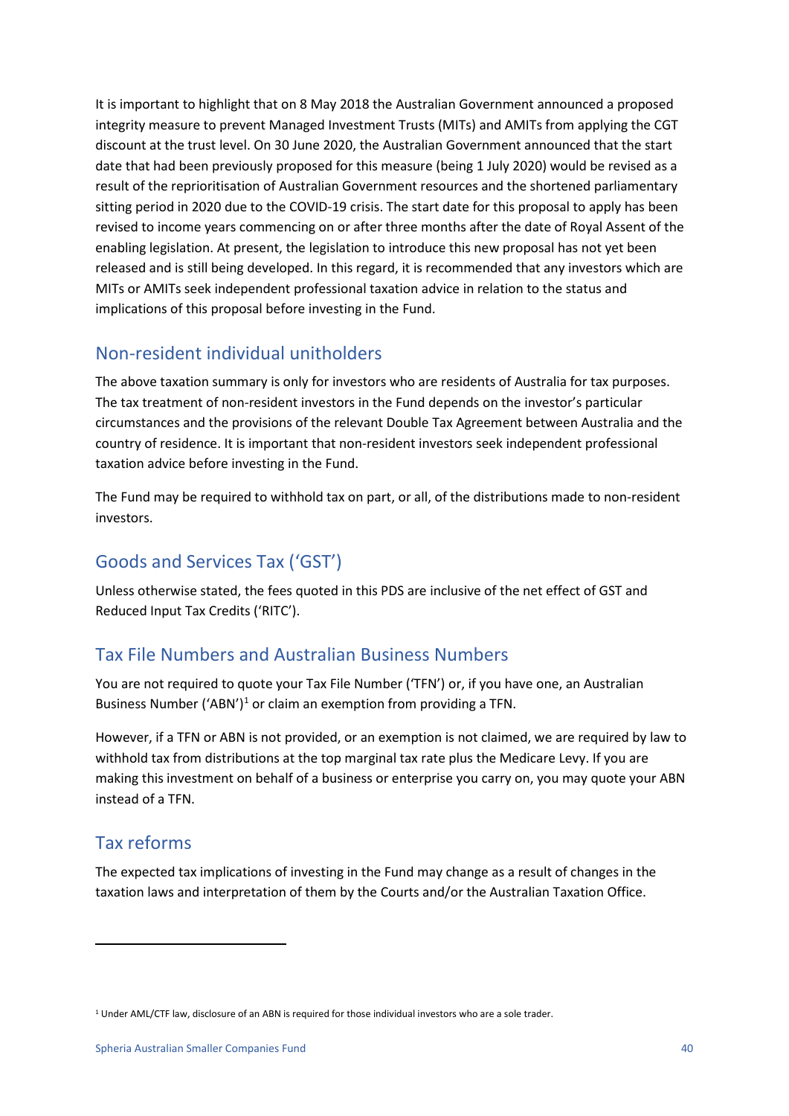It is important to highlight that on 8 May 2018 the Australian Government announced a proposed integrity measure to prevent Managed Investment Trusts (MITs) and AMITs from applying the CGT discount at the trust level. On 30 June 2020, the Australian Government announced that the start date that had been previously proposed for this measure (being 1 July 2020) would be revised as a result of the reprioritisation of Australian Government resources and the shortened parliamentary sitting period in 2020 due to the COVID-19 crisis. The start date for this proposal to apply has been revised to income years commencing on or after three months after the date of Royal Assent of the enabling legislation. At present, the legislation to introduce this new proposal has not yet been released and is still being developed. In this regard, it is recommended that any investors which are MITs or AMITs seek independent professional taxation advice in relation to the status and implications of this proposal before investing in the Fund.

## Non-resident individual unitholders

The above taxation summary is only for investors who are residents of Australia for tax purposes. The tax treatment of non-resident investors in the Fund depends on the investor's particular circumstances and the provisions of the relevant Double Tax Agreement between Australia and the country of residence. It is important that non-resident investors seek independent professional taxation advice before investing in the Fund.

The Fund may be required to withhold tax on part, or all, of the distributions made to non-resident investors.

## Goods and Services Tax ('GST')

Unless otherwise stated, the fees quoted in this PDS are inclusive of the net effect of GST and Reduced Input Tax Credits ('RITC').

## Tax File Numbers and Australian Business Numbers

You are not required to quote your Tax File Number ('TFN') or, if you have one, an Australian Business Number ('ABN')<sup>[1](#page-39-0)</sup> or claim an exemption from providing a TFN.

However, if a TFN or ABN is not provided, or an exemption is not claimed, we are required by law to withhold tax from distributions at the top marginal tax rate plus the Medicare Levy. If you are making this investment on behalf of a business or enterprise you carry on, you may quote your ABN instead of a TFN.

## Tax reforms

The expected tax implications of investing in the Fund may change as a result of changes in the taxation laws and interpretation of them by the Courts and/or the Australian Taxation Office.

<span id="page-39-0"></span><sup>&</sup>lt;sup>1</sup> Under AML/CTF law, disclosure of an ABN is required for those individual investors who are a sole trader.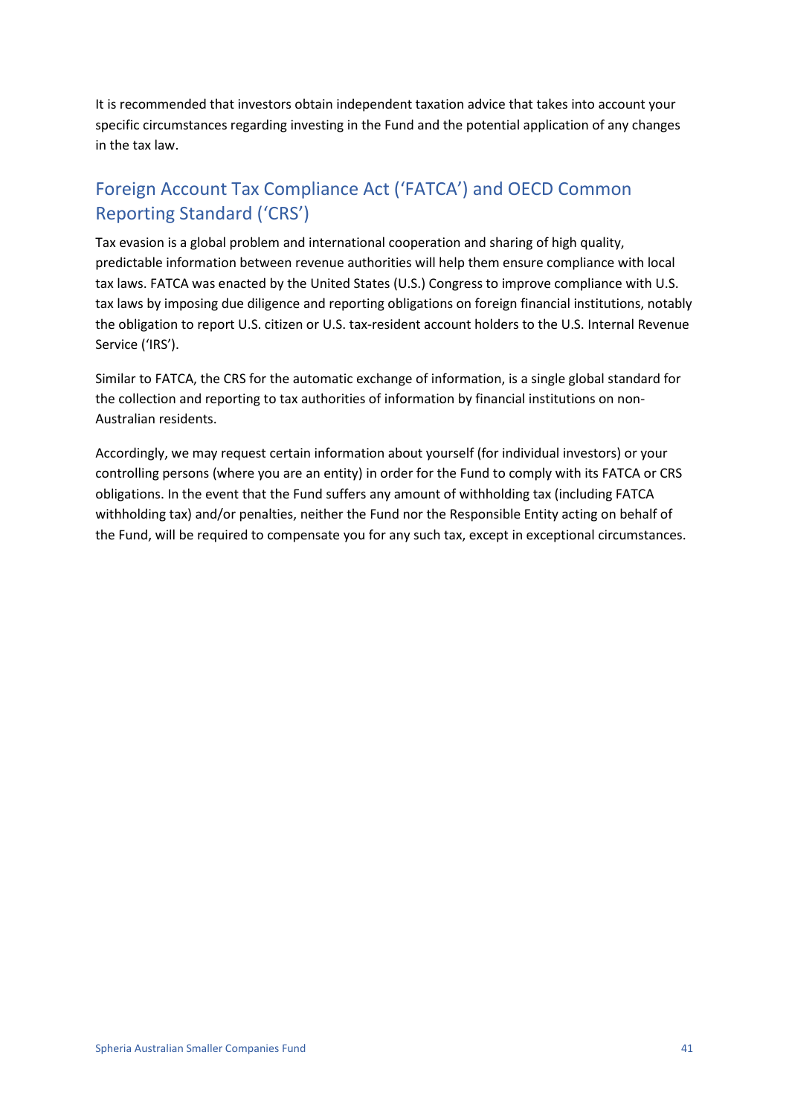It is recommended that investors obtain independent taxation advice that takes into account your specific circumstances regarding investing in the Fund and the potential application of any changes in the tax law.

## Foreign Account Tax Compliance Act ('FATCA') and OECD Common Reporting Standard ('CRS')

Tax evasion is a global problem and international cooperation and sharing of high quality, predictable information between revenue authorities will help them ensure compliance with local tax laws. FATCA was enacted by the United States (U.S.) Congress to improve compliance with U.S. tax laws by imposing due diligence and reporting obligations on foreign financial institutions, notably the obligation to report U.S. citizen or U.S. tax-resident account holders to the U.S. Internal Revenue Service ('IRS').

Similar to FATCA, the CRS for the automatic exchange of information, is a single global standard for the collection and reporting to tax authorities of information by financial institutions on non-Australian residents.

Accordingly, we may request certain information about yourself (for individual investors) or your controlling persons (where you are an entity) in order for the Fund to comply with its FATCA or CRS obligations. In the event that the Fund suffers any amount of withholding tax (including FATCA withholding tax) and/or penalties, neither the Fund nor the Responsible Entity acting on behalf of the Fund, will be required to compensate you for any such tax, except in exceptional circumstances.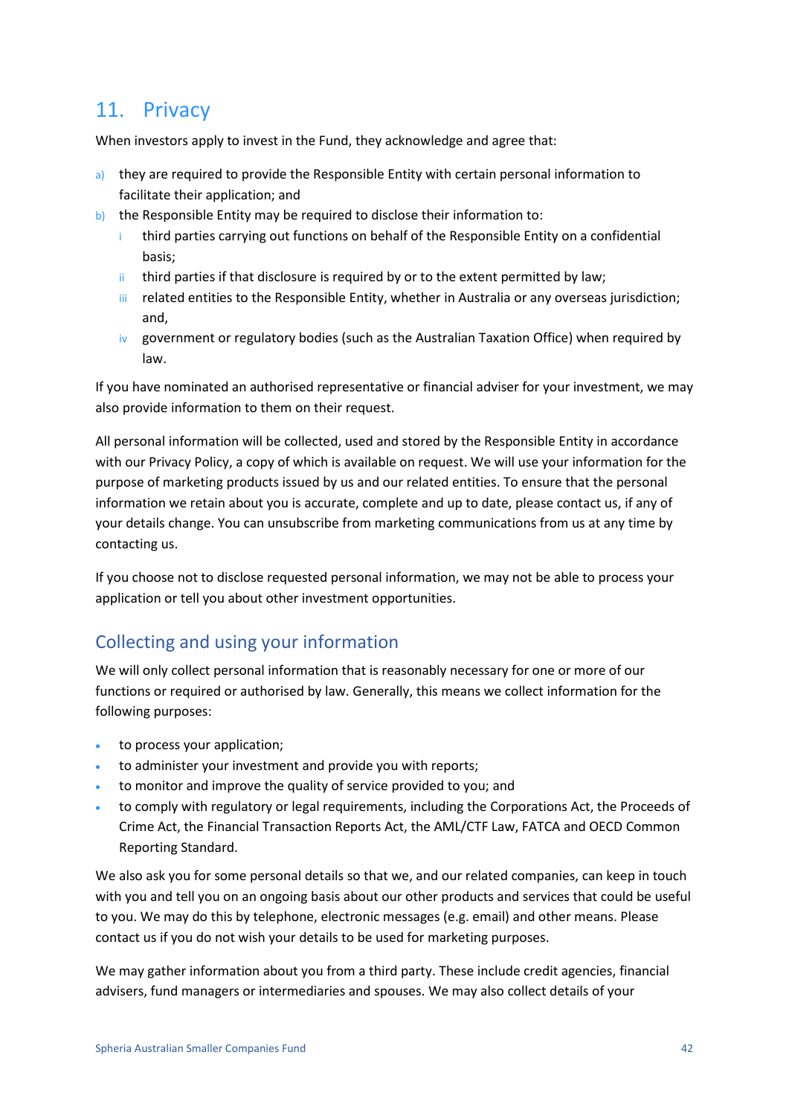## <span id="page-41-0"></span>11. Privacy

When investors apply to invest in the Fund, they acknowledge and agree that:

- a) they are required to provide the Responsible Entity with certain personal information to facilitate their application; and
- b) the Responsible Entity may be required to disclose their information to:
	- i third parties carrying out functions on behalf of the Responsible Entity on a confidential basis;
	- ii third parties if that disclosure is required by or to the extent permitted by law;
	- iii related entities to the Responsible Entity, whether in Australia or any overseas jurisdiction; and,
	- $iv$  government or regulatory bodies (such as the Australian Taxation Office) when required by law.

If you have nominated an authorised representative or financial adviser for your investment, we may also provide information to them on their request.

All personal information will be collected, used and stored by the Responsible Entity in accordance with our Privacy Policy, a copy of which is available on request. We will use your information for the purpose of marketing products issued by us and our related entities. To ensure that the personal information we retain about you is accurate, complete and up to date, please contact us, if any of your details change. You can unsubscribe from marketing communications from us at any time by contacting us.

If you choose not to disclose requested personal information, we may not be able to process your application or tell you about other investment opportunities.

## Collecting and using your information

We will only collect personal information that is reasonably necessary for one or more of our functions or required or authorised by law. Generally, this means we collect information for the following purposes:

- to process your application;
- to administer your investment and provide you with reports;
- to monitor and improve the quality of service provided to you; and
- to comply with regulatory or legal requirements, including the Corporations Act, the Proceeds of Crime Act, the Financial Transaction Reports Act, the AML/CTF Law, FATCA and OECD Common Reporting Standard.

We also ask you for some personal details so that we, and our related companies, can keep in touch with you and tell you on an ongoing basis about our other products and services that could be useful to you. We may do this by telephone, electronic messages (e.g. email) and other means. Please contact us if you do not wish your details to be used for marketing purposes.

We may gather information about you from a third party. These include credit agencies, financial advisers, fund managers or intermediaries and spouses. We may also collect details of your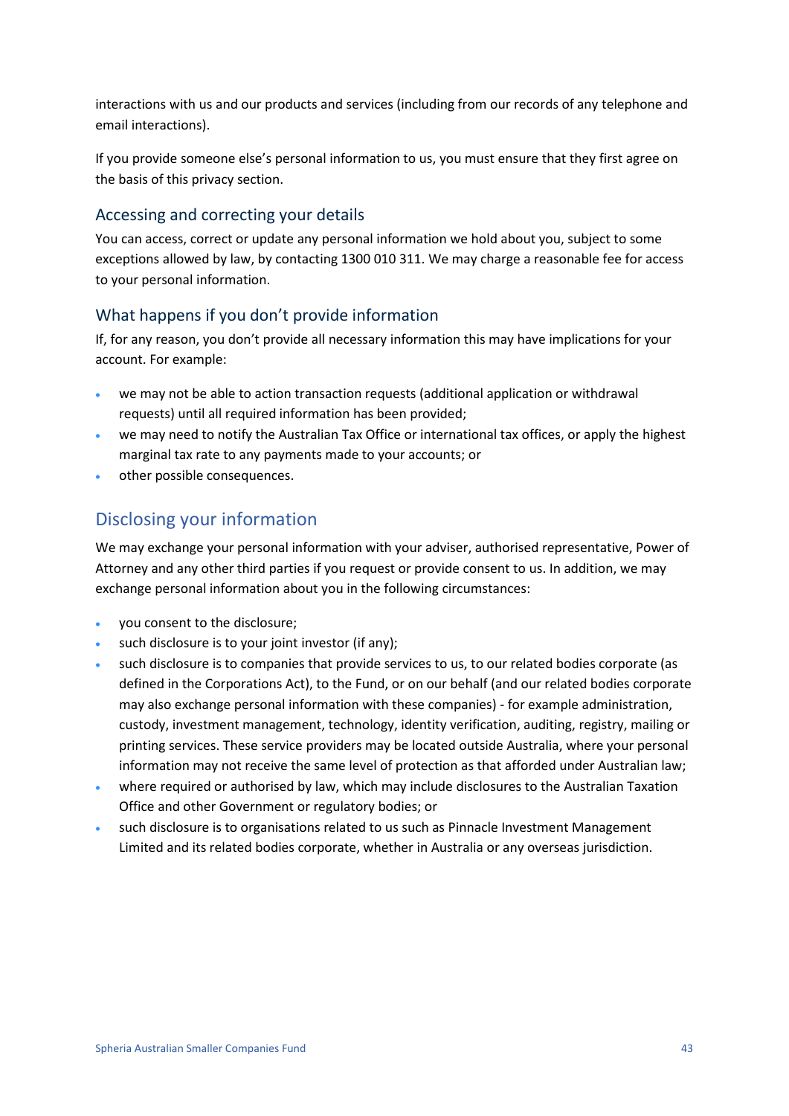interactions with us and our products and services (including from our records of any telephone and email interactions).

If you provide someone else's personal information to us, you must ensure that they first agree on the basis of this privacy section.

#### Accessing and correcting your details

You can access, correct or update any personal information we hold about you, subject to some exceptions allowed by law, by contacting 1300 010 311. We may charge a reasonable fee for access to your personal information.

#### What happens if you don't provide information

If, for any reason, you don't provide all necessary information this may have implications for your account. For example:

- we may not be able to action transaction requests (additional application or withdrawal requests) until all required information has been provided;
- we may need to notify the Australian Tax Office or international tax offices, or apply the highest marginal tax rate to any payments made to your accounts; or
- other possible consequences.

## Disclosing your information

We may exchange your personal information with your adviser, authorised representative, Power of Attorney and any other third parties if you request or provide consent to us. In addition, we may exchange personal information about you in the following circumstances:

- you consent to the disclosure;
- such disclosure is to your joint investor (if any);
- such disclosure is to companies that provide services to us, to our related bodies corporate (as defined in the Corporations Act), to the Fund, or on our behalf (and our related bodies corporate may also exchange personal information with these companies) - for example administration, custody, investment management, technology, identity verification, auditing, registry, mailing or printing services. These service providers may be located outside Australia, where your personal information may not receive the same level of protection as that afforded under Australian law;
- where required or authorised by law, which may include disclosures to the Australian Taxation Office and other Government or regulatory bodies; or
- <span id="page-42-0"></span>• such disclosure is to organisations related to us such as Pinnacle Investment Management Limited and its related bodies corporate, whether in Australia or any overseas jurisdiction.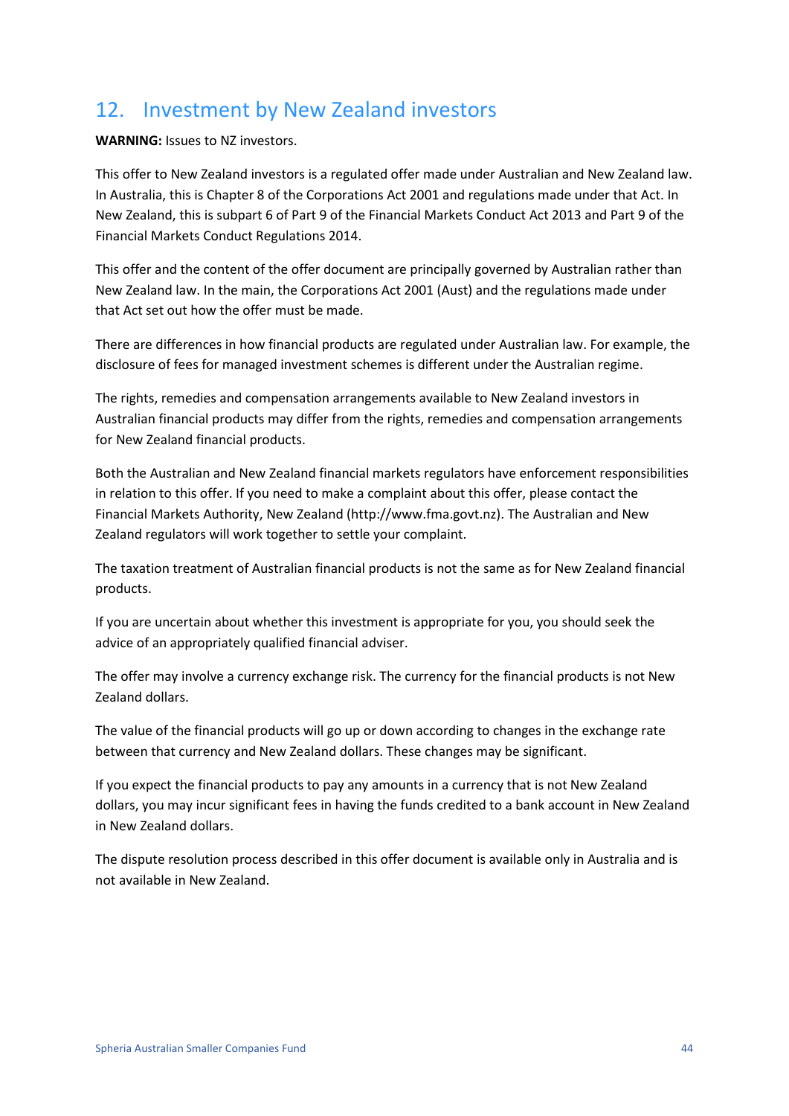## 12. Investment by New Zealand investors

**WARNING:** Issues to NZ investors.

This offer to New Zealand investors is a regulated offer made under Australian and New Zealand law. In Australia, this is Chapter 8 of the Corporations Act 2001 and regulations made under that Act. In New Zealand, this is subpart 6 of Part 9 of the Financial Markets Conduct Act 2013 and Part 9 of the Financial Markets Conduct Regulations 2014.

This offer and the content of the offer document are principally governed by Australian rather than New Zealand law. In the main, the Corporations Act 2001 (Aust) and the regulations made under that Act set out how the offer must be made.

There are differences in how financial products are regulated under Australian law. For example, the disclosure of fees for managed investment schemes is different under the Australian regime.

The rights, remedies and compensation arrangements available to New Zealand investors in Australian financial products may differ from the rights, remedies and compensation arrangements for New Zealand financial products.

Both the Australian and New Zealand financial markets regulators have enforcement responsibilities in relation to this offer. If you need to make a complaint about this offer, please contact the Financial Markets Authority, New Zealand (http://www.fma.govt.nz). The Australian and New Zealand regulators will work together to settle your complaint.

The taxation treatment of Australian financial products is not the same as for New Zealand financial products.

If you are uncertain about whether this investment is appropriate for you, you should seek the advice of an appropriately qualified financial adviser.

The offer may involve a currency exchange risk. The currency for the financial products is not New Zealand dollars.

The value of the financial products will go up or down according to changes in the exchange rate between that currency and New Zealand dollars. These changes may be significant.

If you expect the financial products to pay any amounts in a currency that is not New Zealand dollars, you may incur significant fees in having the funds credited to a bank account in New Zealand in New Zealand dollars.

The dispute resolution process described in this offer document is available only in Australia and is not available in New Zealand.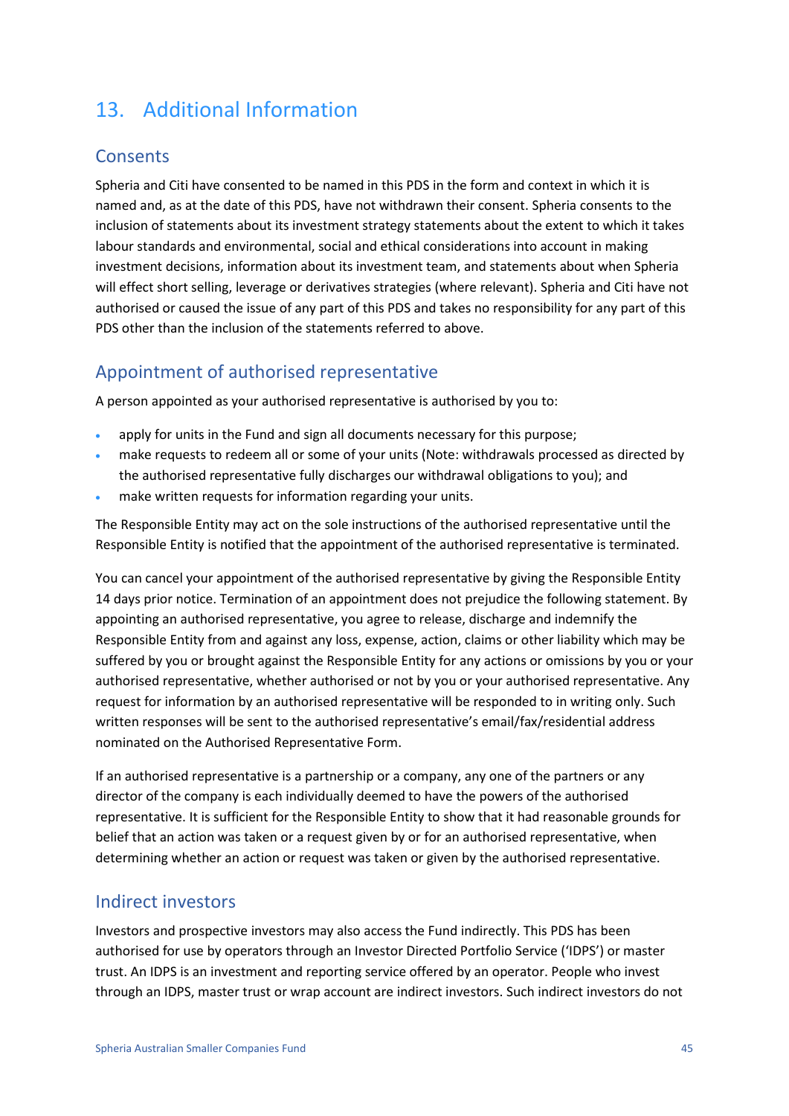## <span id="page-44-0"></span>13. Additional Information

### **Consents**

Spheria and Citi have consented to be named in this PDS in the form and context in which it is named and, as at the date of this PDS, have not withdrawn their consent. Spheria consents to the inclusion of statements about its investment strategy statements about the extent to which it takes labour standards and environmental, social and ethical considerations into account in making investment decisions, information about its investment team, and statements about when Spheria will effect short selling, leverage or derivatives strategies (where relevant). Spheria and Citi have not authorised or caused the issue of any part of this PDS and takes no responsibility for any part of this PDS other than the inclusion of the statements referred to above.

## Appointment of authorised representative

A person appointed as your authorised representative is authorised by you to:

- apply for units in the Fund and sign all documents necessary for this purpose;
- make requests to redeem all or some of your units (Note: withdrawals processed as directed by the authorised representative fully discharges our withdrawal obligations to you); and
- make written requests for information regarding your units.

The Responsible Entity may act on the sole instructions of the authorised representative until the Responsible Entity is notified that the appointment of the authorised representative is terminated.

You can cancel your appointment of the authorised representative by giving the Responsible Entity 14 days prior notice. Termination of an appointment does not prejudice the following statement. By appointing an authorised representative, you agree to release, discharge and indemnify the Responsible Entity from and against any loss, expense, action, claims or other liability which may be suffered by you or brought against the Responsible Entity for any actions or omissions by you or your authorised representative, whether authorised or not by you or your authorised representative. Any request for information by an authorised representative will be responded to in writing only. Such written responses will be sent to the authorised representative's email/fax/residential address nominated on the Authorised Representative Form.

If an authorised representative is a partnership or a company, any one of the partners or any director of the company is each individually deemed to have the powers of the authorised representative. It is sufficient for the Responsible Entity to show that it had reasonable grounds for belief that an action was taken or a request given by or for an authorised representative, when determining whether an action or request was taken or given by the authorised representative.

### Indirect investors

Investors and prospective investors may also access the Fund indirectly. This PDS has been authorised for use by operators through an Investor Directed Portfolio Service ('IDPS') or master trust. An IDPS is an investment and reporting service offered by an operator. People who invest through an IDPS, master trust or wrap account are indirect investors. Such indirect investors do not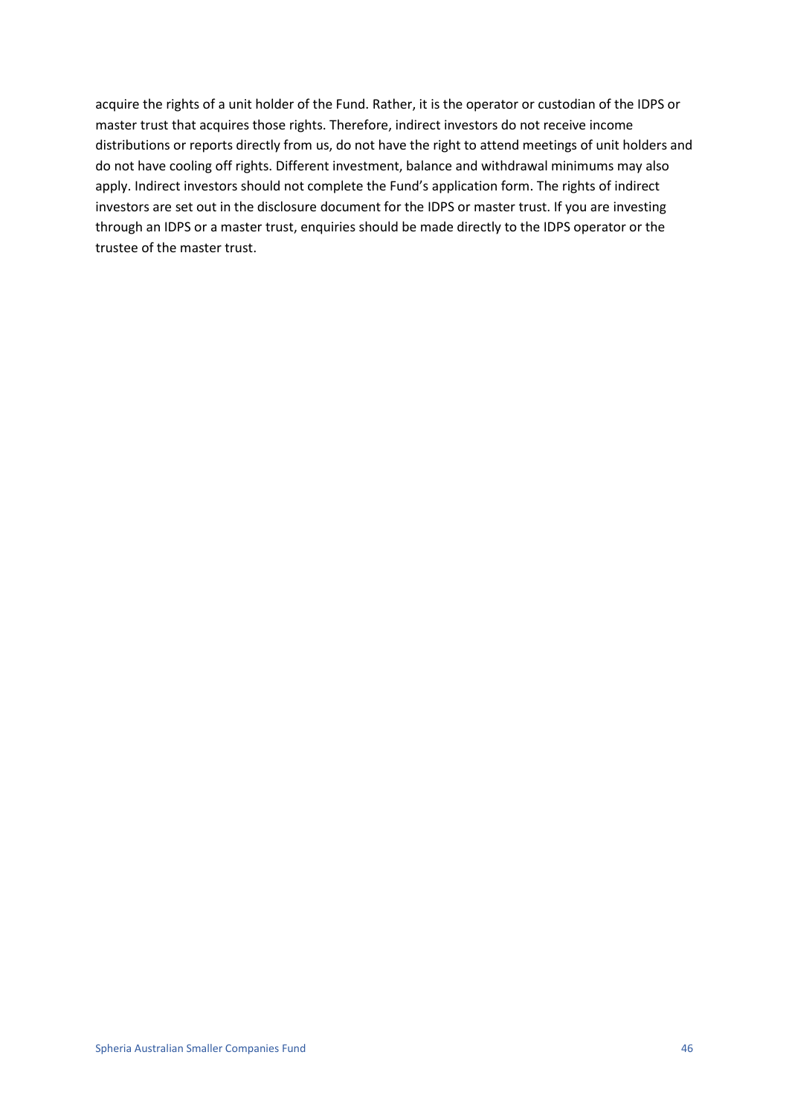acquire the rights of a unit holder of the Fund. Rather, it is the operator or custodian of the IDPS or master trust that acquires those rights. Therefore, indirect investors do not receive income distributions or reports directly from us, do not have the right to attend meetings of unit holders and do not have cooling off rights. Different investment, balance and withdrawal minimums may also apply. Indirect investors should not complete the Fund's application form. The rights of indirect investors are set out in the disclosure document for the IDPS or master trust. If you are investing through an IDPS or a master trust, enquiries should be made directly to the IDPS operator or the trustee of the master trust.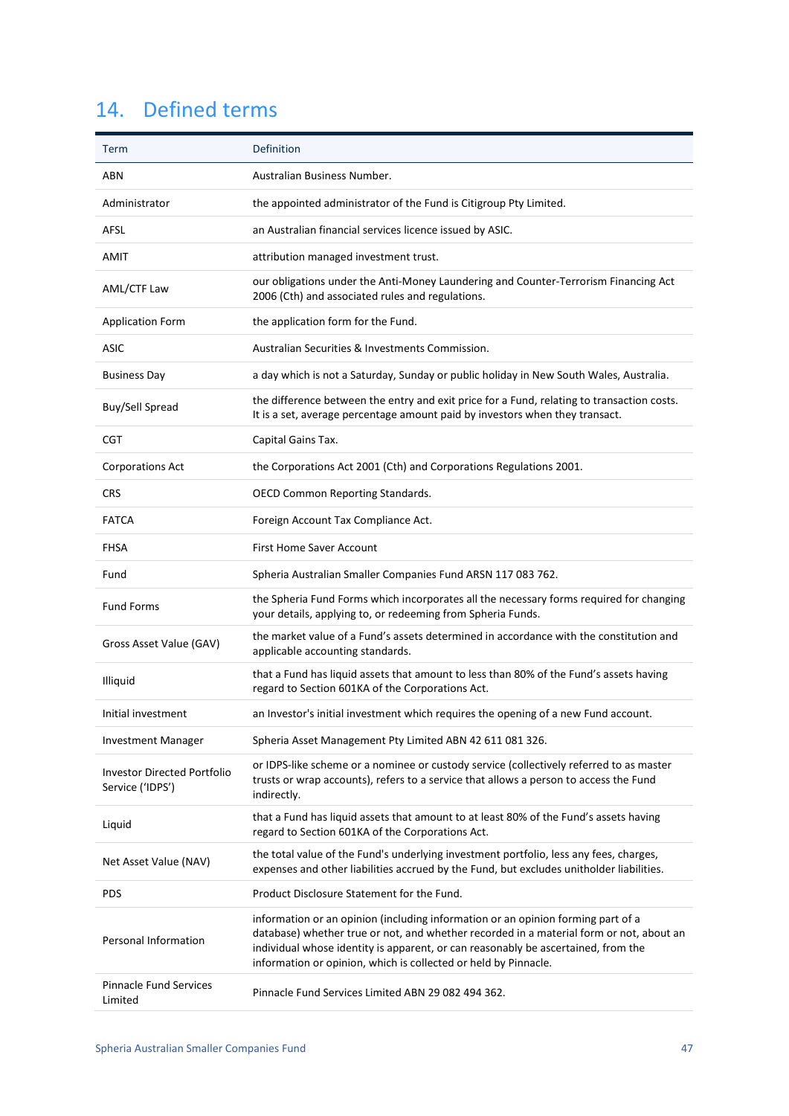# <span id="page-46-0"></span>14. Defined terms

| Term                                                   | Definition                                                                                                                                                                                                                                                                                                                          |
|--------------------------------------------------------|-------------------------------------------------------------------------------------------------------------------------------------------------------------------------------------------------------------------------------------------------------------------------------------------------------------------------------------|
| ABN                                                    | Australian Business Number.                                                                                                                                                                                                                                                                                                         |
| Administrator                                          | the appointed administrator of the Fund is Citigroup Pty Limited.                                                                                                                                                                                                                                                                   |
| AFSL                                                   | an Australian financial services licence issued by ASIC.                                                                                                                                                                                                                                                                            |
| AMIT                                                   | attribution managed investment trust.                                                                                                                                                                                                                                                                                               |
| AML/CTF Law                                            | our obligations under the Anti-Money Laundering and Counter-Terrorism Financing Act<br>2006 (Cth) and associated rules and regulations.                                                                                                                                                                                             |
| <b>Application Form</b>                                | the application form for the Fund.                                                                                                                                                                                                                                                                                                  |
| <b>ASIC</b>                                            | Australian Securities & Investments Commission.                                                                                                                                                                                                                                                                                     |
| <b>Business Day</b>                                    | a day which is not a Saturday, Sunday or public holiday in New South Wales, Australia.                                                                                                                                                                                                                                              |
| Buy/Sell Spread                                        | the difference between the entry and exit price for a Fund, relating to transaction costs.<br>It is a set, average percentage amount paid by investors when they transact.                                                                                                                                                          |
| <b>CGT</b>                                             | Capital Gains Tax.                                                                                                                                                                                                                                                                                                                  |
| <b>Corporations Act</b>                                | the Corporations Act 2001 (Cth) and Corporations Regulations 2001.                                                                                                                                                                                                                                                                  |
| <b>CRS</b>                                             | <b>OECD Common Reporting Standards.</b>                                                                                                                                                                                                                                                                                             |
| <b>FATCA</b>                                           | Foreign Account Tax Compliance Act.                                                                                                                                                                                                                                                                                                 |
| <b>FHSA</b>                                            | <b>First Home Saver Account</b>                                                                                                                                                                                                                                                                                                     |
| Fund                                                   | Spheria Australian Smaller Companies Fund ARSN 117 083 762.                                                                                                                                                                                                                                                                         |
| <b>Fund Forms</b>                                      | the Spheria Fund Forms which incorporates all the necessary forms required for changing<br>your details, applying to, or redeeming from Spheria Funds.                                                                                                                                                                              |
| Gross Asset Value (GAV)                                | the market value of a Fund's assets determined in accordance with the constitution and<br>applicable accounting standards.                                                                                                                                                                                                          |
| Illiquid                                               | that a Fund has liquid assets that amount to less than 80% of the Fund's assets having<br>regard to Section 601KA of the Corporations Act.                                                                                                                                                                                          |
| Initial investment                                     | an Investor's initial investment which requires the opening of a new Fund account.                                                                                                                                                                                                                                                  |
| <b>Investment Manager</b>                              | Spheria Asset Management Pty Limited ABN 42 611 081 326.                                                                                                                                                                                                                                                                            |
| <b>Investor Directed Portfolio</b><br>Service ('IDPS') | or IDPS-like scheme or a nominee or custody service (collectively referred to as master<br>trusts or wrap accounts), refers to a service that allows a person to access the Fund<br>indirectly.                                                                                                                                     |
| Liquid                                                 | that a Fund has liquid assets that amount to at least 80% of the Fund's assets having<br>regard to Section 601KA of the Corporations Act.                                                                                                                                                                                           |
| Net Asset Value (NAV)                                  | the total value of the Fund's underlying investment portfolio, less any fees, charges,<br>expenses and other liabilities accrued by the Fund, but excludes unitholder liabilities.                                                                                                                                                  |
| <b>PDS</b>                                             | Product Disclosure Statement for the Fund.                                                                                                                                                                                                                                                                                          |
| <b>Personal Information</b>                            | information or an opinion (including information or an opinion forming part of a<br>database) whether true or not, and whether recorded in a material form or not, about an<br>individual whose identity is apparent, or can reasonably be ascertained, from the<br>information or opinion, which is collected or held by Pinnacle. |
| <b>Pinnacle Fund Services</b><br>Limited               | Pinnacle Fund Services Limited ABN 29 082 494 362.                                                                                                                                                                                                                                                                                  |